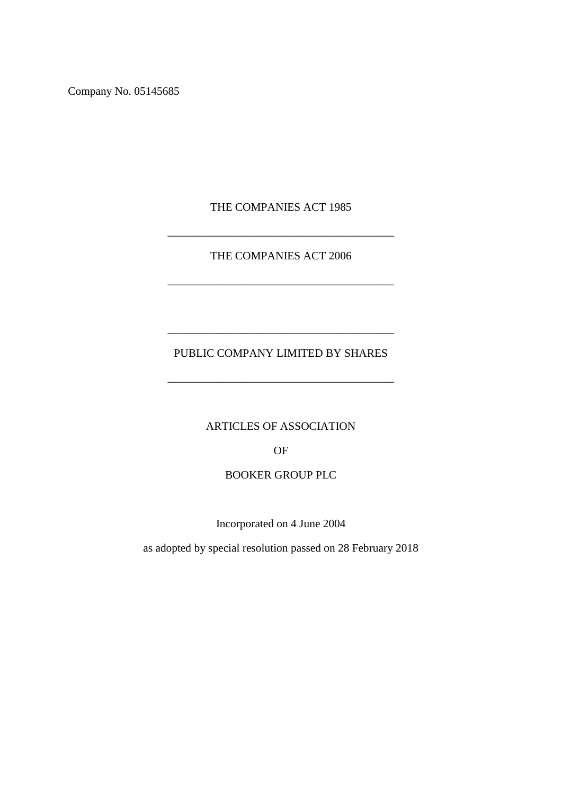Company No. 05145685

THE COMPANIES ACT 1985

\_\_\_\_\_\_\_\_\_\_\_\_\_\_\_\_\_\_\_\_\_\_\_\_\_\_\_\_\_\_\_\_\_\_\_\_\_\_\_\_

THE COMPANIES ACT 2006

\_\_\_\_\_\_\_\_\_\_\_\_\_\_\_\_\_\_\_\_\_\_\_\_\_\_\_\_\_\_\_\_\_\_\_\_\_\_\_\_

# PUBLIC COMPANY LIMITED BY SHARES

\_\_\_\_\_\_\_\_\_\_\_\_\_\_\_\_\_\_\_\_\_\_\_\_\_\_\_\_\_\_\_\_\_\_\_\_\_\_\_\_

\_\_\_\_\_\_\_\_\_\_\_\_\_\_\_\_\_\_\_\_\_\_\_\_\_\_\_\_\_\_\_\_\_\_\_\_\_\_\_\_

ARTICLES OF ASSOCIATION

OF

# BOOKER GROUP PLC

Incorporated on 4 June 2004

as adopted by special resolution passed on 28 February 2018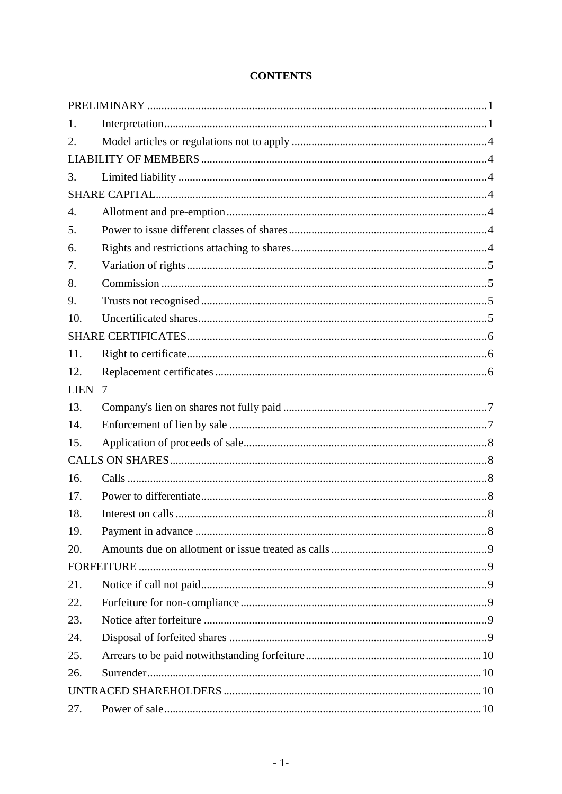| 1.               |   |  |  |
|------------------|---|--|--|
| 2.               |   |  |  |
|                  |   |  |  |
| 3.               |   |  |  |
|                  |   |  |  |
| $\overline{4}$ . |   |  |  |
| 5.               |   |  |  |
| 6.               |   |  |  |
| 7.               |   |  |  |
| 8.               |   |  |  |
| 9.               |   |  |  |
| 10.              |   |  |  |
|                  |   |  |  |
| 11.              |   |  |  |
| 12.              |   |  |  |
| <b>LIEN</b>      | 7 |  |  |
| 13.              |   |  |  |
| 14.              |   |  |  |
| 15.              |   |  |  |
|                  |   |  |  |
| 16.              |   |  |  |
| 17.              |   |  |  |
| 18.              |   |  |  |
| 19.              |   |  |  |
| 20.              |   |  |  |
|                  |   |  |  |
| 21.              |   |  |  |
| 22.              |   |  |  |
| 23.              |   |  |  |
| 24.              |   |  |  |
| 25.              |   |  |  |
| 26.              |   |  |  |
|                  |   |  |  |
| 27.              |   |  |  |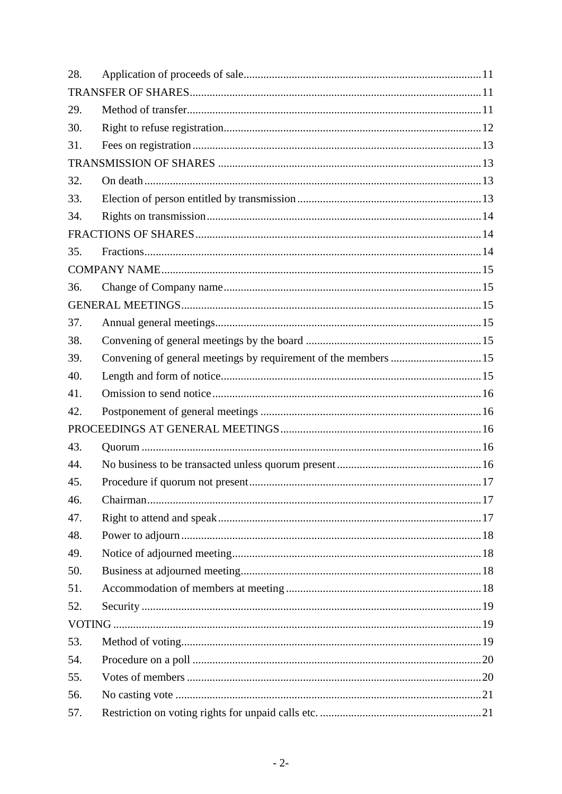| 28. |                                                                |  |  |  |  |
|-----|----------------------------------------------------------------|--|--|--|--|
|     |                                                                |  |  |  |  |
| 29. |                                                                |  |  |  |  |
| 30. |                                                                |  |  |  |  |
| 31. |                                                                |  |  |  |  |
|     |                                                                |  |  |  |  |
| 32. |                                                                |  |  |  |  |
| 33. |                                                                |  |  |  |  |
| 34. |                                                                |  |  |  |  |
|     |                                                                |  |  |  |  |
| 35. |                                                                |  |  |  |  |
|     |                                                                |  |  |  |  |
| 36. |                                                                |  |  |  |  |
|     |                                                                |  |  |  |  |
| 37. |                                                                |  |  |  |  |
| 38. |                                                                |  |  |  |  |
| 39. | Convening of general meetings by requirement of the members 15 |  |  |  |  |
| 40. |                                                                |  |  |  |  |
| 41. |                                                                |  |  |  |  |
| 42. |                                                                |  |  |  |  |
|     |                                                                |  |  |  |  |
| 43. |                                                                |  |  |  |  |
| 44. |                                                                |  |  |  |  |
| 45. |                                                                |  |  |  |  |
| 46. |                                                                |  |  |  |  |
| 47. |                                                                |  |  |  |  |
| 48. |                                                                |  |  |  |  |
| 49. |                                                                |  |  |  |  |
| 50. |                                                                |  |  |  |  |
| 51. |                                                                |  |  |  |  |
| 52. |                                                                |  |  |  |  |
|     |                                                                |  |  |  |  |
| 53. |                                                                |  |  |  |  |
| 54. |                                                                |  |  |  |  |
| 55. |                                                                |  |  |  |  |
| 56. |                                                                |  |  |  |  |
| 57. |                                                                |  |  |  |  |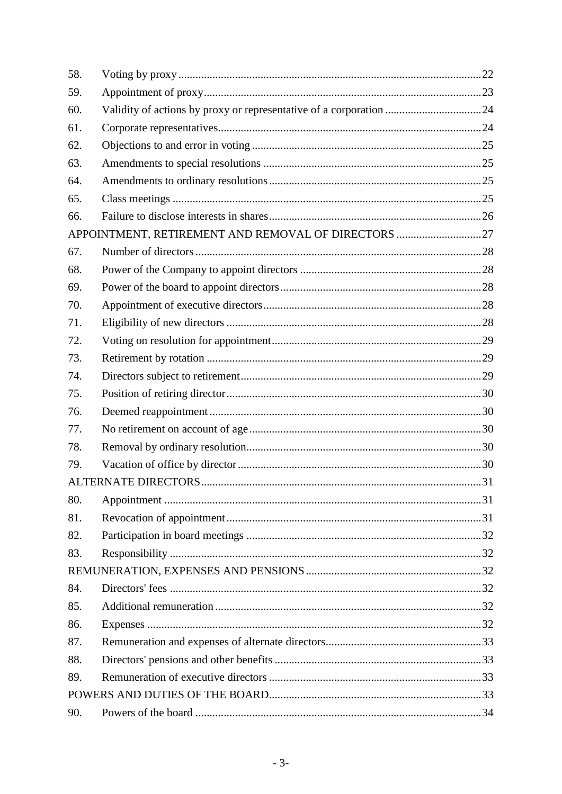| 58. |                                                     |  |  |  |
|-----|-----------------------------------------------------|--|--|--|
| 59. |                                                     |  |  |  |
| 60. |                                                     |  |  |  |
| 61. |                                                     |  |  |  |
| 62. |                                                     |  |  |  |
| 63. |                                                     |  |  |  |
| 64. |                                                     |  |  |  |
| 65. |                                                     |  |  |  |
| 66. |                                                     |  |  |  |
|     | APPOINTMENT, RETIREMENT AND REMOVAL OF DIRECTORS 27 |  |  |  |
| 67. |                                                     |  |  |  |
| 68. |                                                     |  |  |  |
| 69. |                                                     |  |  |  |
| 70. |                                                     |  |  |  |
| 71. |                                                     |  |  |  |
| 72. |                                                     |  |  |  |
| 73. |                                                     |  |  |  |
| 74. |                                                     |  |  |  |
| 75. |                                                     |  |  |  |
| 76. |                                                     |  |  |  |
| 77. |                                                     |  |  |  |
| 78. |                                                     |  |  |  |
| 79. |                                                     |  |  |  |
|     |                                                     |  |  |  |
| 80. |                                                     |  |  |  |
| 81. |                                                     |  |  |  |
| 82. |                                                     |  |  |  |
| 83. |                                                     |  |  |  |
|     |                                                     |  |  |  |
| 84. |                                                     |  |  |  |
| 85. |                                                     |  |  |  |
| 86. |                                                     |  |  |  |
| 87. |                                                     |  |  |  |
| 88. |                                                     |  |  |  |
| 89. |                                                     |  |  |  |
|     |                                                     |  |  |  |
| 90. |                                                     |  |  |  |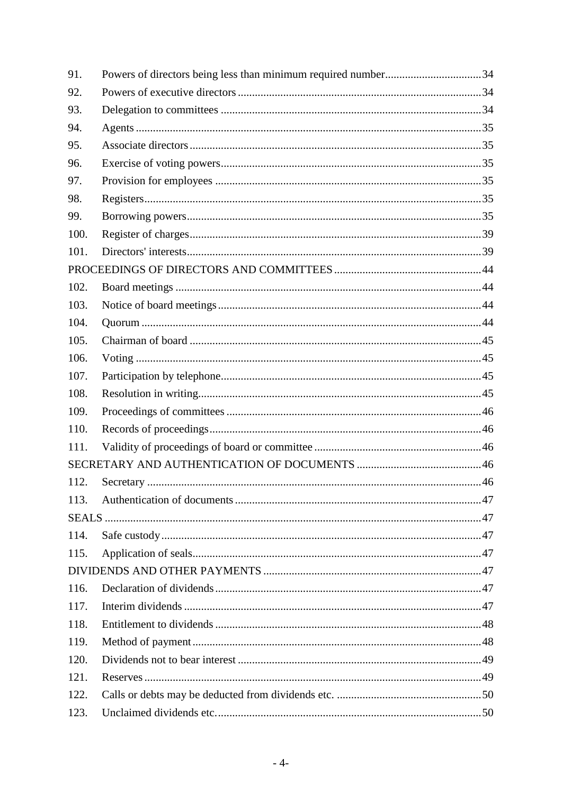| 91.  | Powers of directors being less than minimum required number34 |  |
|------|---------------------------------------------------------------|--|
| 92.  |                                                               |  |
| 93.  |                                                               |  |
| 94.  |                                                               |  |
| 95.  |                                                               |  |
| 96.  |                                                               |  |
| 97.  |                                                               |  |
| 98.  |                                                               |  |
| 99.  |                                                               |  |
| 100. |                                                               |  |
| 101. |                                                               |  |
|      |                                                               |  |
| 102. |                                                               |  |
| 103. |                                                               |  |
| 104. |                                                               |  |
| 105. |                                                               |  |
| 106. |                                                               |  |
| 107. |                                                               |  |
| 108. |                                                               |  |
| 109. |                                                               |  |
| 110. |                                                               |  |
| 111. |                                                               |  |
|      |                                                               |  |
| 112. |                                                               |  |
| 113. |                                                               |  |
|      |                                                               |  |
| 114. |                                                               |  |
| 115. |                                                               |  |
|      |                                                               |  |
| 116. |                                                               |  |
| 117. |                                                               |  |
| 118. |                                                               |  |
| 119. |                                                               |  |
| 120. |                                                               |  |
| 121. |                                                               |  |
| 122. |                                                               |  |
| 123. |                                                               |  |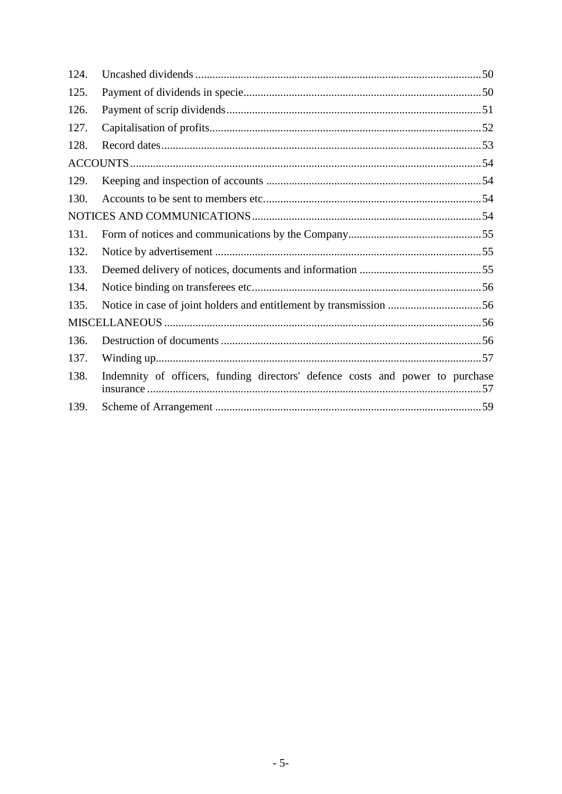| 124. |                                                                               |
|------|-------------------------------------------------------------------------------|
| 125. |                                                                               |
| 126. |                                                                               |
| 127. |                                                                               |
| 128. |                                                                               |
|      |                                                                               |
| 129. |                                                                               |
| 130. |                                                                               |
|      |                                                                               |
| 131. |                                                                               |
| 132. |                                                                               |
| 133. |                                                                               |
| 134. |                                                                               |
| 135. | Notice in case of joint holders and entitlement by transmission 56            |
|      |                                                                               |
| 136. |                                                                               |
| 137. |                                                                               |
| 138. | Indemnity of officers, funding directors' defence costs and power to purchase |
| 139. |                                                                               |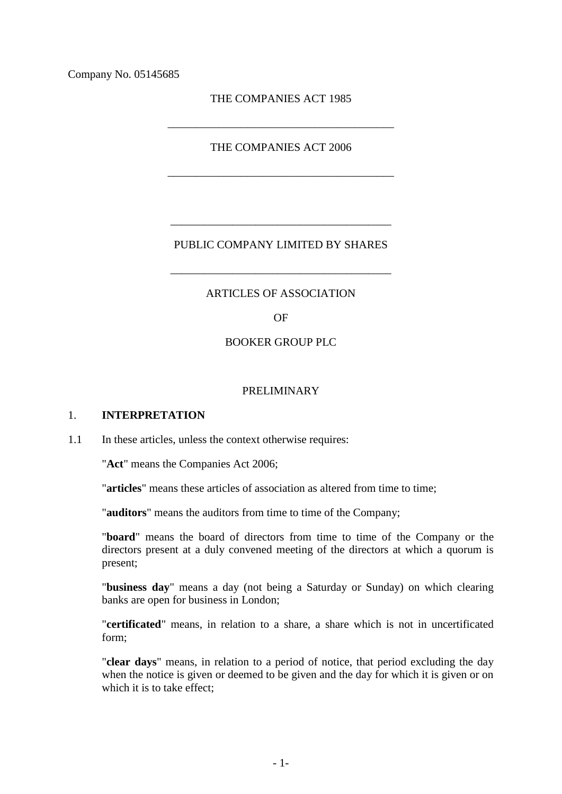Company No. 05145685

THE COMPANIES ACT 1985

\_\_\_\_\_\_\_\_\_\_\_\_\_\_\_\_\_\_\_\_\_\_\_\_\_\_\_\_\_\_\_\_\_\_\_\_\_\_\_\_

THE COMPANIES ACT 2006

\_\_\_\_\_\_\_\_\_\_\_\_\_\_\_\_\_\_\_\_\_\_\_\_\_\_\_\_\_\_\_\_\_\_\_\_\_\_\_\_

# PUBLIC COMPANY LIMITED BY SHARES

\_\_\_\_\_\_\_\_\_\_\_\_\_\_\_\_\_\_\_\_\_\_\_\_\_\_\_\_\_\_\_\_\_\_\_\_\_\_\_

\_\_\_\_\_\_\_\_\_\_\_\_\_\_\_\_\_\_\_\_\_\_\_\_\_\_\_\_\_\_\_\_\_\_\_\_\_\_\_

#### ARTICLES OF ASSOCIATION

OF

#### BOOKER GROUP PLC

### PRELIMINARY

#### 1. **INTERPRETATION**

1.1 In these articles, unless the context otherwise requires:

"**Act**" means the Companies Act 2006;

"**articles**" means these articles of association as altered from time to time;

"**auditors**" means the auditors from time to time of the Company;

"**board**" means the board of directors from time to time of the Company or the directors present at a duly convened meeting of the directors at which a quorum is present;

"**business day**" means a day (not being a Saturday or Sunday) on which clearing banks are open for business in London;

"**certificated**" means, in relation to a share, a share which is not in uncertificated form;

"**clear days**" means, in relation to a period of notice, that period excluding the day when the notice is given or deemed to be given and the day for which it is given or on which it is to take effect;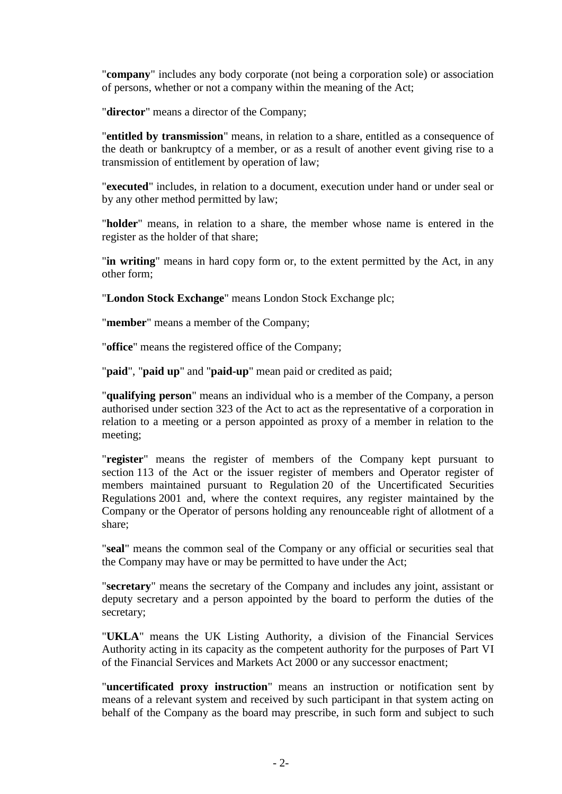"**company**" includes any body corporate (not being a corporation sole) or association of persons, whether or not a company within the meaning of the Act;

"**director**" means a director of the Company;

"**entitled by transmission**" means, in relation to a share, entitled as a consequence of the death or bankruptcy of a member, or as a result of another event giving rise to a transmission of entitlement by operation of law;

"**executed**" includes, in relation to a document, execution under hand or under seal or by any other method permitted by law;

"**holder**" means, in relation to a share, the member whose name is entered in the register as the holder of that share;

"**in writing**" means in hard copy form or, to the extent permitted by the Act, in any other form;

"**London Stock Exchange**" means London Stock Exchange plc;

"**member**" means a member of the Company;

"**office**" means the registered office of the Company;

"**paid**", "**paid up**" and "**paid-up**" mean paid or credited as paid;

"**qualifying person**" means an individual who is a member of the Company, a person authorised under section 323 of the Act to act as the representative of a corporation in relation to a meeting or a person appointed as proxy of a member in relation to the meeting;

"**register**" means the register of members of the Company kept pursuant to section 113 of the Act or the issuer register of members and Operator register of members maintained pursuant to Regulation 20 of the Uncertificated Securities Regulations 2001 and, where the context requires, any register maintained by the Company or the Operator of persons holding any renounceable right of allotment of a share;

"**seal**" means the common seal of the Company or any official or securities seal that the Company may have or may be permitted to have under the Act;

"**secretary**" means the secretary of the Company and includes any joint, assistant or deputy secretary and a person appointed by the board to perform the duties of the secretary;

"**UKLA**" means the UK Listing Authority, a division of the Financial Services Authority acting in its capacity as the competent authority for the purposes of Part VI of the Financial Services and Markets Act 2000 or any successor enactment;

"**uncertificated proxy instruction**" means an instruction or notification sent by means of a relevant system and received by such participant in that system acting on behalf of the Company as the board may prescribe, in such form and subject to such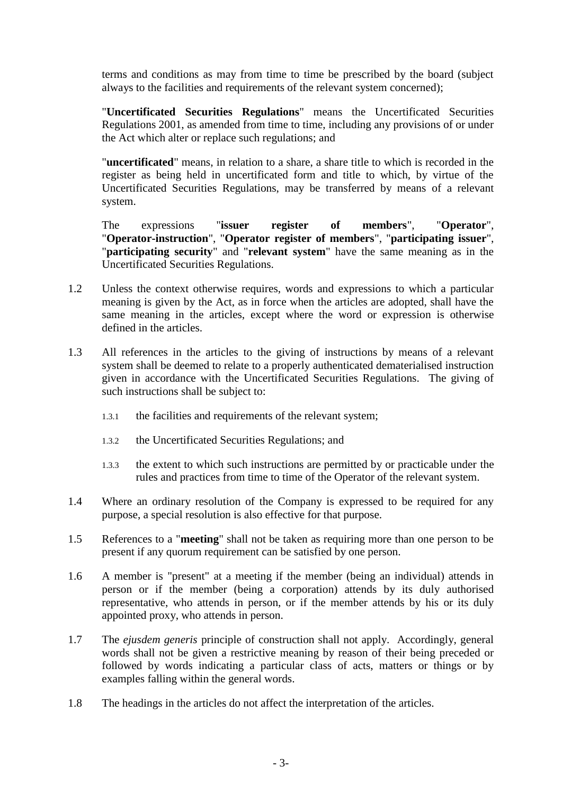terms and conditions as may from time to time be prescribed by the board (subject always to the facilities and requirements of the relevant system concerned);

"**Uncertificated Securities Regulations**" means the Uncertificated Securities Regulations 2001, as amended from time to time, including any provisions of or under the Act which alter or replace such regulations; and

"**uncertificated**" means, in relation to a share, a share title to which is recorded in the register as being held in uncertificated form and title to which, by virtue of the Uncertificated Securities Regulations, may be transferred by means of a relevant system.

The expressions "**issuer register of members**", "**Operator**", "**Operator-instruction**", "**Operator register of members**", "**participating issuer**", "**participating security**" and "**relevant system**" have the same meaning as in the Uncertificated Securities Regulations.

- <span id="page-8-0"></span>1.2 Unless the context otherwise requires, words and expressions to which a particular meaning is given by the Act, as in force when the articles are adopted, shall have the same meaning in the articles, except where the word or expression is otherwise defined in the articles.
- 1.3 All references in the articles to the giving of instructions by means of a relevant system shall be deemed to relate to a properly authenticated dematerialised instruction given in accordance with the Uncertificated Securities Regulations. The giving of such instructions shall be subject to:
	- 1.3.1 the facilities and requirements of the relevant system;
	- 1.3.2 the Uncertificated Securities Regulations; and
	- 1.3.3 the extent to which such instructions are permitted by or practicable under the rules and practices from time to time of the Operator of the relevant system.
- 1.4 Where an ordinary resolution of the Company is expressed to be required for any purpose, a special resolution is also effective for that purpose.
- 1.5 References to a "**meeting**" shall not be taken as requiring more than one person to be present if any quorum requirement can be satisfied by one person.
- 1.6 A member is "present" at a meeting if the member (being an individual) attends in person or if the member (being a corporation) attends by its duly authorised representative, who attends in person, or if the member attends by his or its duly appointed proxy, who attends in person.
- 1.7 The *ejusdem generis* principle of construction shall not apply. Accordingly, general words shall not be given a restrictive meaning by reason of their being preceded or followed by words indicating a particular class of acts, matters or things or by examples falling within the general words.
- 1.8 The headings in the articles do not affect the interpretation of the articles.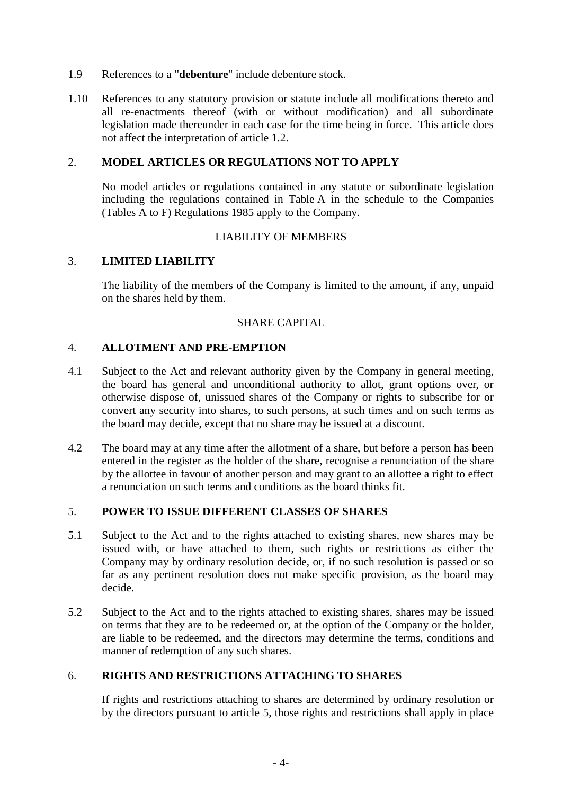- 1.9 References to a "**debenture**" include debenture stock.
- 1.10 References to any statutory provision or statute include all modifications thereto and all re-enactments thereof (with or without modification) and all subordinate legislation made thereunder in each case for the time being in force. This article does not affect the interpretation of article [1.2.](#page-8-0)

## 2. **MODEL ARTICLES OR REGULATIONS NOT TO APPLY**

No model articles or regulations contained in any statute or subordinate legislation including the regulations contained in Table A in the schedule to the Companies (Tables A to F) Regulations 1985 apply to the Company.

## LIABILITY OF MEMBERS

## 3. **LIMITED LIABILITY**

The liability of the members of the Company is limited to the amount, if any, unpaid on the shares held by them.

## SHARE CAPITAL

## 4. **ALLOTMENT AND PRE-EMPTION**

- 4.1 Subject to the Act and relevant authority given by the Company in general meeting, the board has general and unconditional authority to allot, grant options over, or otherwise dispose of, unissued shares of the Company or rights to subscribe for or convert any security into shares, to such persons, at such times and on such terms as the board may decide, except that no share may be issued at a discount.
- 4.2 The board may at any time after the allotment of a share, but before a person has been entered in the register as the holder of the share, recognise a renunciation of the share by the allottee in favour of another person and may grant to an allottee a right to effect a renunciation on such terms and conditions as the board thinks fit.

## <span id="page-9-0"></span>5. **POWER TO ISSUE DIFFERENT CLASSES OF SHARES**

- 5.1 Subject to the Act and to the rights attached to existing shares, new shares may be issued with, or have attached to them, such rights or restrictions as either the Company may by ordinary resolution decide, or, if no such resolution is passed or so far as any pertinent resolution does not make specific provision, as the board may decide.
- 5.2 Subject to the Act and to the rights attached to existing shares, shares may be issued on terms that they are to be redeemed or, at the option of the Company or the holder, are liable to be redeemed, and the directors may determine the terms, conditions and manner of redemption of any such shares.

# 6. **RIGHTS AND RESTRICTIONS ATTACHING TO SHARES**

If rights and restrictions attaching to shares are determined by ordinary resolution or by the directors pursuant to article [5,](#page-9-0) those rights and restrictions shall apply in place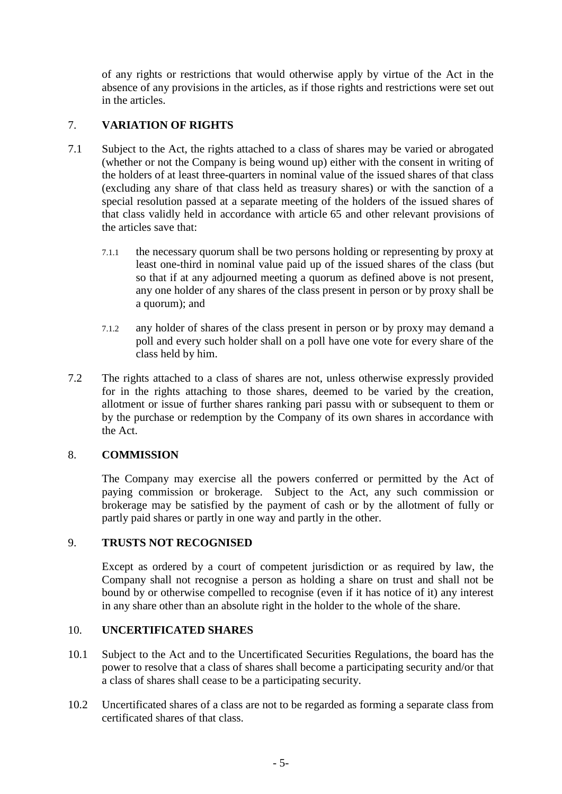of any rights or restrictions that would otherwise apply by virtue of the Act in the absence of any provisions in the articles, as if those rights and restrictions were set out in the articles.

# 7. **VARIATION OF RIGHTS**

- 7.1 Subject to the Act, the rights attached to a class of shares may be varied or abrogated (whether or not the Company is being wound up) either with the consent in writing of the holders of at least three-quarters in nominal value of the issued shares of that class (excluding any share of that class held as treasury shares) or with the sanction of a special resolution passed at a separate meeting of the holders of the issued shares of that class validly held in accordance with article [65](#page-30-0) and other relevant provisions of the articles save that:
	- 7.1.1 the necessary quorum shall be two persons holding or representing by proxy at least one-third in nominal value paid up of the issued shares of the class (but so that if at any adjourned meeting a quorum as defined above is not present, any one holder of any shares of the class present in person or by proxy shall be a quorum); and
	- 7.1.2 any holder of shares of the class present in person or by proxy may demand a poll and every such holder shall on a poll have one vote for every share of the class held by him.
- 7.2 The rights attached to a class of shares are not, unless otherwise expressly provided for in the rights attaching to those shares, deemed to be varied by the creation, allotment or issue of further shares ranking pari passu with or subsequent to them or by the purchase or redemption by the Company of its own shares in accordance with the Act.

# 8. **COMMISSION**

The Company may exercise all the powers conferred or permitted by the Act of paying commission or brokerage. Subject to the Act, any such commission or brokerage may be satisfied by the payment of cash or by the allotment of fully or partly paid shares or partly in one way and partly in the other.

## 9. **TRUSTS NOT RECOGNISED**

Except as ordered by a court of competent jurisdiction or as required by law, the Company shall not recognise a person as holding a share on trust and shall not be bound by or otherwise compelled to recognise (even if it has notice of it) any interest in any share other than an absolute right in the holder to the whole of the share.

## 10. **UNCERTIFICATED SHARES**

- 10.1 Subject to the Act and to the Uncertificated Securities Regulations, the board has the power to resolve that a class of shares shall become a participating security and/or that a class of shares shall cease to be a participating security.
- 10.2 Uncertificated shares of a class are not to be regarded as forming a separate class from certificated shares of that class.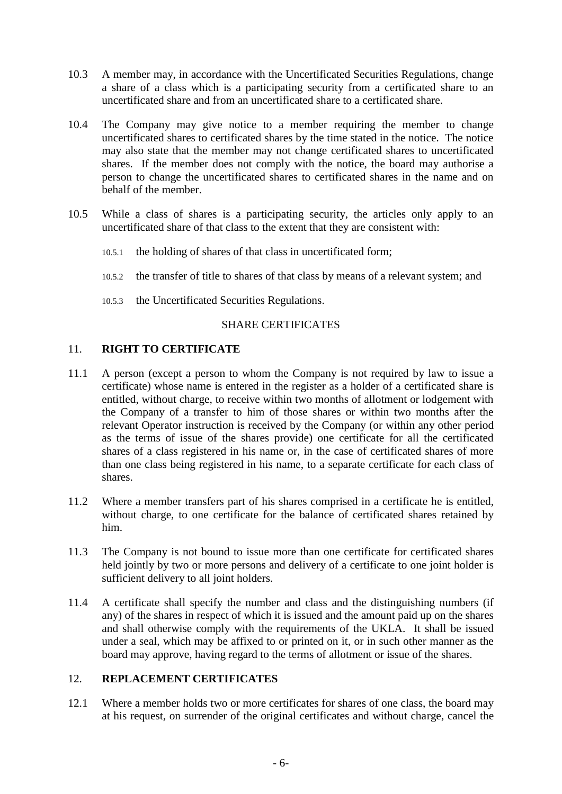- 10.3 A member may, in accordance with the Uncertificated Securities Regulations, change a share of a class which is a participating security from a certificated share to an uncertificated share and from an uncertificated share to a certificated share.
- 10.4 The Company may give notice to a member requiring the member to change uncertificated shares to certificated shares by the time stated in the notice. The notice may also state that the member may not change certificated shares to uncertificated shares. If the member does not comply with the notice, the board may authorise a person to change the uncertificated shares to certificated shares in the name and on behalf of the member.
- 10.5 While a class of shares is a participating security, the articles only apply to an uncertificated share of that class to the extent that they are consistent with:
	- 10.5.1 the holding of shares of that class in uncertificated form;
	- 10.5.2 the transfer of title to shares of that class by means of a relevant system; and
	- 10.5.3 the Uncertificated Securities Regulations.

### SHARE CERTIFICATES

# 11. **RIGHT TO CERTIFICATE**

- 11.1 A person (except a person to whom the Company is not required by law to issue a certificate) whose name is entered in the register as a holder of a certificated share is entitled, without charge, to receive within two months of allotment or lodgement with the Company of a transfer to him of those shares or within two months after the relevant Operator instruction is received by the Company (or within any other period as the terms of issue of the shares provide) one certificate for all the certificated shares of a class registered in his name or, in the case of certificated shares of more than one class being registered in his name, to a separate certificate for each class of shares.
- 11.2 Where a member transfers part of his shares comprised in a certificate he is entitled, without charge, to one certificate for the balance of certificated shares retained by him.
- 11.3 The Company is not bound to issue more than one certificate for certificated shares held jointly by two or more persons and delivery of a certificate to one joint holder is sufficient delivery to all joint holders.
- 11.4 A certificate shall specify the number and class and the distinguishing numbers (if any) of the shares in respect of which it is issued and the amount paid up on the shares and shall otherwise comply with the requirements of the UKLA. It shall be issued under a seal, which may be affixed to or printed on it, or in such other manner as the board may approve, having regard to the terms of allotment or issue of the shares.

# 12. **REPLACEMENT CERTIFICATES**

12.1 Where a member holds two or more certificates for shares of one class, the board may at his request, on surrender of the original certificates and without charge, cancel the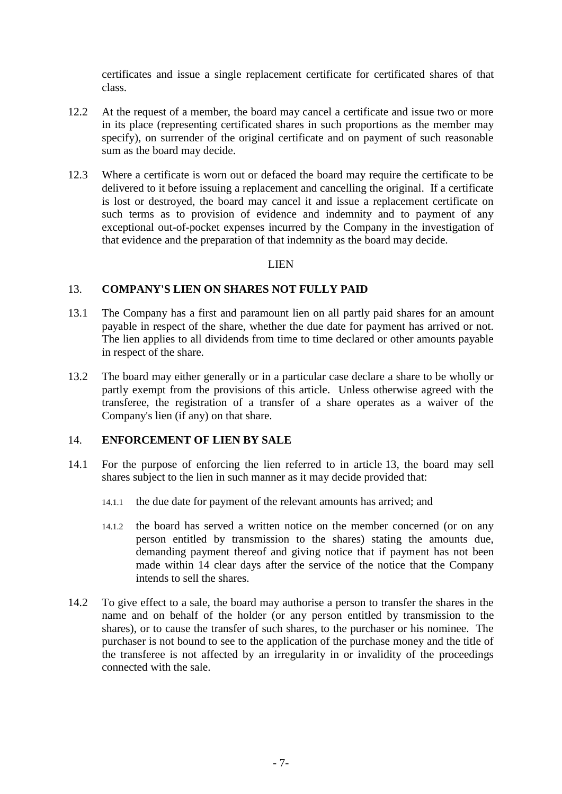certificates and issue a single replacement certificate for certificated shares of that class.

- 12.2 At the request of a member, the board may cancel a certificate and issue two or more in its place (representing certificated shares in such proportions as the member may specify), on surrender of the original certificate and on payment of such reasonable sum as the board may decide.
- 12.3 Where a certificate is worn out or defaced the board may require the certificate to be delivered to it before issuing a replacement and cancelling the original. If a certificate is lost or destroyed, the board may cancel it and issue a replacement certificate on such terms as to provision of evidence and indemnity and to payment of any exceptional out-of-pocket expenses incurred by the Company in the investigation of that evidence and the preparation of that indemnity as the board may decide.

### LIEN

### <span id="page-12-0"></span>13. **COMPANY'S LIEN ON SHARES NOT FULLY PAID**

- 13.1 The Company has a first and paramount lien on all partly paid shares for an amount payable in respect of the share, whether the due date for payment has arrived or not. The lien applies to all dividends from time to time declared or other amounts payable in respect of the share.
- 13.2 The board may either generally or in a particular case declare a share to be wholly or partly exempt from the provisions of this article. Unless otherwise agreed with the transferee, the registration of a transfer of a share operates as a waiver of the Company's lien (if any) on that share.

### <span id="page-12-1"></span>14. **ENFORCEMENT OF LIEN BY SALE**

- 14.1 For the purpose of enforcing the lien referred to in article [13,](#page-12-0) the board may sell shares subject to the lien in such manner as it may decide provided that:
	- 14.1.1 the due date for payment of the relevant amounts has arrived; and
	- 14.1.2 the board has served a written notice on the member concerned (or on any person entitled by transmission to the shares) stating the amounts due, demanding payment thereof and giving notice that if payment has not been made within 14 clear days after the service of the notice that the Company intends to sell the shares.
- 14.2 To give effect to a sale, the board may authorise a person to transfer the shares in the name and on behalf of the holder (or any person entitled by transmission to the shares), or to cause the transfer of such shares, to the purchaser or his nominee. The purchaser is not bound to see to the application of the purchase money and the title of the transferee is not affected by an irregularity in or invalidity of the proceedings connected with the sale.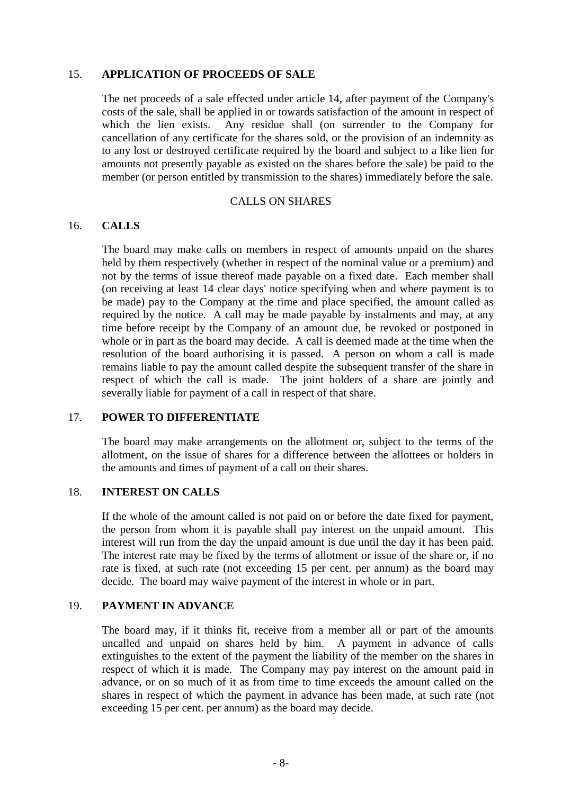### 15. **APPLICATION OF PROCEEDS OF SALE**

The net proceeds of a sale effected under article [14,](#page-12-1) after payment of the Company's costs of the sale, shall be applied in or towards satisfaction of the amount in respect of which the lien exists. Any residue shall (on surrender to the Company for cancellation of any certificate for the shares sold, or the provision of an indemnity as to any lost or destroyed certificate required by the board and subject to a like lien for amounts not presently payable as existed on the shares before the sale) be paid to the member (or person entitled by transmission to the shares) immediately before the sale.

#### CALLS ON SHARES

### 16. **CALLS**

The board may make calls on members in respect of amounts unpaid on the shares held by them respectively (whether in respect of the nominal value or a premium) and not by the terms of issue thereof made payable on a fixed date. Each member shall (on receiving at least 14 clear days' notice specifying when and where payment is to be made) pay to the Company at the time and place specified, the amount called as required by the notice. A call may be made payable by instalments and may, at any time before receipt by the Company of an amount due, be revoked or postponed in whole or in part as the board may decide. A call is deemed made at the time when the resolution of the board authorising it is passed. A person on whom a call is made remains liable to pay the amount called despite the subsequent transfer of the share in respect of which the call is made. The joint holders of a share are jointly and severally liable for payment of a call in respect of that share.

### 17. **POWER TO DIFFERENTIATE**

The board may make arrangements on the allotment or, subject to the terms of the allotment, on the issue of shares for a difference between the allottees or holders in the amounts and times of payment of a call on their shares.

### 18. **INTEREST ON CALLS**

If the whole of the amount called is not paid on or before the date fixed for payment, the person from whom it is payable shall pay interest on the unpaid amount. This interest will run from the day the unpaid amount is due until the day it has been paid. The interest rate may be fixed by the terms of allotment or issue of the share or, if no rate is fixed, at such rate (not exceeding 15 per cent. per annum) as the board may decide. The board may waive payment of the interest in whole or in part.

# 19. **PAYMENT IN ADVANCE**

The board may, if it thinks fit, receive from a member all or part of the amounts uncalled and unpaid on shares held by him. A payment in advance of calls extinguishes to the extent of the payment the liability of the member on the shares in respect of which it is made. The Company may pay interest on the amount paid in advance, or on so much of it as from time to time exceeds the amount called on the shares in respect of which the payment in advance has been made, at such rate (not exceeding 15 per cent. per annum) as the board may decide.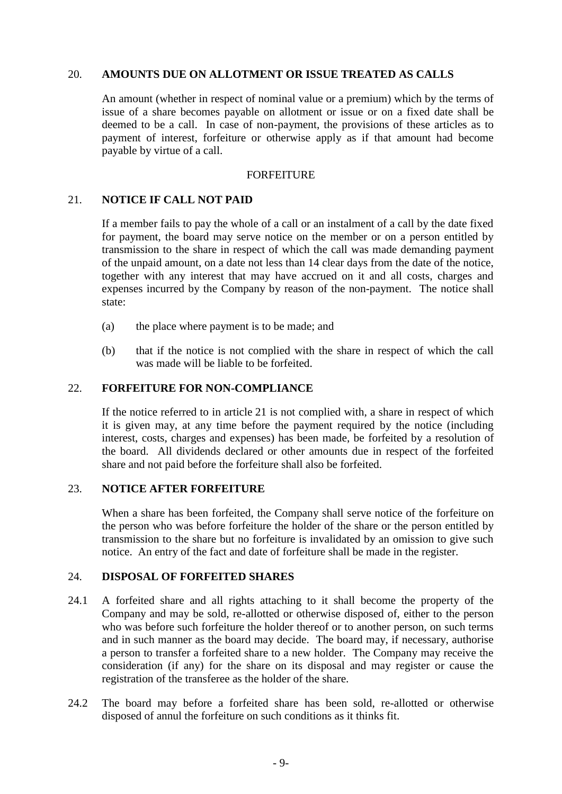### 20. **AMOUNTS DUE ON ALLOTMENT OR ISSUE TREATED AS CALLS**

An amount (whether in respect of nominal value or a premium) which by the terms of issue of a share becomes payable on allotment or issue or on a fixed date shall be deemed to be a call. In case of non-payment, the provisions of these articles as to payment of interest, forfeiture or otherwise apply as if that amount had become payable by virtue of a call.

#### **FORFEITURE**

### <span id="page-14-0"></span>21. **NOTICE IF CALL NOT PAID**

If a member fails to pay the whole of a call or an instalment of a call by the date fixed for payment, the board may serve notice on the member or on a person entitled by transmission to the share in respect of which the call was made demanding payment of the unpaid amount, on a date not less than 14 clear days from the date of the notice, together with any interest that may have accrued on it and all costs, charges and expenses incurred by the Company by reason of the non-payment. The notice shall state:

- (a) the place where payment is to be made; and
- (b) that if the notice is not complied with the share in respect of which the call was made will be liable to be forfeited.

### 22. **FORFEITURE FOR NON-COMPLIANCE**

If the notice referred to in article [21](#page-14-0) is not complied with, a share in respect of which it is given may, at any time before the payment required by the notice (including interest, costs, charges and expenses) has been made, be forfeited by a resolution of the board. All dividends declared or other amounts due in respect of the forfeited share and not paid before the forfeiture shall also be forfeited.

### 23. **NOTICE AFTER FORFEITURE**

When a share has been forfeited, the Company shall serve notice of the forfeiture on the person who was before forfeiture the holder of the share or the person entitled by transmission to the share but no forfeiture is invalidated by an omission to give such notice. An entry of the fact and date of forfeiture shall be made in the register.

# 24. **DISPOSAL OF FORFEITED SHARES**

- 24.1 A forfeited share and all rights attaching to it shall become the property of the Company and may be sold, re-allotted or otherwise disposed of, either to the person who was before such forfeiture the holder thereof or to another person, on such terms and in such manner as the board may decide. The board may, if necessary, authorise a person to transfer a forfeited share to a new holder. The Company may receive the consideration (if any) for the share on its disposal and may register or cause the registration of the transferee as the holder of the share.
- 24.2 The board may before a forfeited share has been sold, re-allotted or otherwise disposed of annul the forfeiture on such conditions as it thinks fit.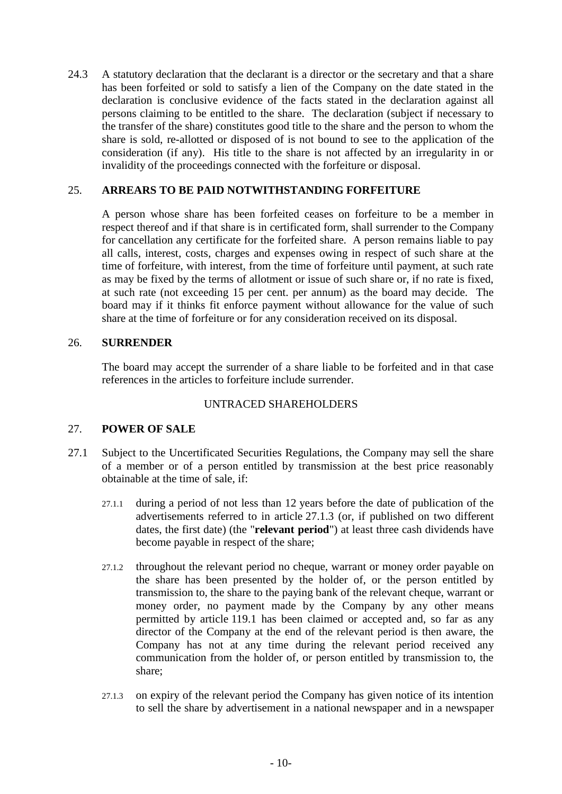24.3 A statutory declaration that the declarant is a director or the secretary and that a share has been forfeited or sold to satisfy a lien of the Company on the date stated in the declaration is conclusive evidence of the facts stated in the declaration against all persons claiming to be entitled to the share. The declaration (subject if necessary to the transfer of the share) constitutes good title to the share and the person to whom the share is sold, re-allotted or disposed of is not bound to see to the application of the consideration (if any). His title to the share is not affected by an irregularity in or invalidity of the proceedings connected with the forfeiture or disposal.

### 25. **ARREARS TO BE PAID NOTWITHSTANDING FORFEITURE**

A person whose share has been forfeited ceases on forfeiture to be a member in respect thereof and if that share is in certificated form, shall surrender to the Company for cancellation any certificate for the forfeited share. A person remains liable to pay all calls, interest, costs, charges and expenses owing in respect of such share at the time of forfeiture, with interest, from the time of forfeiture until payment, at such rate as may be fixed by the terms of allotment or issue of such share or, if no rate is fixed, at such rate (not exceeding 15 per cent. per annum) as the board may decide. The board may if it thinks fit enforce payment without allowance for the value of such share at the time of forfeiture or for any consideration received on its disposal.

## 26. **SURRENDER**

The board may accept the surrender of a share liable to be forfeited and in that case references in the articles to forfeiture include surrender.

### UNTRACED SHAREHOLDERS

## 27. **POWER OF SALE**

- <span id="page-15-2"></span><span id="page-15-1"></span><span id="page-15-0"></span>27.1 Subject to the Uncertificated Securities Regulations, the Company may sell the share of a member or of a person entitled by transmission at the best price reasonably obtainable at the time of sale, if:
	- 27.1.1 during a period of not less than 12 years before the date of publication of the advertisements referred to in article [27.1.3](#page-15-0) (or, if published on two different dates, the first date) (the "**relevant period**") at least three cash dividends have become payable in respect of the share;
	- 27.1.2 throughout the relevant period no cheque, warrant or money order payable on the share has been presented by the holder of, or the person entitled by transmission to, the share to the paying bank of the relevant cheque, warrant or money order, no payment made by the Company by any other means permitted by article [119.1](#page-53-0) has been claimed or accepted and, so far as any director of the Company at the end of the relevant period is then aware, the Company has not at any time during the relevant period received any communication from the holder of, or person entitled by transmission to, the share;
	- 27.1.3 on expiry of the relevant period the Company has given notice of its intention to sell the share by advertisement in a national newspaper and in a newspaper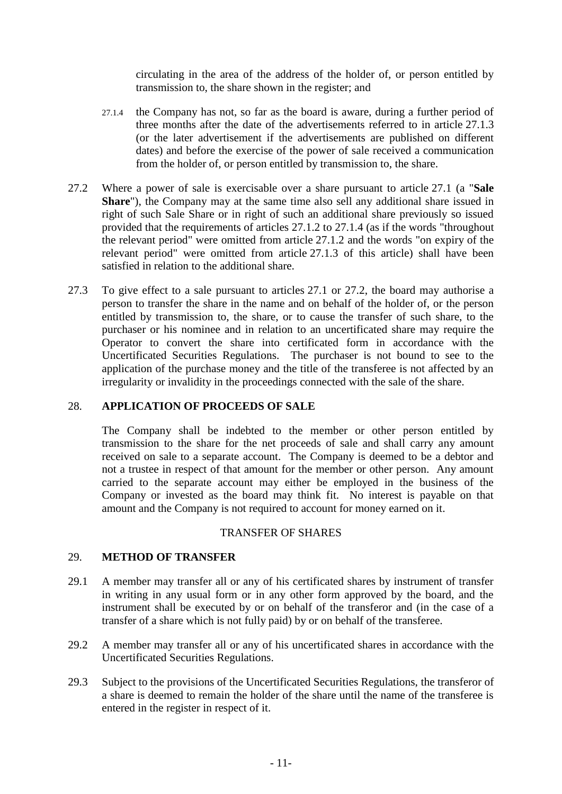circulating in the area of the address of the holder of, or person entitled by transmission to, the share shown in the register; and

- <span id="page-16-0"></span>27.1.4 the Company has not, so far as the board is aware, during a further period of three months after the date of the advertisements referred to in article [27.1.3](#page-15-0) (or the later advertisement if the advertisements are published on different dates) and before the exercise of the power of sale received a communication from the holder of, or person entitled by transmission to, the share.
- <span id="page-16-1"></span>27.2 Where a power of sale is exercisable over a share pursuant to article [27.1](#page-15-1) (a "**Sale Share**"), the Company may at the same time also sell any additional share issued in right of such Sale Share or in right of such an additional share previously so issued provided that the requirements of articles [27.1.2](#page-15-2) to [27.1.4](#page-16-0) (as if the words "throughout the relevant period" were omitted from article [27.1.2](#page-15-2) and the words "on expiry of the relevant period" were omitted from article [27.1.3](#page-15-0) of this article) shall have been satisfied in relation to the additional share.
- 27.3 To give effect to a sale pursuant to articles [27.1](#page-15-1) or [27.2,](#page-16-1) the board may authorise a person to transfer the share in the name and on behalf of the holder of, or the person entitled by transmission to, the share, or to cause the transfer of such share, to the purchaser or his nominee and in relation to an uncertificated share may require the Operator to convert the share into certificated form in accordance with the Uncertificated Securities Regulations. The purchaser is not bound to see to the application of the purchase money and the title of the transferee is not affected by an irregularity or invalidity in the proceedings connected with the sale of the share.

# 28. **APPLICATION OF PROCEEDS OF SALE**

The Company shall be indebted to the member or other person entitled by transmission to the share for the net proceeds of sale and shall carry any amount received on sale to a separate account. The Company is deemed to be a debtor and not a trustee in respect of that amount for the member or other person. Any amount carried to the separate account may either be employed in the business of the Company or invested as the board may think fit. No interest is payable on that amount and the Company is not required to account for money earned on it.

### TRANSFER OF SHARES

### 29. **METHOD OF TRANSFER**

- 29.1 A member may transfer all or any of his certificated shares by instrument of transfer in writing in any usual form or in any other form approved by the board, and the instrument shall be executed by or on behalf of the transferor and (in the case of a transfer of a share which is not fully paid) by or on behalf of the transferee.
- 29.2 A member may transfer all or any of his uncertificated shares in accordance with the Uncertificated Securities Regulations.
- 29.3 Subject to the provisions of the Uncertificated Securities Regulations, the transferor of a share is deemed to remain the holder of the share until the name of the transferee is entered in the register in respect of it.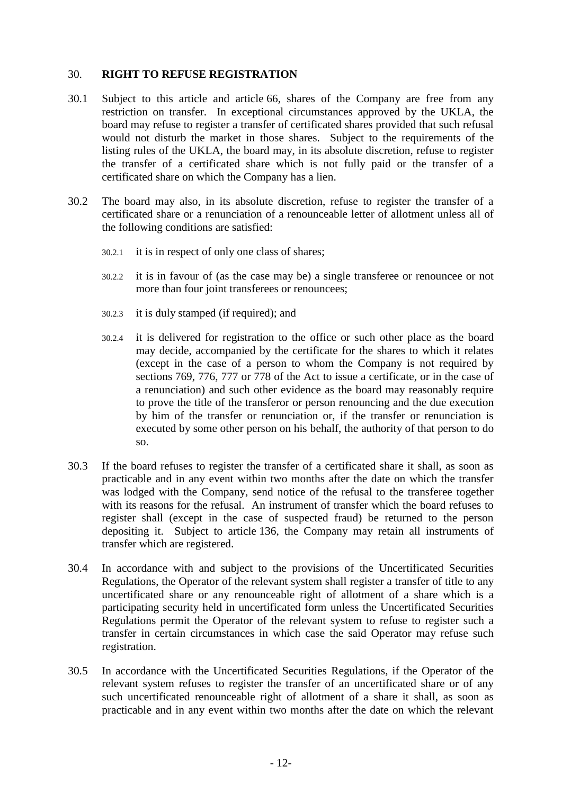## 30. **RIGHT TO REFUSE REGISTRATION**

- 30.1 Subject to this article and article [66,](#page-31-0) shares of the Company are free from any restriction on transfer. In exceptional circumstances approved by the UKLA, the board may refuse to register a transfer of certificated shares provided that such refusal would not disturb the market in those shares. Subject to the requirements of the listing rules of the UKLA, the board may, in its absolute discretion, refuse to register the transfer of a certificated share which is not fully paid or the transfer of a certificated share on which the Company has a lien.
- 30.2 The board may also, in its absolute discretion, refuse to register the transfer of a certificated share or a renunciation of a renounceable letter of allotment unless all of the following conditions are satisfied:
	- 30.2.1 it is in respect of only one class of shares;
	- 30.2.2 it is in favour of (as the case may be) a single transferee or renouncee or not more than four joint transferees or renouncees;
	- 30.2.3 it is duly stamped (if required); and
	- 30.2.4 it is delivered for registration to the office or such other place as the board may decide, accompanied by the certificate for the shares to which it relates (except in the case of a person to whom the Company is not required by sections 769, 776, 777 or 778 of the Act to issue a certificate, or in the case of a renunciation) and such other evidence as the board may reasonably require to prove the title of the transferor or person renouncing and the due execution by him of the transfer or renunciation or, if the transfer or renunciation is executed by some other person on his behalf, the authority of that person to do so.
- 30.3 If the board refuses to register the transfer of a certificated share it shall, as soon as practicable and in any event within two months after the date on which the transfer was lodged with the Company, send notice of the refusal to the transferee together with its reasons for the refusal. An instrument of transfer which the board refuses to register shall (except in the case of suspected fraud) be returned to the person depositing it. Subject to article [136,](#page-61-0) the Company may retain all instruments of transfer which are registered.
- 30.4 In accordance with and subject to the provisions of the Uncertificated Securities Regulations, the Operator of the relevant system shall register a transfer of title to any uncertificated share or any renounceable right of allotment of a share which is a participating security held in uncertificated form unless the Uncertificated Securities Regulations permit the Operator of the relevant system to refuse to register such a transfer in certain circumstances in which case the said Operator may refuse such registration.
- 30.5 In accordance with the Uncertificated Securities Regulations, if the Operator of the relevant system refuses to register the transfer of an uncertificated share or of any such uncertificated renounceable right of allotment of a share it shall, as soon as practicable and in any event within two months after the date on which the relevant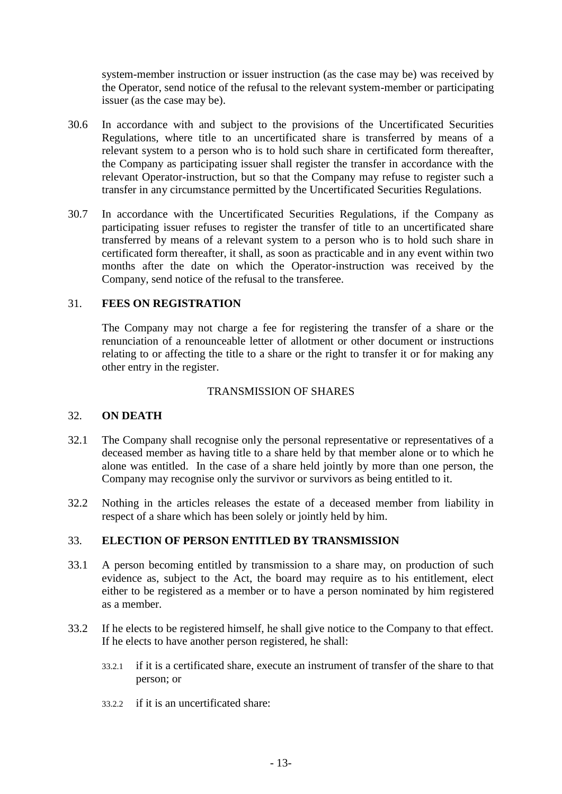system-member instruction or issuer instruction (as the case may be) was received by the Operator, send notice of the refusal to the relevant system-member or participating issuer (as the case may be).

- 30.6 In accordance with and subject to the provisions of the Uncertificated Securities Regulations, where title to an uncertificated share is transferred by means of a relevant system to a person who is to hold such share in certificated form thereafter, the Company as participating issuer shall register the transfer in accordance with the relevant Operator-instruction, but so that the Company may refuse to register such a transfer in any circumstance permitted by the Uncertificated Securities Regulations.
- 30.7 In accordance with the Uncertificated Securities Regulations, if the Company as participating issuer refuses to register the transfer of title to an uncertificated share transferred by means of a relevant system to a person who is to hold such share in certificated form thereafter, it shall, as soon as practicable and in any event within two months after the date on which the Operator-instruction was received by the Company, send notice of the refusal to the transferee.

### 31. **FEES ON REGISTRATION**

The Company may not charge a fee for registering the transfer of a share or the renunciation of a renounceable letter of allotment or other document or instructions relating to or affecting the title to a share or the right to transfer it or for making any other entry in the register.

## TRANSMISSION OF SHARES

### 32. **ON DEATH**

- 32.1 The Company shall recognise only the personal representative or representatives of a deceased member as having title to a share held by that member alone or to which he alone was entitled. In the case of a share held jointly by more than one person, the Company may recognise only the survivor or survivors as being entitled to it.
- 32.2 Nothing in the articles releases the estate of a deceased member from liability in respect of a share which has been solely or jointly held by him.

### <span id="page-18-1"></span>33. **ELECTION OF PERSON ENTITLED BY TRANSMISSION**

- <span id="page-18-0"></span>33.1 A person becoming entitled by transmission to a share may, on production of such evidence as, subject to the Act, the board may require as to his entitlement, elect either to be registered as a member or to have a person nominated by him registered as a member.
- 33.2 If he elects to be registered himself, he shall give notice to the Company to that effect. If he elects to have another person registered, he shall:
	- 33.2.1 if it is a certificated share, execute an instrument of transfer of the share to that person; or
	- 33.2.2 if it is an uncertificated share: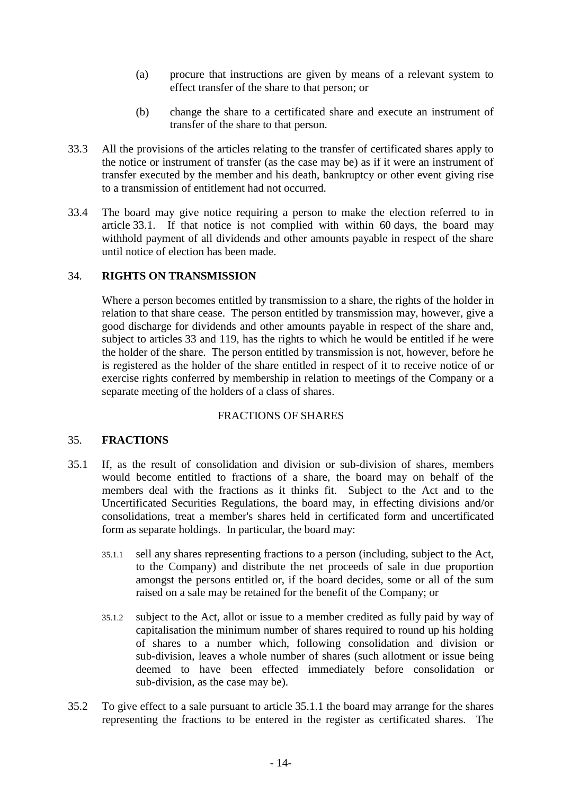- (a) procure that instructions are given by means of a relevant system to effect transfer of the share to that person; or
- (b) change the share to a certificated share and execute an instrument of transfer of the share to that person.
- 33.3 All the provisions of the articles relating to the transfer of certificated shares apply to the notice or instrument of transfer (as the case may be) as if it were an instrument of transfer executed by the member and his death, bankruptcy or other event giving rise to a transmission of entitlement had not occurred.
- 33.4 The board may give notice requiring a person to make the election referred to in article [33.1.](#page-18-0) If that notice is not complied with within 60 days, the board may withhold payment of all dividends and other amounts payable in respect of the share until notice of election has been made.

# 34. **RIGHTS ON TRANSMISSION**

Where a person becomes entitled by transmission to a share, the rights of the holder in relation to that share cease. The person entitled by transmission may, however, give a good discharge for dividends and other amounts payable in respect of the share and, subject to articles [33](#page-18-1) and [119,](#page-53-1) has the rights to which he would be entitled if he were the holder of the share. The person entitled by transmission is not, however, before he is registered as the holder of the share entitled in respect of it to receive notice of or exercise rights conferred by membership in relation to meetings of the Company or a separate meeting of the holders of a class of shares.

# FRACTIONS OF SHARES

# 35. **FRACTIONS**

- <span id="page-19-0"></span>35.1 If, as the result of consolidation and division or sub-division of shares, members would become entitled to fractions of a share, the board may on behalf of the members deal with the fractions as it thinks fit. Subject to the Act and to the Uncertificated Securities Regulations, the board may, in effecting divisions and/or consolidations, treat a member's shares held in certificated form and uncertificated form as separate holdings. In particular, the board may:
	- 35.1.1 sell any shares representing fractions to a person (including, subject to the Act, to the Company) and distribute the net proceeds of sale in due proportion amongst the persons entitled or, if the board decides, some or all of the sum raised on a sale may be retained for the benefit of the Company; or
	- 35.1.2 subject to the Act, allot or issue to a member credited as fully paid by way of capitalisation the minimum number of shares required to round up his holding of shares to a number which, following consolidation and division or sub-division, leaves a whole number of shares (such allotment or issue being deemed to have been effected immediately before consolidation or sub-division, as the case may be).
- <span id="page-19-1"></span>35.2 To give effect to a sale pursuant to article [35.1.1](#page-19-0) the board may arrange for the shares representing the fractions to be entered in the register as certificated shares. The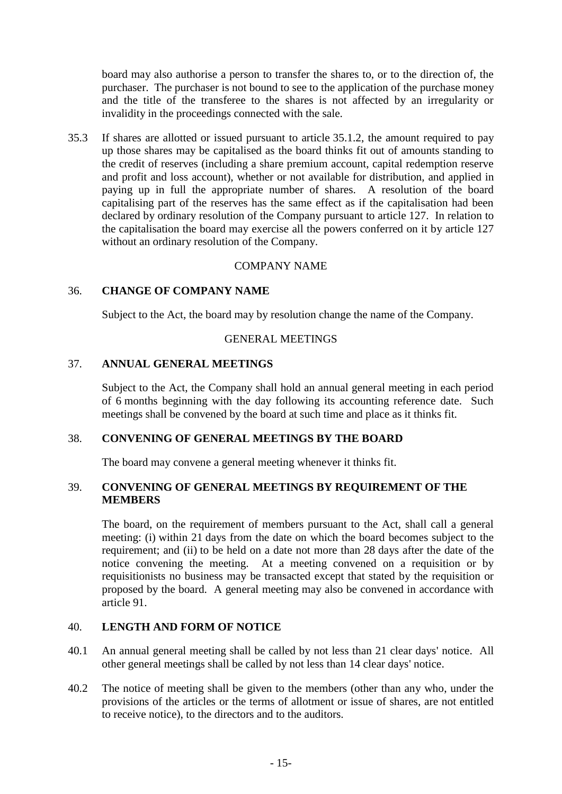board may also authorise a person to transfer the shares to, or to the direction of, the purchaser. The purchaser is not bound to see to the application of the purchase money and the title of the transferee to the shares is not affected by an irregularity or invalidity in the proceedings connected with the sale.

35.3 If shares are allotted or issued pursuant to article [35.1.2,](#page-19-1) the amount required to pay up those shares may be capitalised as the board thinks fit out of amounts standing to the credit of reserves (including a share premium account, capital redemption reserve and profit and loss account), whether or not available for distribution, and applied in paying up in full the appropriate number of shares. A resolution of the board capitalising part of the reserves has the same effect as if the capitalisation had been declared by ordinary resolution of the Company pursuant to article [127.](#page-57-0) In relation to the capitalisation the board may exercise all the powers conferred on it by article [127](#page-57-0) without an ordinary resolution of the Company.

#### COMPANY NAME

#### 36. **CHANGE OF COMPANY NAME**

Subject to the Act, the board may by resolution change the name of the Company.

#### GENERAL MEETINGS

### 37. **ANNUAL GENERAL MEETINGS**

Subject to the Act, the Company shall hold an annual general meeting in each period of 6 months beginning with the day following its accounting reference date. Such meetings shall be convened by the board at such time and place as it thinks fit.

#### 38. **CONVENING OF GENERAL MEETINGS BY THE BOARD**

The board may convene a general meeting whenever it thinks fit.

### 39. **CONVENING OF GENERAL MEETINGS BY REQUIREMENT OF THE MEMBERS**

The board, on the requirement of members pursuant to the Act, shall call a general meeting: (i) within 21 days from the date on which the board becomes subject to the requirement; and (ii) to be held on a date not more than 28 days after the date of the notice convening the meeting. At a meeting convened on a requisition or by requisitionists no business may be transacted except that stated by the requisition or proposed by the board. A general meeting may also be convened in accordance with article [91.](#page-39-0)

## 40. **LENGTH AND FORM OF NOTICE**

- 40.1 An annual general meeting shall be called by not less than 21 clear days' notice. All other general meetings shall be called by not less than 14 clear days' notice.
- 40.2 The notice of meeting shall be given to the members (other than any who, under the provisions of the articles or the terms of allotment or issue of shares, are not entitled to receive notice), to the directors and to the auditors.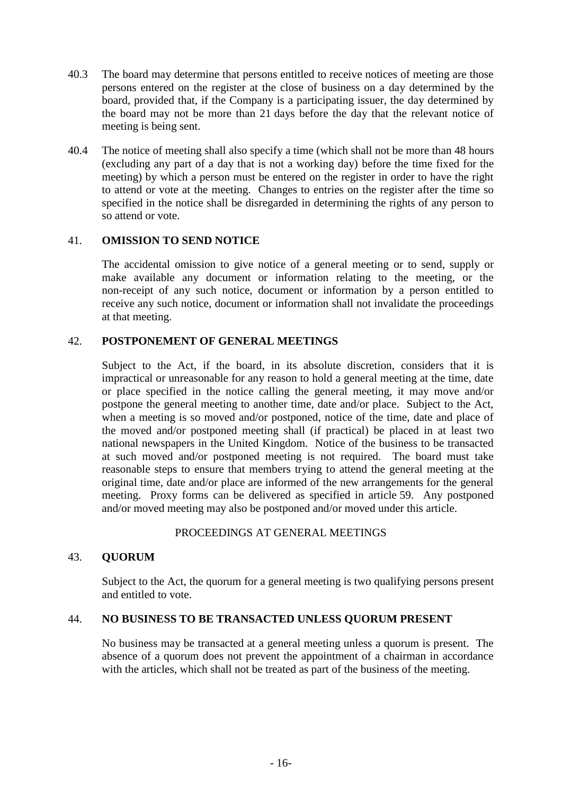- 40.3 The board may determine that persons entitled to receive notices of meeting are those persons entered on the register at the close of business on a day determined by the board, provided that, if the Company is a participating issuer, the day determined by the board may not be more than 21 days before the day that the relevant notice of meeting is being sent.
- 40.4 The notice of meeting shall also specify a time (which shall not be more than 48 hours (excluding any part of a day that is not a working day) before the time fixed for the meeting) by which a person must be entered on the register in order to have the right to attend or vote at the meeting. Changes to entries on the register after the time so specified in the notice shall be disregarded in determining the rights of any person to so attend or vote.

## 41. **OMISSION TO SEND NOTICE**

The accidental omission to give notice of a general meeting or to send, supply or make available any document or information relating to the meeting, or the non-receipt of any such notice, document or information by a person entitled to receive any such notice, document or information shall not invalidate the proceedings at that meeting.

# 42. **POSTPONEMENT OF GENERAL MEETINGS**

Subject to the Act, if the board, in its absolute discretion, considers that it is impractical or unreasonable for any reason to hold a general meeting at the time, date or place specified in the notice calling the general meeting, it may move and/or postpone the general meeting to another time, date and/or place. Subject to the Act, when a meeting is so moved and/or postponed, notice of the time, date and place of the moved and/or postponed meeting shall (if practical) be placed in at least two national newspapers in the United Kingdom. Notice of the business to be transacted at such moved and/or postponed meeting is not required. The board must take reasonable steps to ensure that members trying to attend the general meeting at the original time, date and/or place are informed of the new arrangements for the general meeting. Proxy forms can be delivered as specified in article [59.](#page-28-0) Any postponed and/or moved meeting may also be postponed and/or moved under this article.

### PROCEEDINGS AT GENERAL MEETINGS

# 43. **QUORUM**

Subject to the Act, the quorum for a general meeting is two qualifying persons present and entitled to vote.

### 44. **NO BUSINESS TO BE TRANSACTED UNLESS QUORUM PRESENT**

No business may be transacted at a general meeting unless a quorum is present. The absence of a quorum does not prevent the appointment of a chairman in accordance with the articles, which shall not be treated as part of the business of the meeting.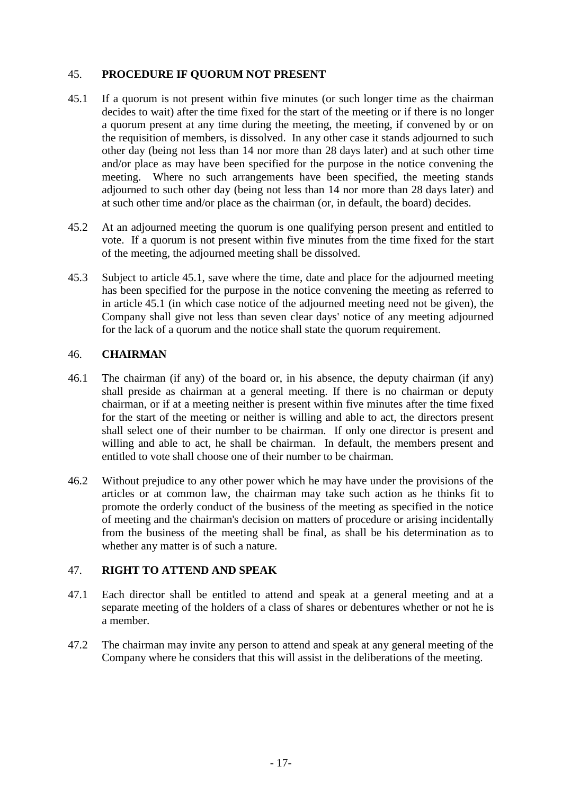## 45. **PROCEDURE IF QUORUM NOT PRESENT**

- <span id="page-22-0"></span>45.1 If a quorum is not present within five minutes (or such longer time as the chairman decides to wait) after the time fixed for the start of the meeting or if there is no longer a quorum present at any time during the meeting, the meeting, if convened by or on the requisition of members, is dissolved. In any other case it stands adjourned to such other day (being not less than 14 nor more than 28 days later) and at such other time and/or place as may have been specified for the purpose in the notice convening the meeting. Where no such arrangements have been specified, the meeting stands adjourned to such other day (being not less than 14 nor more than 28 days later) and at such other time and/or place as the chairman (or, in default, the board) decides.
- 45.2 At an adjourned meeting the quorum is one qualifying person present and entitled to vote. If a quorum is not present within five minutes from the time fixed for the start of the meeting, the adjourned meeting shall be dissolved.
- 45.3 Subject to article [45.1,](#page-22-0) save where the time, date and place for the adjourned meeting has been specified for the purpose in the notice convening the meeting as referred to in article [45.1](#page-22-0) (in which case notice of the adjourned meeting need not be given), the Company shall give not less than seven clear days' notice of any meeting adjourned for the lack of a quorum and the notice shall state the quorum requirement.

## 46. **CHAIRMAN**

- 46.1 The chairman (if any) of the board or, in his absence, the deputy chairman (if any) shall preside as chairman at a general meeting. If there is no chairman or deputy chairman, or if at a meeting neither is present within five minutes after the time fixed for the start of the meeting or neither is willing and able to act, the directors present shall select one of their number to be chairman. If only one director is present and willing and able to act, he shall be chairman. In default, the members present and entitled to vote shall choose one of their number to be chairman.
- 46.2 Without prejudice to any other power which he may have under the provisions of the articles or at common law, the chairman may take such action as he thinks fit to promote the orderly conduct of the business of the meeting as specified in the notice of meeting and the chairman's decision on matters of procedure or arising incidentally from the business of the meeting shall be final, as shall be his determination as to whether any matter is of such a nature.

### 47. **RIGHT TO ATTEND AND SPEAK**

- 47.1 Each director shall be entitled to attend and speak at a general meeting and at a separate meeting of the holders of a class of shares or debentures whether or not he is a member.
- 47.2 The chairman may invite any person to attend and speak at any general meeting of the Company where he considers that this will assist in the deliberations of the meeting.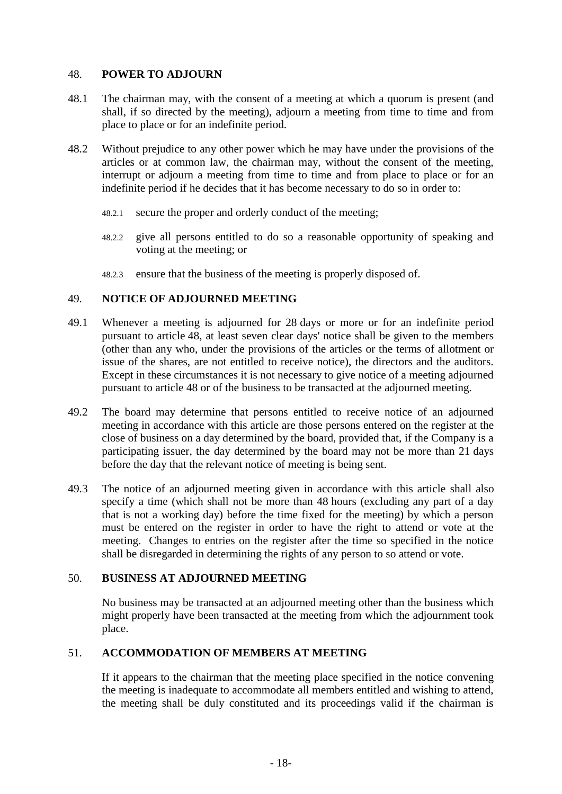## <span id="page-23-0"></span>48. **POWER TO ADJOURN**

- 48.1 The chairman may, with the consent of a meeting at which a quorum is present (and shall, if so directed by the meeting), adjourn a meeting from time to time and from place to place or for an indefinite period.
- 48.2 Without prejudice to any other power which he may have under the provisions of the articles or at common law, the chairman may, without the consent of the meeting, interrupt or adjourn a meeting from time to time and from place to place or for an indefinite period if he decides that it has become necessary to do so in order to:
	- 48.2.1 secure the proper and orderly conduct of the meeting;
	- 48.2.2 give all persons entitled to do so a reasonable opportunity of speaking and voting at the meeting; or
	- 48.2.3 ensure that the business of the meeting is properly disposed of.

## 49. **NOTICE OF ADJOURNED MEETING**

- 49.1 Whenever a meeting is adjourned for 28 days or more or for an indefinite period pursuant to article [48,](#page-23-0) at least seven clear days' notice shall be given to the members (other than any who, under the provisions of the articles or the terms of allotment or issue of the shares, are not entitled to receive notice), the directors and the auditors. Except in these circumstances it is not necessary to give notice of a meeting adjourned pursuant to article [48](#page-23-0) or of the business to be transacted at the adjourned meeting.
- 49.2 The board may determine that persons entitled to receive notice of an adjourned meeting in accordance with this article are those persons entered on the register at the close of business on a day determined by the board, provided that, if the Company is a participating issuer, the day determined by the board may not be more than 21 days before the day that the relevant notice of meeting is being sent.
- 49.3 The notice of an adjourned meeting given in accordance with this article shall also specify a time (which shall not be more than 48 hours (excluding any part of a day that is not a working day) before the time fixed for the meeting) by which a person must be entered on the register in order to have the right to attend or vote at the meeting. Changes to entries on the register after the time so specified in the notice shall be disregarded in determining the rights of any person to so attend or vote.

### 50. **BUSINESS AT ADJOURNED MEETING**

No business may be transacted at an adjourned meeting other than the business which might properly have been transacted at the meeting from which the adjournment took place.

## 51. **ACCOMMODATION OF MEMBERS AT MEETING**

If it appears to the chairman that the meeting place specified in the notice convening the meeting is inadequate to accommodate all members entitled and wishing to attend, the meeting shall be duly constituted and its proceedings valid if the chairman is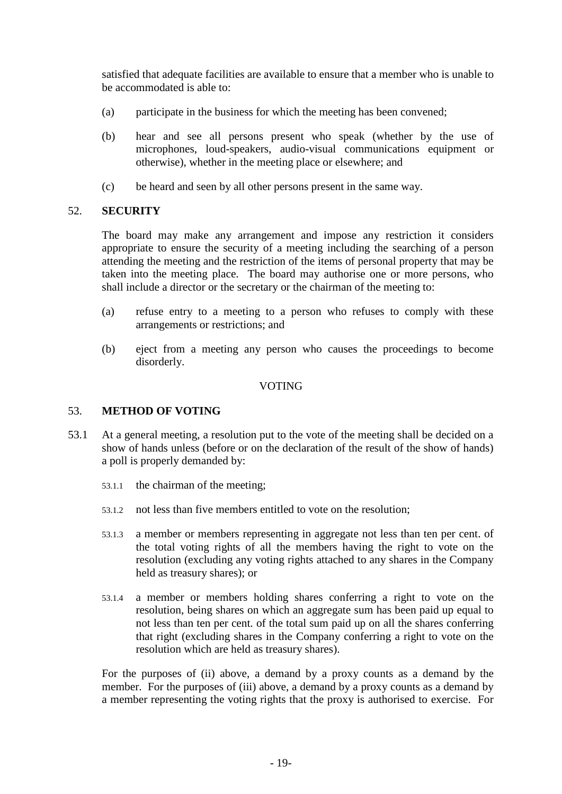satisfied that adequate facilities are available to ensure that a member who is unable to be accommodated is able to:

- (a) participate in the business for which the meeting has been convened;
- (b) hear and see all persons present who speak (whether by the use of microphones, loud-speakers, audio-visual communications equipment or otherwise), whether in the meeting place or elsewhere; and
- (c) be heard and seen by all other persons present in the same way.

## 52. **SECURITY**

The board may make any arrangement and impose any restriction it considers appropriate to ensure the security of a meeting including the searching of a person attending the meeting and the restriction of the items of personal property that may be taken into the meeting place. The board may authorise one or more persons, who shall include a director or the secretary or the chairman of the meeting to:

- (a) refuse entry to a meeting to a person who refuses to comply with these arrangements or restrictions; and
- (b) eject from a meeting any person who causes the proceedings to become disorderly.

## VOTING

# 53. **METHOD OF VOTING**

- 53.1 At a general meeting, a resolution put to the vote of the meeting shall be decided on a show of hands unless (before or on the declaration of the result of the show of hands) a poll is properly demanded by:
	- 53.1.1 the chairman of the meeting;
	- 53.1.2 not less than five members entitled to vote on the resolution;
	- 53.1.3 a member or members representing in aggregate not less than ten per cent. of the total voting rights of all the members having the right to vote on the resolution (excluding any voting rights attached to any shares in the Company held as treasury shares); or
	- 53.1.4 a member or members holding shares conferring a right to vote on the resolution, being shares on which an aggregate sum has been paid up equal to not less than ten per cent. of the total sum paid up on all the shares conferring that right (excluding shares in the Company conferring a right to vote on the resolution which are held as treasury shares).

For the purposes of (ii) above, a demand by a proxy counts as a demand by the member. For the purposes of (iii) above, a demand by a proxy counts as a demand by a member representing the voting rights that the proxy is authorised to exercise. For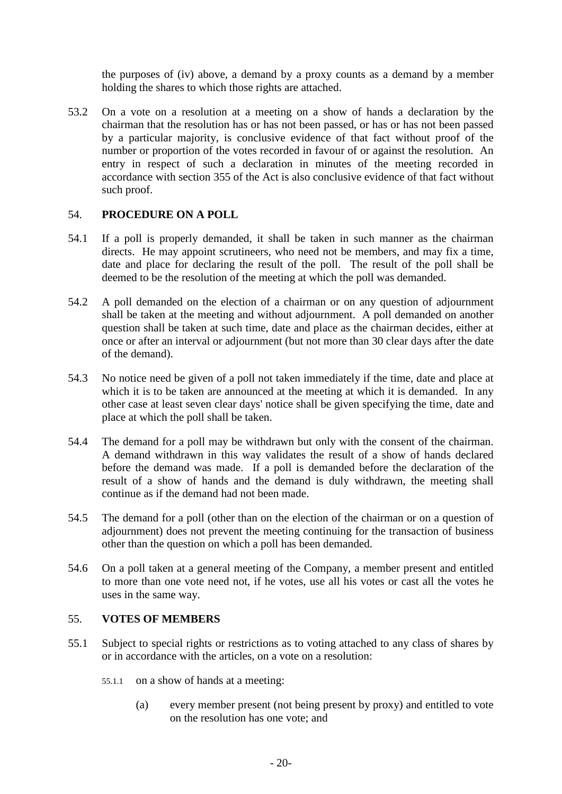the purposes of (iv) above, a demand by a proxy counts as a demand by a member holding the shares to which those rights are attached.

53.2 On a vote on a resolution at a meeting on a show of hands a declaration by the chairman that the resolution has or has not been passed, or has or has not been passed by a particular majority, is conclusive evidence of that fact without proof of the number or proportion of the votes recorded in favour of or against the resolution. An entry in respect of such a declaration in minutes of the meeting recorded in accordance with section 355 of the Act is also conclusive evidence of that fact without such proof.

# 54. **PROCEDURE ON A POLL**

- 54.1 If a poll is properly demanded, it shall be taken in such manner as the chairman directs. He may appoint scrutineers, who need not be members, and may fix a time, date and place for declaring the result of the poll. The result of the poll shall be deemed to be the resolution of the meeting at which the poll was demanded.
- 54.2 A poll demanded on the election of a chairman or on any question of adjournment shall be taken at the meeting and without adjournment. A poll demanded on another question shall be taken at such time, date and place as the chairman decides, either at once or after an interval or adjournment (but not more than 30 clear days after the date of the demand).
- 54.3 No notice need be given of a poll not taken immediately if the time, date and place at which it is to be taken are announced at the meeting at which it is demanded. In any other case at least seven clear days' notice shall be given specifying the time, date and place at which the poll shall be taken.
- 54.4 The demand for a poll may be withdrawn but only with the consent of the chairman. A demand withdrawn in this way validates the result of a show of hands declared before the demand was made. If a poll is demanded before the declaration of the result of a show of hands and the demand is duly withdrawn, the meeting shall continue as if the demand had not been made.
- 54.5 The demand for a poll (other than on the election of the chairman or on a question of adjournment) does not prevent the meeting continuing for the transaction of business other than the question on which a poll has been demanded.
- 54.6 On a poll taken at a general meeting of the Company, a member present and entitled to more than one vote need not, if he votes, use all his votes or cast all the votes he uses in the same way.

## 55. **VOTES OF MEMBERS**

- 55.1 Subject to special rights or restrictions as to voting attached to any class of shares by or in accordance with the articles, on a vote on a resolution:
	- 55.1.1 on a show of hands at a meeting:
		- (a) every member present (not being present by proxy) and entitled to vote on the resolution has one vote; and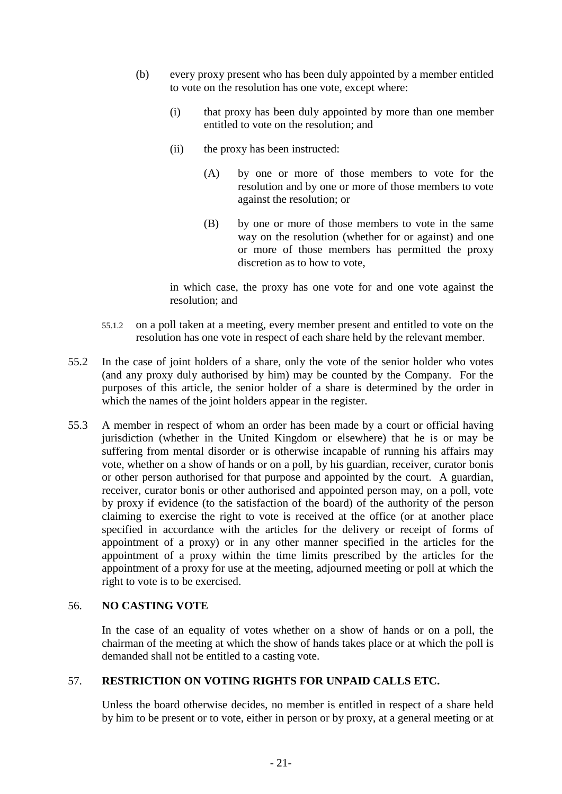- (b) every proxy present who has been duly appointed by a member entitled to vote on the resolution has one vote, except where:
	- (i) that proxy has been duly appointed by more than one member entitled to vote on the resolution; and
	- (ii) the proxy has been instructed:
		- (A) by one or more of those members to vote for the resolution and by one or more of those members to vote against the resolution; or
		- (B) by one or more of those members to vote in the same way on the resolution (whether for or against) and one or more of those members has permitted the proxy discretion as to how to vote,

in which case, the proxy has one vote for and one vote against the resolution; and

- 55.1.2 on a poll taken at a meeting, every member present and entitled to vote on the resolution has one vote in respect of each share held by the relevant member.
- 55.2 In the case of joint holders of a share, only the vote of the senior holder who votes (and any proxy duly authorised by him) may be counted by the Company. For the purposes of this article, the senior holder of a share is determined by the order in which the names of the joint holders appear in the register.
- 55.3 A member in respect of whom an order has been made by a court or official having jurisdiction (whether in the United Kingdom or elsewhere) that he is or may be suffering from mental disorder or is otherwise incapable of running his affairs may vote, whether on a show of hands or on a poll, by his guardian, receiver, curator bonis or other person authorised for that purpose and appointed by the court. A guardian, receiver, curator bonis or other authorised and appointed person may, on a poll, vote by proxy if evidence (to the satisfaction of the board) of the authority of the person claiming to exercise the right to vote is received at the office (or at another place specified in accordance with the articles for the delivery or receipt of forms of appointment of a proxy) or in any other manner specified in the articles for the appointment of a proxy within the time limits prescribed by the articles for the appointment of a proxy for use at the meeting, adjourned meeting or poll at which the right to vote is to be exercised.

# 56. **NO CASTING VOTE**

In the case of an equality of votes whether on a show of hands or on a poll, the chairman of the meeting at which the show of hands takes place or at which the poll is demanded shall not be entitled to a casting vote.

# 57. **RESTRICTION ON VOTING RIGHTS FOR UNPAID CALLS ETC.**

Unless the board otherwise decides, no member is entitled in respect of a share held by him to be present or to vote, either in person or by proxy, at a general meeting or at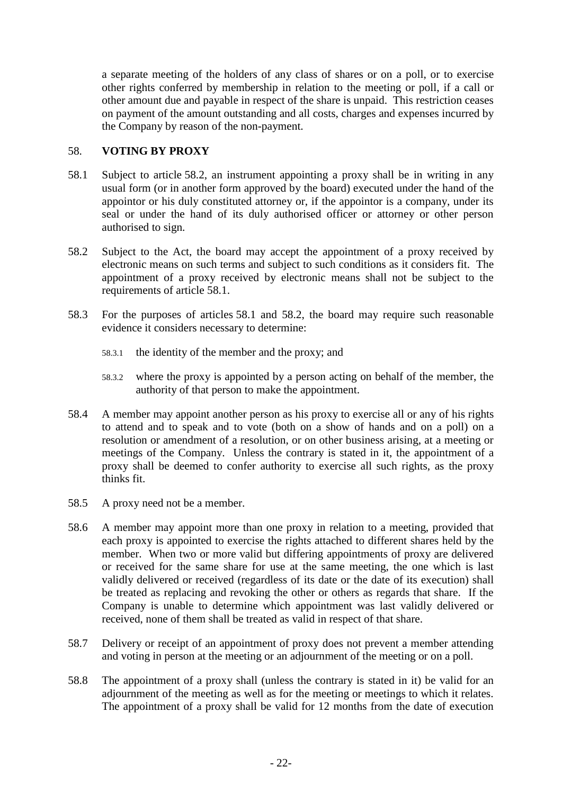a separate meeting of the holders of any class of shares or on a poll, or to exercise other rights conferred by membership in relation to the meeting or poll, if a call or other amount due and payable in respect of the share is unpaid. This restriction ceases on payment of the amount outstanding and all costs, charges and expenses incurred by the Company by reason of the non-payment.

## 58. **VOTING BY PROXY**

- <span id="page-27-1"></span>58.1 Subject to article [58.2,](#page-27-0) an instrument appointing a proxy shall be in writing in any usual form (or in another form approved by the board) executed under the hand of the appointor or his duly constituted attorney or, if the appointor is a company, under its seal or under the hand of its duly authorised officer or attorney or other person authorised to sign.
- <span id="page-27-0"></span>58.2 Subject to the Act, the board may accept the appointment of a proxy received by electronic means on such terms and subject to such conditions as it considers fit. The appointment of a proxy received by electronic means shall not be subject to the requirements of article [58.1.](#page-27-1)
- <span id="page-27-2"></span>58.3 For the purposes of articles [58.1](#page-27-1) and [58.2,](#page-27-0) the board may require such reasonable evidence it considers necessary to determine:
	- 58.3.1 the identity of the member and the proxy; and
	- 58.3.2 where the proxy is appointed by a person acting on behalf of the member, the authority of that person to make the appointment.
- 58.4 A member may appoint another person as his proxy to exercise all or any of his rights to attend and to speak and to vote (both on a show of hands and on a poll) on a resolution or amendment of a resolution, or on other business arising, at a meeting or meetings of the Company. Unless the contrary is stated in it, the appointment of a proxy shall be deemed to confer authority to exercise all such rights, as the proxy thinks fit.
- 58.5 A proxy need not be a member.
- 58.6 A member may appoint more than one proxy in relation to a meeting, provided that each proxy is appointed to exercise the rights attached to different shares held by the member. When two or more valid but differing appointments of proxy are delivered or received for the same share for use at the same meeting, the one which is last validly delivered or received (regardless of its date or the date of its execution) shall be treated as replacing and revoking the other or others as regards that share. If the Company is unable to determine which appointment was last validly delivered or received, none of them shall be treated as valid in respect of that share.
- 58.7 Delivery or receipt of an appointment of proxy does not prevent a member attending and voting in person at the meeting or an adjournment of the meeting or on a poll.
- 58.8 The appointment of a proxy shall (unless the contrary is stated in it) be valid for an adjournment of the meeting as well as for the meeting or meetings to which it relates. The appointment of a proxy shall be valid for 12 months from the date of execution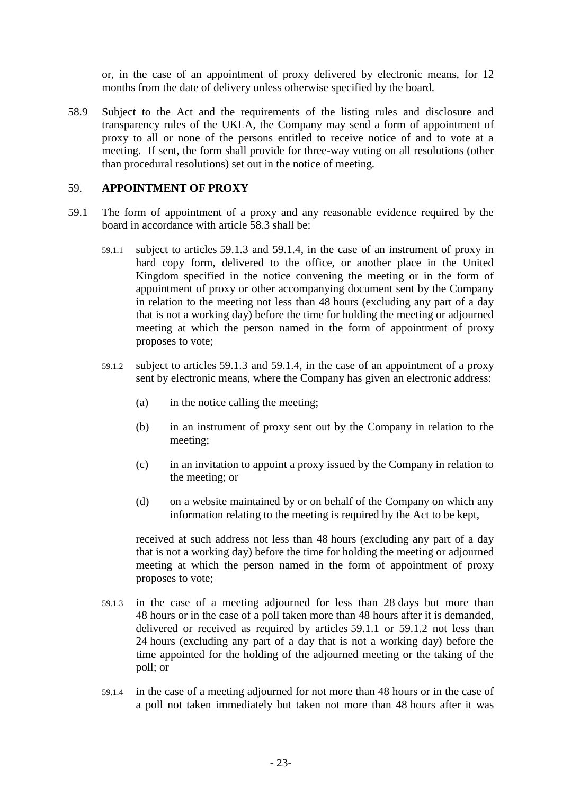or, in the case of an appointment of proxy delivered by electronic means, for 12 months from the date of delivery unless otherwise specified by the board.

58.9 Subject to the Act and the requirements of the listing rules and disclosure and transparency rules of the UKLA, the Company may send a form of appointment of proxy to all or none of the persons entitled to receive notice of and to vote at a meeting. If sent, the form shall provide for three-way voting on all resolutions (other than procedural resolutions) set out in the notice of meeting.

#### <span id="page-28-0"></span>59. **APPOINTMENT OF PROXY**

- <span id="page-28-4"></span><span id="page-28-3"></span>59.1 The form of appointment of a proxy and any reasonable evidence required by the board in accordance with article [58.3](#page-27-2) shall be:
	- 59.1.1 subject to articles [59.1.3](#page-28-1) and [59.1.4,](#page-28-2) in the case of an instrument of proxy in hard copy form, delivered to the office, or another place in the United Kingdom specified in the notice convening the meeting or in the form of appointment of proxy or other accompanying document sent by the Company in relation to the meeting not less than 48 hours (excluding any part of a day that is not a working day) before the time for holding the meeting or adjourned meeting at which the person named in the form of appointment of proxy proposes to vote;
	- 59.1.2 subject to articles [59.1.3](#page-28-1) and [59.1.4,](#page-28-2) in the case of an appointment of a proxy sent by electronic means, where the Company has given an electronic address:
		- (a) in the notice calling the meeting;
		- (b) in an instrument of proxy sent out by the Company in relation to the meeting;
		- (c) in an invitation to appoint a proxy issued by the Company in relation to the meeting; or
		- (d) on a website maintained by or on behalf of the Company on which any information relating to the meeting is required by the Act to be kept,

received at such address not less than 48 hours (excluding any part of a day that is not a working day) before the time for holding the meeting or adjourned meeting at which the person named in the form of appointment of proxy proposes to vote;

- <span id="page-28-1"></span>59.1.3 in the case of a meeting adjourned for less than 28 days but more than 48 hours or in the case of a poll taken more than 48 hours after it is demanded, delivered or received as required by articles [59.1.1](#page-28-3) or [59.1.2](#page-28-4) not less than 24 hours (excluding any part of a day that is not a working day) before the time appointed for the holding of the adjourned meeting or the taking of the poll; or
- <span id="page-28-2"></span>59.1.4 in the case of a meeting adjourned for not more than 48 hours or in the case of a poll not taken immediately but taken not more than 48 hours after it was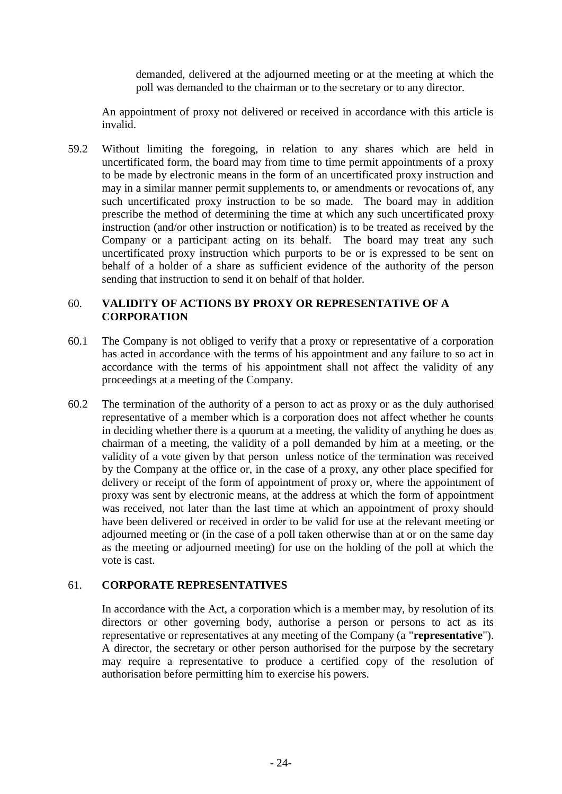demanded, delivered at the adjourned meeting or at the meeting at which the poll was demanded to the chairman or to the secretary or to any director.

An appointment of proxy not delivered or received in accordance with this article is invalid.

59.2 Without limiting the foregoing, in relation to any shares which are held in uncertificated form, the board may from time to time permit appointments of a proxy to be made by electronic means in the form of an uncertificated proxy instruction and may in a similar manner permit supplements to, or amendments or revocations of, any such uncertificated proxy instruction to be so made. The board may in addition prescribe the method of determining the time at which any such uncertificated proxy instruction (and/or other instruction or notification) is to be treated as received by the Company or a participant acting on its behalf. The board may treat any such uncertificated proxy instruction which purports to be or is expressed to be sent on behalf of a holder of a share as sufficient evidence of the authority of the person sending that instruction to send it on behalf of that holder.

## 60. **VALIDITY OF ACTIONS BY PROXY OR REPRESENTATIVE OF A CORPORATION**

- 60.1 The Company is not obliged to verify that a proxy or representative of a corporation has acted in accordance with the terms of his appointment and any failure to so act in accordance with the terms of his appointment shall not affect the validity of any proceedings at a meeting of the Company.
- 60.2 The termination of the authority of a person to act as proxy or as the duly authorised representative of a member which is a corporation does not affect whether he counts in deciding whether there is a quorum at a meeting, the validity of anything he does as chairman of a meeting, the validity of a poll demanded by him at a meeting, or the validity of a vote given by that person unless notice of the termination was received by the Company at the office or, in the case of a proxy, any other place specified for delivery or receipt of the form of appointment of proxy or, where the appointment of proxy was sent by electronic means, at the address at which the form of appointment was received, not later than the last time at which an appointment of proxy should have been delivered or received in order to be valid for use at the relevant meeting or adjourned meeting or (in the case of a poll taken otherwise than at or on the same day as the meeting or adjourned meeting) for use on the holding of the poll at which the vote is cast.

# 61. **CORPORATE REPRESENTATIVES**

In accordance with the Act, a corporation which is a member may, by resolution of its directors or other governing body, authorise a person or persons to act as its representative or representatives at any meeting of the Company (a "**representative**"). A director, the secretary or other person authorised for the purpose by the secretary may require a representative to produce a certified copy of the resolution of authorisation before permitting him to exercise his powers.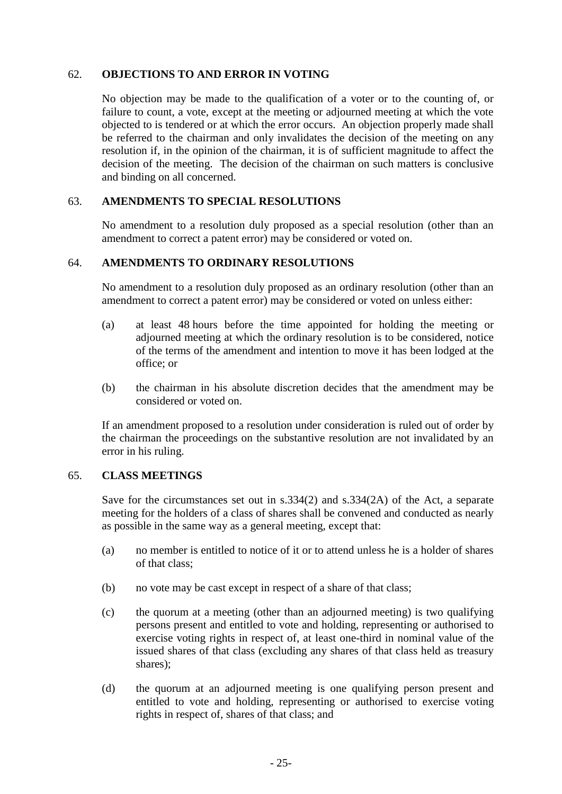## 62. **OBJECTIONS TO AND ERROR IN VOTING**

No objection may be made to the qualification of a voter or to the counting of, or failure to count, a vote, except at the meeting or adjourned meeting at which the vote objected to is tendered or at which the error occurs. An objection properly made shall be referred to the chairman and only invalidates the decision of the meeting on any resolution if, in the opinion of the chairman, it is of sufficient magnitude to affect the decision of the meeting. The decision of the chairman on such matters is conclusive and binding on all concerned.

### 63. **AMENDMENTS TO SPECIAL RESOLUTIONS**

No amendment to a resolution duly proposed as a special resolution (other than an amendment to correct a patent error) may be considered or voted on.

## 64. **AMENDMENTS TO ORDINARY RESOLUTIONS**

No amendment to a resolution duly proposed as an ordinary resolution (other than an amendment to correct a patent error) may be considered or voted on unless either:

- (a) at least 48 hours before the time appointed for holding the meeting or adjourned meeting at which the ordinary resolution is to be considered, notice of the terms of the amendment and intention to move it has been lodged at the office; or
- (b) the chairman in his absolute discretion decides that the amendment may be considered or voted on.

If an amendment proposed to a resolution under consideration is ruled out of order by the chairman the proceedings on the substantive resolution are not invalidated by an error in his ruling.

### <span id="page-30-0"></span>65. **CLASS MEETINGS**

Save for the circumstances set out in s.334(2) and s.334(2A) of the Act, a separate meeting for the holders of a class of shares shall be convened and conducted as nearly as possible in the same way as a general meeting, except that:

- (a) no member is entitled to notice of it or to attend unless he is a holder of shares of that class;
- (b) no vote may be cast except in respect of a share of that class;
- (c) the quorum at a meeting (other than an adjourned meeting) is two qualifying persons present and entitled to vote and holding, representing or authorised to exercise voting rights in respect of, at least one-third in nominal value of the issued shares of that class (excluding any shares of that class held as treasury shares);
- (d) the quorum at an adjourned meeting is one qualifying person present and entitled to vote and holding, representing or authorised to exercise voting rights in respect of, shares of that class; and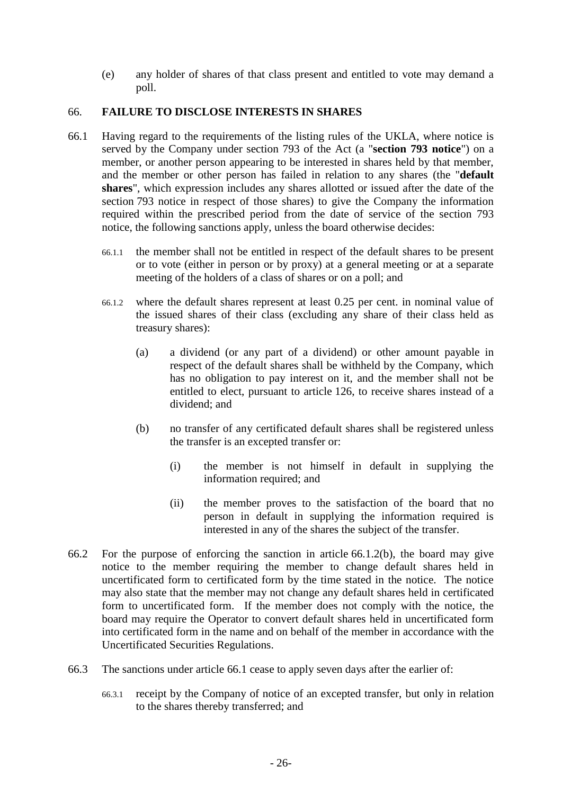(e) any holder of shares of that class present and entitled to vote may demand a poll.

## <span id="page-31-0"></span>66. **FAILURE TO DISCLOSE INTERESTS IN SHARES**

- <span id="page-31-2"></span>66.1 Having regard to the requirements of the listing rules of the UKLA, where notice is served by the Company under section 793 of the Act (a "**section 793 notice**") on a member, or another person appearing to be interested in shares held by that member, and the member or other person has failed in relation to any shares (the "**default shares**", which expression includes any shares allotted or issued after the date of the section 793 notice in respect of those shares) to give the Company the information required within the prescribed period from the date of service of the section 793 notice, the following sanctions apply, unless the board otherwise decides:
	- 66.1.1 the member shall not be entitled in respect of the default shares to be present or to vote (either in person or by proxy) at a general meeting or at a separate meeting of the holders of a class of shares or on a poll; and
	- 66.1.2 where the default shares represent at least 0.25 per cent. in nominal value of the issued shares of their class (excluding any share of their class held as treasury shares):
		- (a) a dividend (or any part of a dividend) or other amount payable in respect of the default shares shall be withheld by the Company, which has no obligation to pay interest on it, and the member shall not be entitled to elect, pursuant to article [126,](#page-56-0) to receive shares instead of a dividend; and
		- (b) no transfer of any certificated default shares shall be registered unless the transfer is an excepted transfer or:
			- (i) the member is not himself in default in supplying the information required; and
			- (ii) the member proves to the satisfaction of the board that no person in default in supplying the information required is interested in any of the shares the subject of the transfer.
- <span id="page-31-3"></span><span id="page-31-1"></span>66.2 For the purpose of enforcing the sanction in article [66.1.2\(b\),](#page-31-1) the board may give notice to the member requiring the member to change default shares held in uncertificated form to certificated form by the time stated in the notice. The notice may also state that the member may not change any default shares held in certificated form to uncertificated form. If the member does not comply with the notice, the board may require the Operator to convert default shares held in uncertificated form into certificated form in the name and on behalf of the member in accordance with the Uncertificated Securities Regulations.
- 66.3 The sanctions under article [66.1](#page-31-2) cease to apply seven days after the earlier of:
	- 66.3.1 receipt by the Company of notice of an excepted transfer, but only in relation to the shares thereby transferred; and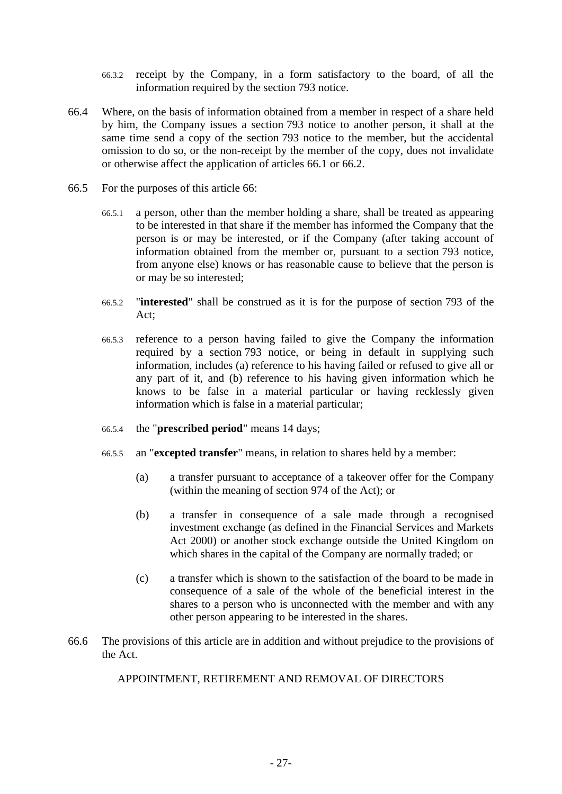- 66.3.2 receipt by the Company, in a form satisfactory to the board, of all the information required by the section 793 notice.
- 66.4 Where, on the basis of information obtained from a member in respect of a share held by him, the Company issues a section 793 notice to another person, it shall at the same time send a copy of the section 793 notice to the member, but the accidental omission to do so, or the non-receipt by the member of the copy, does not invalidate or otherwise affect the application of articles [66.1](#page-31-2) or [66.2.](#page-31-3)
- 66.5 For the purposes of this article [66:](#page-31-0)
	- 66.5.1 a person, other than the member holding a share, shall be treated as appearing to be interested in that share if the member has informed the Company that the person is or may be interested, or if the Company (after taking account of information obtained from the member or, pursuant to a section 793 notice, from anyone else) knows or has reasonable cause to believe that the person is or may be so interested;
	- 66.5.2 "**interested**" shall be construed as it is for the purpose of section 793 of the Act;
	- 66.5.3 reference to a person having failed to give the Company the information required by a section 793 notice, or being in default in supplying such information, includes (a) reference to his having failed or refused to give all or any part of it, and (b) reference to his having given information which he knows to be false in a material particular or having recklessly given information which is false in a material particular;
	- 66.5.4 the "**prescribed period**" means 14 days;
	- 66.5.5 an "**excepted transfer**" means, in relation to shares held by a member:
		- (a) a transfer pursuant to acceptance of a takeover offer for the Company (within the meaning of section 974 of the Act); or
		- (b) a transfer in consequence of a sale made through a recognised investment exchange (as defined in the Financial Services and Markets Act 2000) or another stock exchange outside the United Kingdom on which shares in the capital of the Company are normally traded; or
		- (c) a transfer which is shown to the satisfaction of the board to be made in consequence of a sale of the whole of the beneficial interest in the shares to a person who is unconnected with the member and with any other person appearing to be interested in the shares.
- 66.6 The provisions of this article are in addition and without prejudice to the provisions of the Act.

### APPOINTMENT, RETIREMENT AND REMOVAL OF DIRECTORS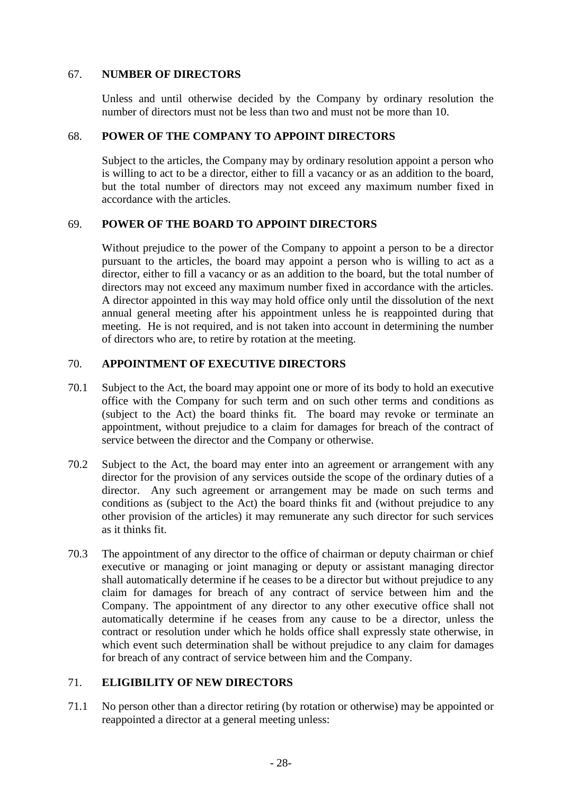## <span id="page-33-0"></span>67. **NUMBER OF DIRECTORS**

Unless and until otherwise decided by the Company by ordinary resolution the number of directors must not be less than two and must not be more than 10.

### 68. **POWER OF THE COMPANY TO APPOINT DIRECTORS**

Subject to the articles, the Company may by ordinary resolution appoint a person who is willing to act to be a director, either to fill a vacancy or as an addition to the board, but the total number of directors may not exceed any maximum number fixed in accordance with the articles.

## 69. **POWER OF THE BOARD TO APPOINT DIRECTORS**

Without prejudice to the power of the Company to appoint a person to be a director pursuant to the articles, the board may appoint a person who is willing to act as a director, either to fill a vacancy or as an addition to the board, but the total number of directors may not exceed any maximum number fixed in accordance with the articles. A director appointed in this way may hold office only until the dissolution of the next annual general meeting after his appointment unless he is reappointed during that meeting. He is not required, and is not taken into account in determining the number of directors who are, to retire by rotation at the meeting.

# <span id="page-33-1"></span>70. **APPOINTMENT OF EXECUTIVE DIRECTORS**

- 70.1 Subject to the Act, the board may appoint one or more of its body to hold an executive office with the Company for such term and on such other terms and conditions as (subject to the Act) the board thinks fit. The board may revoke or terminate an appointment, without prejudice to a claim for damages for breach of the contract of service between the director and the Company or otherwise.
- 70.2 Subject to the Act, the board may enter into an agreement or arrangement with any director for the provision of any services outside the scope of the ordinary duties of a director. Any such agreement or arrangement may be made on such terms and conditions as (subject to the Act) the board thinks fit and (without prejudice to any other provision of the articles) it may remunerate any such director for such services as it thinks fit.
- 70.3 The appointment of any director to the office of chairman or deputy chairman or chief executive or managing or joint managing or deputy or assistant managing director shall automatically determine if he ceases to be a director but without prejudice to any claim for damages for breach of any contract of service between him and the Company. The appointment of any director to any other executive office shall not automatically determine if he ceases from any cause to be a director, unless the contract or resolution under which he holds office shall expressly state otherwise, in which event such determination shall be without prejudice to any claim for damages for breach of any contract of service between him and the Company.

### 71. **ELIGIBILITY OF NEW DIRECTORS**

71.1 No person other than a director retiring (by rotation or otherwise) may be appointed or reappointed a director at a general meeting unless: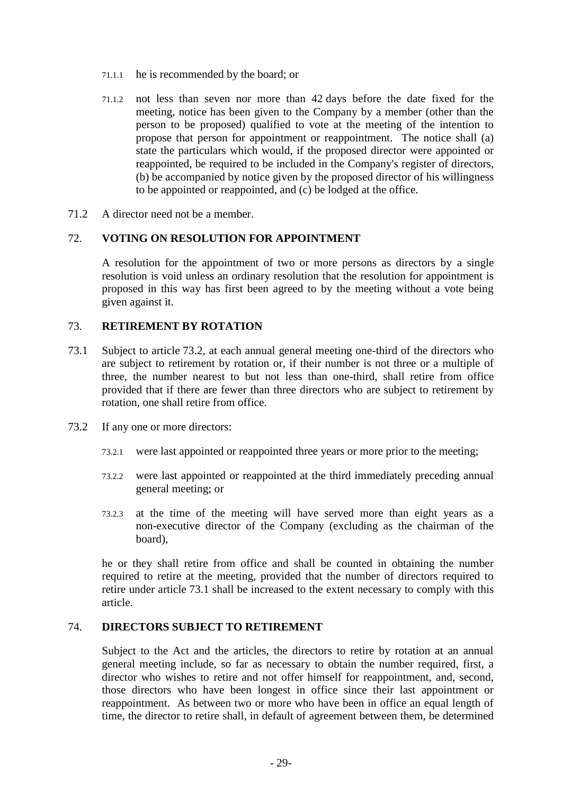- 71.1.1 he is recommended by the board; or
- 71.1.2 not less than seven nor more than 42 days before the date fixed for the meeting, notice has been given to the Company by a member (other than the person to be proposed) qualified to vote at the meeting of the intention to propose that person for appointment or reappointment. The notice shall (a) state the particulars which would, if the proposed director were appointed or reappointed, be required to be included in the Company's register of directors, (b) be accompanied by notice given by the proposed director of his willingness to be appointed or reappointed, and (c) be lodged at the office.
- 71.2 A director need not be a member.

### 72. **VOTING ON RESOLUTION FOR APPOINTMENT**

A resolution for the appointment of two or more persons as directors by a single resolution is void unless an ordinary resolution that the resolution for appointment is proposed in this way has first been agreed to by the meeting without a vote being given against it.

### 73. **RETIREMENT BY ROTATION**

- <span id="page-34-1"></span>73.1 Subject to article [73.2,](#page-34-0) at each annual general meeting one-third of the directors who are subject to retirement by rotation or, if their number is not three or a multiple of three, the number nearest to but not less than one-third, shall retire from office provided that if there are fewer than three directors who are subject to retirement by rotation, one shall retire from office.
- <span id="page-34-0"></span>73.2 If any one or more directors:
	- 73.2.1 were last appointed or reappointed three years or more prior to the meeting;
	- 73.2.2 were last appointed or reappointed at the third immediately preceding annual general meeting; or
	- 73.2.3 at the time of the meeting will have served more than eight years as a non-executive director of the Company (excluding as the chairman of the board),

he or they shall retire from office and shall be counted in obtaining the number required to retire at the meeting, provided that the number of directors required to retire under article [73.1](#page-34-1) shall be increased to the extent necessary to comply with this article.

### 74. **DIRECTORS SUBJECT TO RETIREMENT**

Subject to the Act and the articles, the directors to retire by rotation at an annual general meeting include, so far as necessary to obtain the number required, first, a director who wishes to retire and not offer himself for reappointment, and, second, those directors who have been longest in office since their last appointment or reappointment. As between two or more who have been in office an equal length of time, the director to retire shall, in default of agreement between them, be determined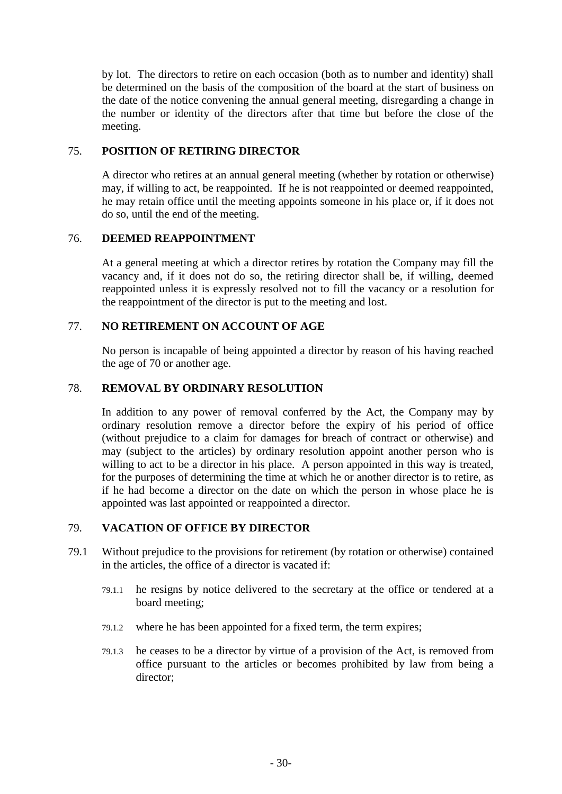by lot. The directors to retire on each occasion (both as to number and identity) shall be determined on the basis of the composition of the board at the start of business on the date of the notice convening the annual general meeting, disregarding a change in the number or identity of the directors after that time but before the close of the meeting.

# 75. **POSITION OF RETIRING DIRECTOR**

A director who retires at an annual general meeting (whether by rotation or otherwise) may, if willing to act, be reappointed. If he is not reappointed or deemed reappointed, he may retain office until the meeting appoints someone in his place or, if it does not do so, until the end of the meeting.

## 76. **DEEMED REAPPOINTMENT**

At a general meeting at which a director retires by rotation the Company may fill the vacancy and, if it does not do so, the retiring director shall be, if willing, deemed reappointed unless it is expressly resolved not to fill the vacancy or a resolution for the reappointment of the director is put to the meeting and lost.

## 77. **NO RETIREMENT ON ACCOUNT OF AGE**

No person is incapable of being appointed a director by reason of his having reached the age of 70 or another age.

## 78. **REMOVAL BY ORDINARY RESOLUTION**

In addition to any power of removal conferred by the Act, the Company may by ordinary resolution remove a director before the expiry of his period of office (without prejudice to a claim for damages for breach of contract or otherwise) and may (subject to the articles) by ordinary resolution appoint another person who is willing to act to be a director in his place. A person appointed in this way is treated, for the purposes of determining the time at which he or another director is to retire, as if he had become a director on the date on which the person in whose place he is appointed was last appointed or reappointed a director.

### 79. **VACATION OF OFFICE BY DIRECTOR**

- 79.1 Without prejudice to the provisions for retirement (by rotation or otherwise) contained in the articles, the office of a director is vacated if:
	- 79.1.1 he resigns by notice delivered to the secretary at the office or tendered at a board meeting;
	- 79.1.2 where he has been appointed for a fixed term, the term expires;
	- 79.1.3 he ceases to be a director by virtue of a provision of the Act, is removed from office pursuant to the articles or becomes prohibited by law from being a director;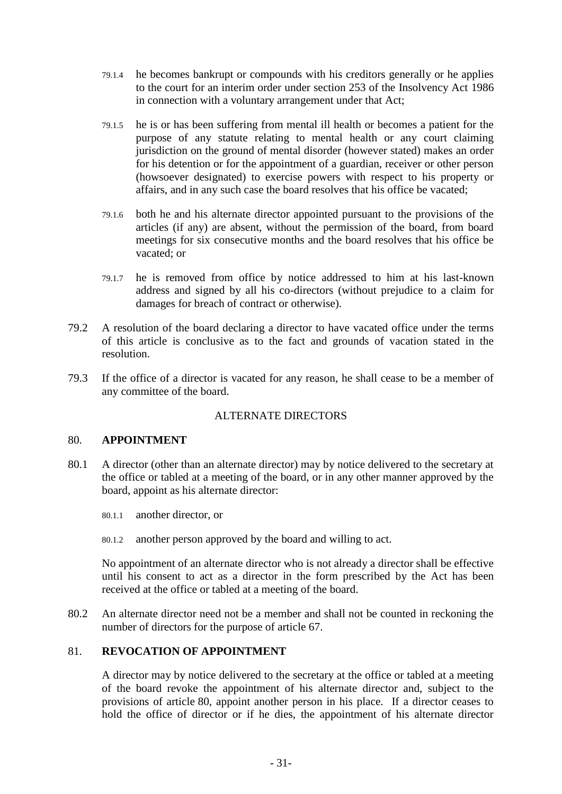- 79.1.4 he becomes bankrupt or compounds with his creditors generally or he applies to the court for an interim order under section 253 of the Insolvency Act 1986 in connection with a voluntary arrangement under that Act;
- 79.1.5 he is or has been suffering from mental ill health or becomes a patient for the purpose of any statute relating to mental health or any court claiming jurisdiction on the ground of mental disorder (however stated) makes an order for his detention or for the appointment of a guardian, receiver or other person (howsoever designated) to exercise powers with respect to his property or affairs, and in any such case the board resolves that his office be vacated;
- 79.1.6 both he and his alternate director appointed pursuant to the provisions of the articles (if any) are absent, without the permission of the board, from board meetings for six consecutive months and the board resolves that his office be vacated; or
- 79.1.7 he is removed from office by notice addressed to him at his last-known address and signed by all his co-directors (without prejudice to a claim for damages for breach of contract or otherwise).
- 79.2 A resolution of the board declaring a director to have vacated office under the terms of this article is conclusive as to the fact and grounds of vacation stated in the resolution.
- 79.3 If the office of a director is vacated for any reason, he shall cease to be a member of any committee of the board.

# ALTERNATE DIRECTORS

### <span id="page-36-0"></span>80. **APPOINTMENT**

- 80.1 A director (other than an alternate director) may by notice delivered to the secretary at the office or tabled at a meeting of the board, or in any other manner approved by the board, appoint as his alternate director:
	- 80.1.1 another director, or
	- 80.1.2 another person approved by the board and willing to act.

No appointment of an alternate director who is not already a director shall be effective until his consent to act as a director in the form prescribed by the Act has been received at the office or tabled at a meeting of the board.

80.2 An alternate director need not be a member and shall not be counted in reckoning the number of directors for the purpose of article [67.](#page-33-0)

## 81. **REVOCATION OF APPOINTMENT**

A director may by notice delivered to the secretary at the office or tabled at a meeting of the board revoke the appointment of his alternate director and, subject to the provisions of article [80,](#page-36-0) appoint another person in his place. If a director ceases to hold the office of director or if he dies, the appointment of his alternate director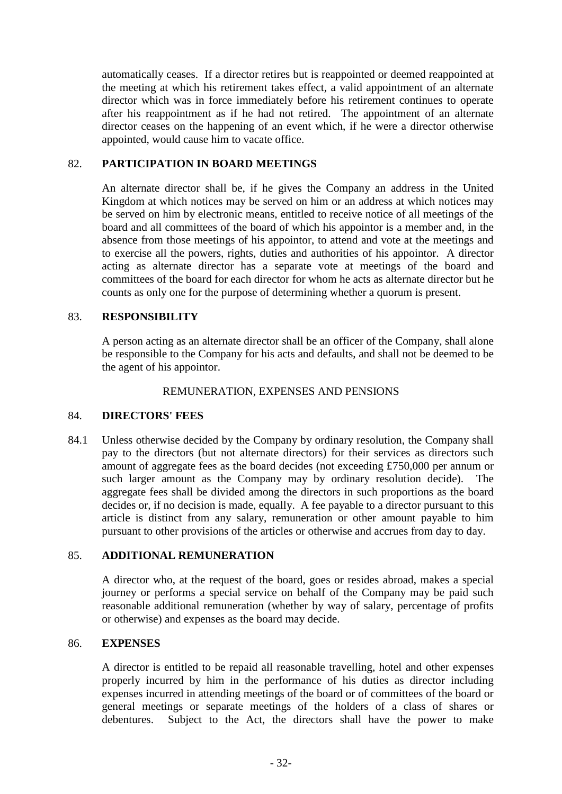automatically ceases. If a director retires but is reappointed or deemed reappointed at the meeting at which his retirement takes effect, a valid appointment of an alternate director which was in force immediately before his retirement continues to operate after his reappointment as if he had not retired. The appointment of an alternate director ceases on the happening of an event which, if he were a director otherwise appointed, would cause him to vacate office.

### 82. **PARTICIPATION IN BOARD MEETINGS**

An alternate director shall be, if he gives the Company an address in the United Kingdom at which notices may be served on him or an address at which notices may be served on him by electronic means, entitled to receive notice of all meetings of the board and all committees of the board of which his appointor is a member and, in the absence from those meetings of his appointor, to attend and vote at the meetings and to exercise all the powers, rights, duties and authorities of his appointor. A director acting as alternate director has a separate vote at meetings of the board and committees of the board for each director for whom he acts as alternate director but he counts as only one for the purpose of determining whether a quorum is present.

## 83. **RESPONSIBILITY**

A person acting as an alternate director shall be an officer of the Company, shall alone be responsible to the Company for his acts and defaults, and shall not be deemed to be the agent of his appointor.

#### REMUNERATION, EXPENSES AND PENSIONS

### <span id="page-37-1"></span>84. **DIRECTORS' FEES**

84.1 Unless otherwise decided by the Company by ordinary resolution, the Company shall pay to the directors (but not alternate directors) for their services as directors such amount of aggregate fees as the board decides (not exceeding £750,000 per annum or such larger amount as the Company may by ordinary resolution decide). The aggregate fees shall be divided among the directors in such proportions as the board decides or, if no decision is made, equally. A fee payable to a director pursuant to this article is distinct from any salary, remuneration or other amount payable to him pursuant to other provisions of the articles or otherwise and accrues from day to day.

### 85. **ADDITIONAL REMUNERATION**

A director who, at the request of the board, goes or resides abroad, makes a special journey or performs a special service on behalf of the Company may be paid such reasonable additional remuneration (whether by way of salary, percentage of profits or otherwise) and expenses as the board may decide.

### <span id="page-37-0"></span>86. **EXPENSES**

A director is entitled to be repaid all reasonable travelling, hotel and other expenses properly incurred by him in the performance of his duties as director including expenses incurred in attending meetings of the board or of committees of the board or general meetings or separate meetings of the holders of a class of shares or debentures. Subject to the Act, the directors shall have the power to make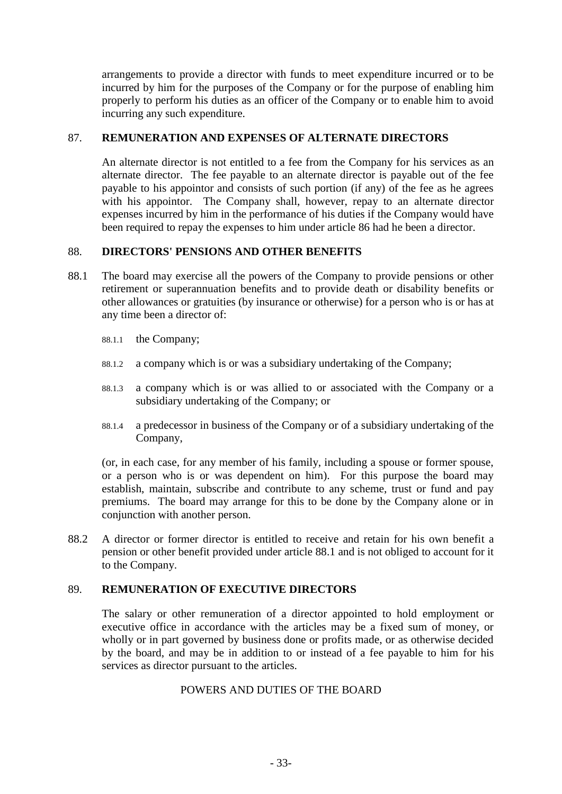arrangements to provide a director with funds to meet expenditure incurred or to be incurred by him for the purposes of the Company or for the purpose of enabling him properly to perform his duties as an officer of the Company or to enable him to avoid incurring any such expenditure.

## 87. **REMUNERATION AND EXPENSES OF ALTERNATE DIRECTORS**

An alternate director is not entitled to a fee from the Company for his services as an alternate director. The fee payable to an alternate director is payable out of the fee payable to his appointor and consists of such portion (if any) of the fee as he agrees with his appoint or. The Company shall, however, repay to an alternate director expenses incurred by him in the performance of his duties if the Company would have been required to repay the expenses to him under article [86](#page-37-0) had he been a director.

## 88. **DIRECTORS' PENSIONS AND OTHER BENEFITS**

- <span id="page-38-0"></span>88.1 The board may exercise all the powers of the Company to provide pensions or other retirement or superannuation benefits and to provide death or disability benefits or other allowances or gratuities (by insurance or otherwise) for a person who is or has at any time been a director of:
	- 88.1.1 the Company;
	- 88.1.2 a company which is or was a subsidiary undertaking of the Company;
	- 88.1.3 a company which is or was allied to or associated with the Company or a subsidiary undertaking of the Company; or
	- 88.1.4 a predecessor in business of the Company or of a subsidiary undertaking of the Company,

(or, in each case, for any member of his family, including a spouse or former spouse, or a person who is or was dependent on him). For this purpose the board may establish, maintain, subscribe and contribute to any scheme, trust or fund and pay premiums. The board may arrange for this to be done by the Company alone or in conjunction with another person.

88.2 A director or former director is entitled to receive and retain for his own benefit a pension or other benefit provided under article [88.1](#page-38-0) and is not obliged to account for it to the Company.

# <span id="page-38-1"></span>89. **REMUNERATION OF EXECUTIVE DIRECTORS**

The salary or other remuneration of a director appointed to hold employment or executive office in accordance with the articles may be a fixed sum of money, or wholly or in part governed by business done or profits made, or as otherwise decided by the board, and may be in addition to or instead of a fee payable to him for his services as director pursuant to the articles.

# POWERS AND DUTIES OF THE BOARD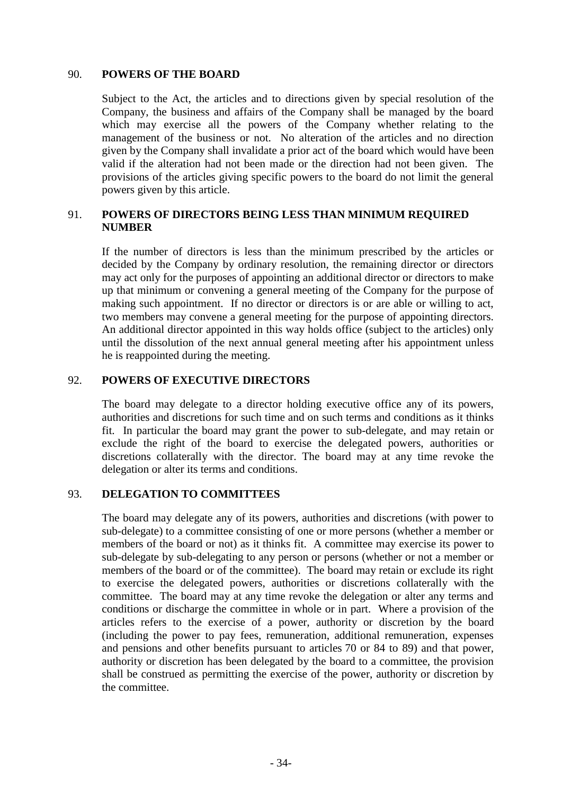#### 90. **POWERS OF THE BOARD**

Subject to the Act, the articles and to directions given by special resolution of the Company, the business and affairs of the Company shall be managed by the board which may exercise all the powers of the Company whether relating to the management of the business or not. No alteration of the articles and no direction given by the Company shall invalidate a prior act of the board which would have been valid if the alteration had not been made or the direction had not been given. The provisions of the articles giving specific powers to the board do not limit the general powers given by this article.

# <span id="page-39-0"></span>91. **POWERS OF DIRECTORS BEING LESS THAN MINIMUM REQUIRED NUMBER**

If the number of directors is less than the minimum prescribed by the articles or decided by the Company by ordinary resolution, the remaining director or directors may act only for the purposes of appointing an additional director or directors to make up that minimum or convening a general meeting of the Company for the purpose of making such appointment. If no director or directors is or are able or willing to act, two members may convene a general meeting for the purpose of appointing directors. An additional director appointed in this way holds office (subject to the articles) only until the dissolution of the next annual general meeting after his appointment unless he is reappointed during the meeting.

# 92. **POWERS OF EXECUTIVE DIRECTORS**

The board may delegate to a director holding executive office any of its powers, authorities and discretions for such time and on such terms and conditions as it thinks fit. In particular the board may grant the power to sub-delegate, and may retain or exclude the right of the board to exercise the delegated powers, authorities or discretions collaterally with the director. The board may at any time revoke the delegation or alter its terms and conditions.

### 93. **DELEGATION TO COMMITTEES**

The board may delegate any of its powers, authorities and discretions (with power to sub-delegate) to a committee consisting of one or more persons (whether a member or members of the board or not) as it thinks fit. A committee may exercise its power to sub-delegate by sub-delegating to any person or persons (whether or not a member or members of the board or of the committee). The board may retain or exclude its right to exercise the delegated powers, authorities or discretions collaterally with the committee. The board may at any time revoke the delegation or alter any terms and conditions or discharge the committee in whole or in part. Where a provision of the articles refers to the exercise of a power, authority or discretion by the board (including the power to pay fees, remuneration, additional remuneration, expenses and pensions and other benefits pursuant to articles [70](#page-33-1) or [84](#page-37-1) to [89\)](#page-38-1) and that power, authority or discretion has been delegated by the board to a committee, the provision shall be construed as permitting the exercise of the power, authority or discretion by the committee.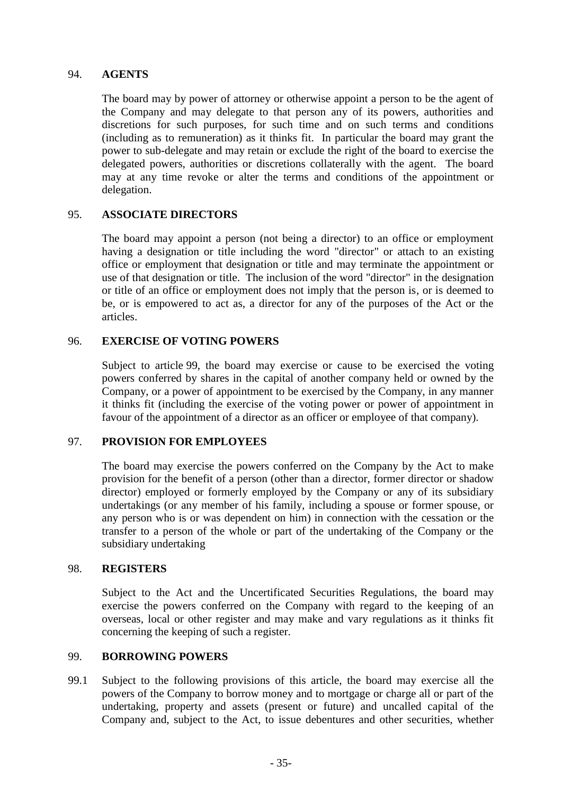### 94. **AGENTS**

The board may by power of attorney or otherwise appoint a person to be the agent of the Company and may delegate to that person any of its powers, authorities and discretions for such purposes, for such time and on such terms and conditions (including as to remuneration) as it thinks fit. In particular the board may grant the power to sub-delegate and may retain or exclude the right of the board to exercise the delegated powers, authorities or discretions collaterally with the agent. The board may at any time revoke or alter the terms and conditions of the appointment or delegation.

## 95. **ASSOCIATE DIRECTORS**

The board may appoint a person (not being a director) to an office or employment having a designation or title including the word "director" or attach to an existing office or employment that designation or title and may terminate the appointment or use of that designation or title. The inclusion of the word "director" in the designation or title of an office or employment does not imply that the person is, or is deemed to be, or is empowered to act as, a director for any of the purposes of the Act or the articles.

## 96. **EXERCISE OF VOTING POWERS**

Subject to article [99,](#page-40-0) the board may exercise or cause to be exercised the voting powers conferred by shares in the capital of another company held or owned by the Company, or a power of appointment to be exercised by the Company, in any manner it thinks fit (including the exercise of the voting power or power of appointment in favour of the appointment of a director as an officer or employee of that company).

# 97. **PROVISION FOR EMPLOYEES**

The board may exercise the powers conferred on the Company by the Act to make provision for the benefit of a person (other than a director, former director or shadow director) employed or formerly employed by the Company or any of its subsidiary undertakings (or any member of his family, including a spouse or former spouse, or any person who is or was dependent on him) in connection with the cessation or the transfer to a person of the whole or part of the undertaking of the Company or the subsidiary undertaking

### 98. **REGISTERS**

Subject to the Act and the Uncertificated Securities Regulations, the board may exercise the powers conferred on the Company with regard to the keeping of an overseas, local or other register and may make and vary regulations as it thinks fit concerning the keeping of such a register.

### <span id="page-40-0"></span>99. **BORROWING POWERS**

99.1 Subject to the following provisions of this article, the board may exercise all the powers of the Company to borrow money and to mortgage or charge all or part of the undertaking, property and assets (present or future) and uncalled capital of the Company and, subject to the Act, to issue debentures and other securities, whether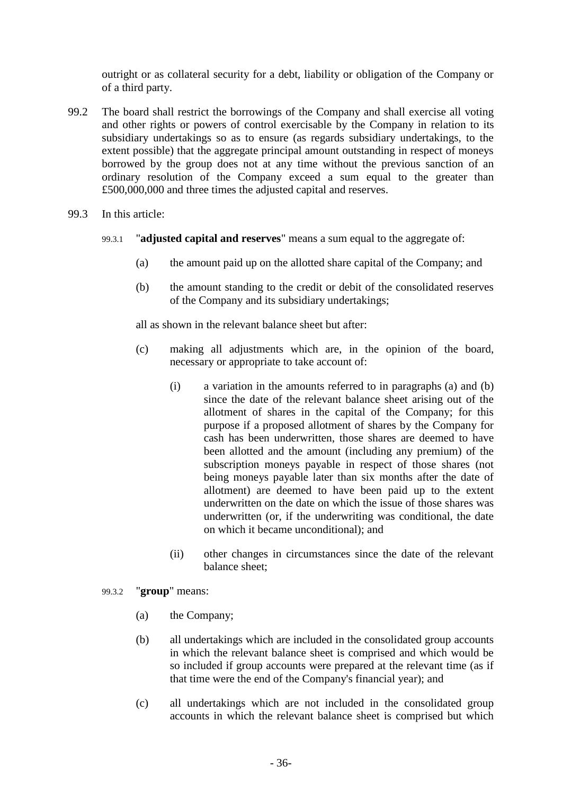outright or as collateral security for a debt, liability or obligation of the Company or of a third party.

- 99.2 The board shall restrict the borrowings of the Company and shall exercise all voting and other rights or powers of control exercisable by the Company in relation to its subsidiary undertakings so as to ensure (as regards subsidiary undertakings, to the extent possible) that the aggregate principal amount outstanding in respect of moneys borrowed by the group does not at any time without the previous sanction of an ordinary resolution of the Company exceed a sum equal to the greater than £500,000,000 and three times the adjusted capital and reserves.
- <span id="page-41-1"></span><span id="page-41-0"></span>99.3 In this article:
	- 99.3.1 "**adjusted capital and reserves**" means a sum equal to the aggregate of:
		- (a) the amount paid up on the allotted share capital of the Company; and
		- (b) the amount standing to the credit or debit of the consolidated reserves of the Company and its subsidiary undertakings;

all as shown in the relevant balance sheet but after:

- (c) making all adjustments which are, in the opinion of the board, necessary or appropriate to take account of:
	- (i) a variation in the amounts referred to in paragraphs [\(a\)](#page-41-0) and [\(b\)](#page-41-1) since the date of the relevant balance sheet arising out of the allotment of shares in the capital of the Company; for this purpose if a proposed allotment of shares by the Company for cash has been underwritten, those shares are deemed to have been allotted and the amount (including any premium) of the subscription moneys payable in respect of those shares (not being moneys payable later than six months after the date of allotment) are deemed to have been paid up to the extent underwritten on the date on which the issue of those shares was underwritten (or, if the underwriting was conditional, the date on which it became unconditional); and
	- (ii) other changes in circumstances since the date of the relevant balance sheet;
- 99.3.2 "**group**" means:
	- (a) the Company;
	- (b) all undertakings which are included in the consolidated group accounts in which the relevant balance sheet is comprised and which would be so included if group accounts were prepared at the relevant time (as if that time were the end of the Company's financial year); and
	- (c) all undertakings which are not included in the consolidated group accounts in which the relevant balance sheet is comprised but which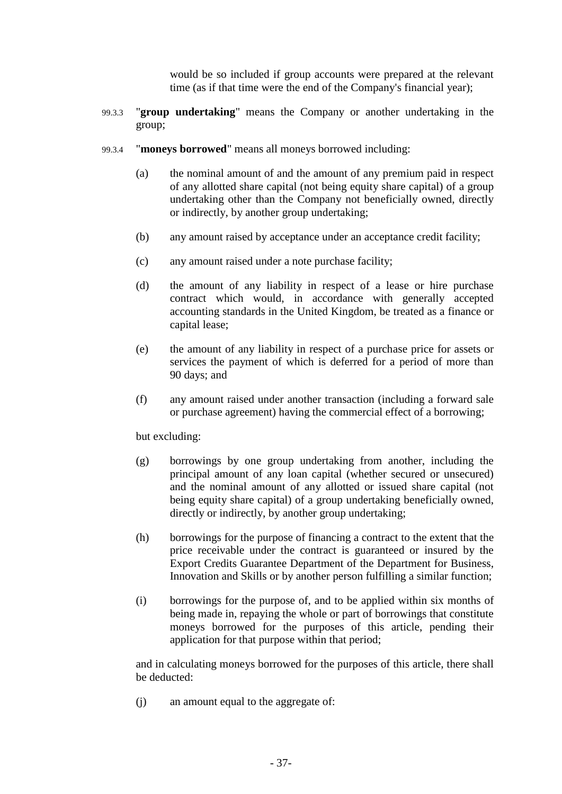would be so included if group accounts were prepared at the relevant time (as if that time were the end of the Company's financial year);

- 99.3.3 "**group undertaking**" means the Company or another undertaking in the group;
- <span id="page-42-0"></span>99.3.4 "**moneys borrowed**" means all moneys borrowed including:
	- (a) the nominal amount of and the amount of any premium paid in respect of any allotted share capital (not being equity share capital) of a group undertaking other than the Company not beneficially owned, directly or indirectly, by another group undertaking;
	- (b) any amount raised by acceptance under an acceptance credit facility;
	- (c) any amount raised under a note purchase facility;
	- (d) the amount of any liability in respect of a lease or hire purchase contract which would, in accordance with generally accepted accounting standards in the United Kingdom, be treated as a finance or capital lease;
	- (e) the amount of any liability in respect of a purchase price for assets or services the payment of which is deferred for a period of more than 90 days; and
	- (f) any amount raised under another transaction (including a forward sale or purchase agreement) having the commercial effect of a borrowing;

but excluding:

- (g) borrowings by one group undertaking from another, including the principal amount of any loan capital (whether secured or unsecured) and the nominal amount of any allotted or issued share capital (not being equity share capital) of a group undertaking beneficially owned, directly or indirectly, by another group undertaking;
- (h) borrowings for the purpose of financing a contract to the extent that the price receivable under the contract is guaranteed or insured by the Export Credits Guarantee Department of the Department for Business, Innovation and Skills or by another person fulfilling a similar function;
- (i) borrowings for the purpose of, and to be applied within six months of being made in, repaying the whole or part of borrowings that constitute moneys borrowed for the purposes of this article, pending their application for that purpose within that period;

and in calculating moneys borrowed for the purposes of this article, there shall be deducted:

<span id="page-42-1"></span>(j) an amount equal to the aggregate of: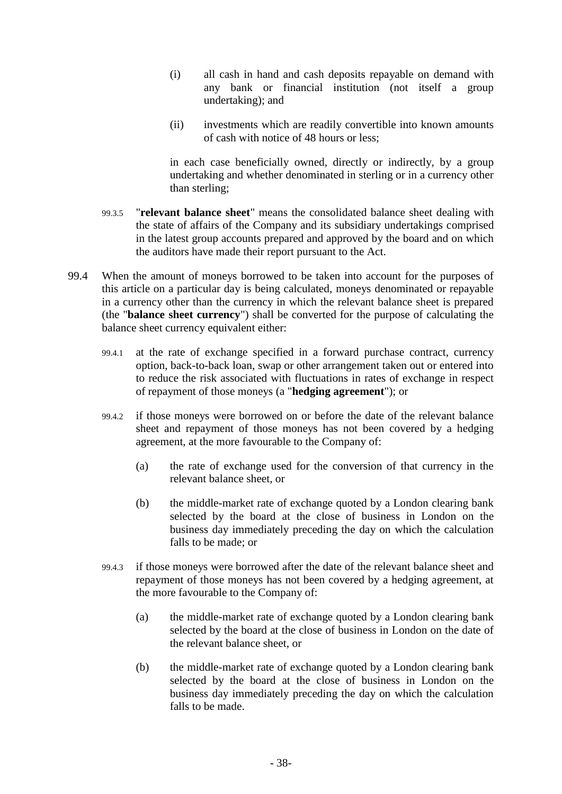- (i) all cash in hand and cash deposits repayable on demand with any bank or financial institution (not itself a group undertaking); and
- (ii) investments which are readily convertible into known amounts of cash with notice of 48 hours or less;

in each case beneficially owned, directly or indirectly, by a group undertaking and whether denominated in sterling or in a currency other than sterling;

- 99.3.5 "**relevant balance sheet**" means the consolidated balance sheet dealing with the state of affairs of the Company and its subsidiary undertakings comprised in the latest group accounts prepared and approved by the board and on which the auditors have made their report pursuant to the Act.
- 99.4 When the amount of moneys borrowed to be taken into account for the purposes of this article on a particular day is being calculated, moneys denominated or repayable in a currency other than the currency in which the relevant balance sheet is prepared (the "**balance sheet currency**") shall be converted for the purpose of calculating the balance sheet currency equivalent either:
	- 99.4.1 at the rate of exchange specified in a forward purchase contract, currency option, back-to-back loan, swap or other arrangement taken out or entered into to reduce the risk associated with fluctuations in rates of exchange in respect of repayment of those moneys (a "**hedging agreement**"); or
	- 99.4.2 if those moneys were borrowed on or before the date of the relevant balance sheet and repayment of those moneys has not been covered by a hedging agreement, at the more favourable to the Company of:
		- (a) the rate of exchange used for the conversion of that currency in the relevant balance sheet, or
		- (b) the middle-market rate of exchange quoted by a London clearing bank selected by the board at the close of business in London on the business day immediately preceding the day on which the calculation falls to be made; or
	- 99.4.3 if those moneys were borrowed after the date of the relevant balance sheet and repayment of those moneys has not been covered by a hedging agreement, at the more favourable to the Company of:
		- (a) the middle-market rate of exchange quoted by a London clearing bank selected by the board at the close of business in London on the date of the relevant balance sheet, or
		- (b) the middle-market rate of exchange quoted by a London clearing bank selected by the board at the close of business in London on the business day immediately preceding the day on which the calculation falls to be made.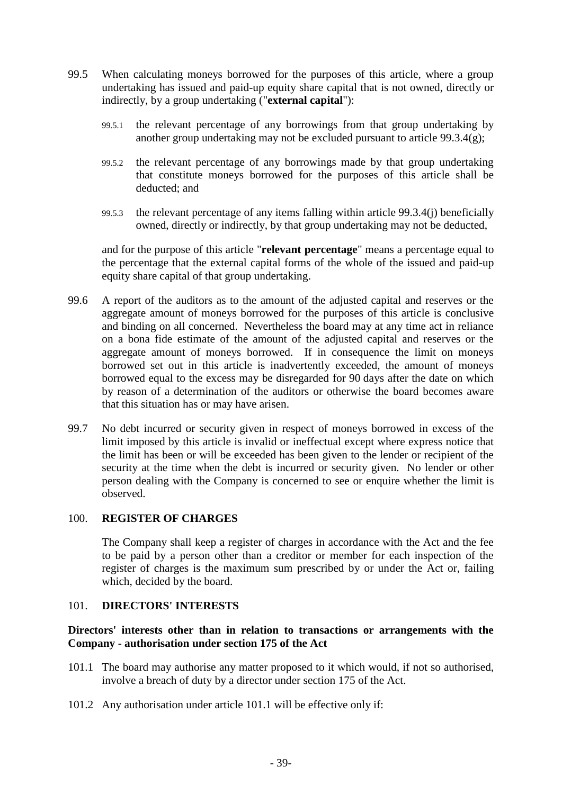- 99.5 When calculating moneys borrowed for the purposes of this article, where a group undertaking has issued and paid-up equity share capital that is not owned, directly or indirectly, by a group undertaking ("**external capital**"):
	- 99.5.1 the relevant percentage of any borrowings from that group undertaking by another group undertaking may not be excluded pursuant to article [99.3.4\(g\);](#page-42-0)
	- 99.5.2 the relevant percentage of any borrowings made by that group undertaking that constitute moneys borrowed for the purposes of this article shall be deducted; and
	- 99.5.3 the relevant percentage of any items falling within article [99.3.4\(j\)](#page-42-1) beneficially owned, directly or indirectly, by that group undertaking may not be deducted,

and for the purpose of this article "**relevant percentage**" means a percentage equal to the percentage that the external capital forms of the whole of the issued and paid-up equity share capital of that group undertaking.

- 99.6 A report of the auditors as to the amount of the adjusted capital and reserves or the aggregate amount of moneys borrowed for the purposes of this article is conclusive and binding on all concerned. Nevertheless the board may at any time act in reliance on a bona fide estimate of the amount of the adjusted capital and reserves or the aggregate amount of moneys borrowed. If in consequence the limit on moneys borrowed set out in this article is inadvertently exceeded, the amount of moneys borrowed equal to the excess may be disregarded for 90 days after the date on which by reason of a determination of the auditors or otherwise the board becomes aware that this situation has or may have arisen.
- 99.7 No debt incurred or security given in respect of moneys borrowed in excess of the limit imposed by this article is invalid or ineffectual except where express notice that the limit has been or will be exceeded has been given to the lender or recipient of the security at the time when the debt is incurred or security given. No lender or other person dealing with the Company is concerned to see or enquire whether the limit is observed.

# 100. **REGISTER OF CHARGES**

The Company shall keep a register of charges in accordance with the Act and the fee to be paid by a person other than a creditor or member for each inspection of the register of charges is the maximum sum prescribed by or under the Act or, failing which, decided by the board.

# <span id="page-44-1"></span>101. **DIRECTORS' INTERESTS**

## **Directors' interests other than in relation to transactions or arrangements with the Company - authorisation under section 175 of the Act**

- <span id="page-44-0"></span>101.1 The board may authorise any matter proposed to it which would, if not so authorised, involve a breach of duty by a director under section 175 of the Act.
- 101.2 Any authorisation under article [101.1](#page-44-0) will be effective only if: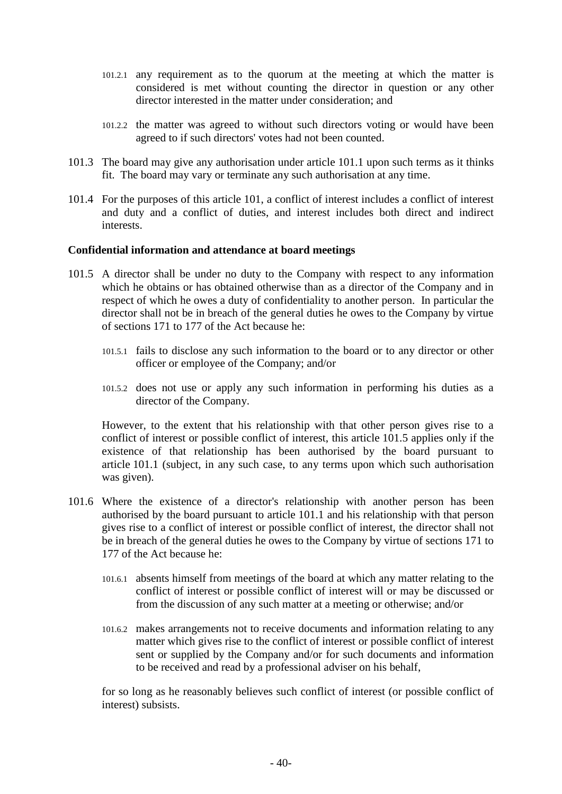- 101.2.1 any requirement as to the quorum at the meeting at which the matter is considered is met without counting the director in question or any other director interested in the matter under consideration; and
- 101.2.2 the matter was agreed to without such directors voting or would have been agreed to if such directors' votes had not been counted.
- 101.3 The board may give any authorisation under article [101.1](#page-44-0) upon such terms as it thinks fit. The board may vary or terminate any such authorisation at any time.
- 101.4 For the purposes of this article [101,](#page-44-1) a conflict of interest includes a conflict of interest and duty and a conflict of duties, and interest includes both direct and indirect interests.

### **Confidential information and attendance at board meetings**

- <span id="page-45-0"></span>101.5 A director shall be under no duty to the Company with respect to any information which he obtains or has obtained otherwise than as a director of the Company and in respect of which he owes a duty of confidentiality to another person. In particular the director shall not be in breach of the general duties he owes to the Company by virtue of sections 171 to 177 of the Act because he:
	- 101.5.1 fails to disclose any such information to the board or to any director or other officer or employee of the Company; and/or
	- 101.5.2 does not use or apply any such information in performing his duties as a director of the Company.

However, to the extent that his relationship with that other person gives rise to a conflict of interest or possible conflict of interest, this article [101.5](#page-45-0) applies only if the existence of that relationship has been authorised by the board pursuant to article [101.1](#page-44-0) (subject, in any such case, to any terms upon which such authorisation was given).

- <span id="page-45-1"></span>101.6 Where the existence of a director's relationship with another person has been authorised by the board pursuant to article [101.1](#page-44-0) and his relationship with that person gives rise to a conflict of interest or possible conflict of interest, the director shall not be in breach of the general duties he owes to the Company by virtue of sections 171 to 177 of the Act because he:
	- 101.6.1 absents himself from meetings of the board at which any matter relating to the conflict of interest or possible conflict of interest will or may be discussed or from the discussion of any such matter at a meeting or otherwise; and/or
	- 101.6.2 makes arrangements not to receive documents and information relating to any matter which gives rise to the conflict of interest or possible conflict of interest sent or supplied by the Company and/or for such documents and information to be received and read by a professional adviser on his behalf,

for so long as he reasonably believes such conflict of interest (or possible conflict of interest) subsists.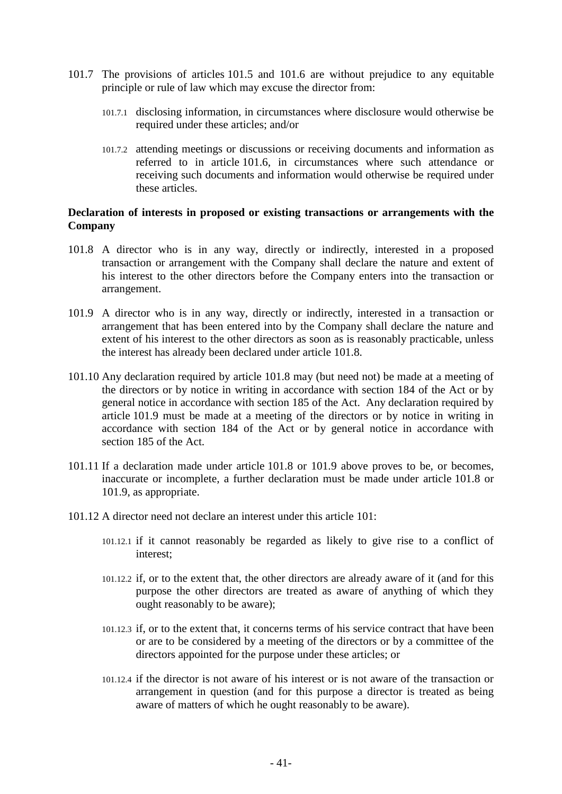- 101.7 The provisions of articles [101.5](#page-45-0) and [101.6](#page-45-1) are without prejudice to any equitable principle or rule of law which may excuse the director from:
	- 101.7.1 disclosing information, in circumstances where disclosure would otherwise be required under these articles; and/or
	- 101.7.2 attending meetings or discussions or receiving documents and information as referred to in article [101.6,](#page-45-1) in circumstances where such attendance or receiving such documents and information would otherwise be required under these articles.

### **Declaration of interests in proposed or existing transactions or arrangements with the Company**

- <span id="page-46-0"></span>101.8 A director who is in any way, directly or indirectly, interested in a proposed transaction or arrangement with the Company shall declare the nature and extent of his interest to the other directors before the Company enters into the transaction or arrangement.
- <span id="page-46-1"></span>101.9 A director who is in any way, directly or indirectly, interested in a transaction or arrangement that has been entered into by the Company shall declare the nature and extent of his interest to the other directors as soon as is reasonably practicable, unless the interest has already been declared under article [101.8.](#page-46-0)
- 101.10 Any declaration required by article [101.8](#page-46-0) may (but need not) be made at a meeting of the directors or by notice in writing in accordance with section 184 of the Act or by general notice in accordance with section 185 of the Act. Any declaration required by article [101.9](#page-46-1) must be made at a meeting of the directors or by notice in writing in accordance with section 184 of the Act or by general notice in accordance with section 185 of the Act.
- 101.11 If a declaration made under article [101.8](#page-46-0) or [101.9](#page-46-1) above proves to be, or becomes, inaccurate or incomplete, a further declaration must be made under article [101.8](#page-46-0) or [101.9,](#page-46-1) as appropriate.
- <span id="page-46-2"></span>101.12 A director need not declare an interest under this article [101:](#page-44-1)
	- 101.12.1 if it cannot reasonably be regarded as likely to give rise to a conflict of interest;
	- 101.12.2 if, or to the extent that, the other directors are already aware of it (and for this purpose the other directors are treated as aware of anything of which they ought reasonably to be aware);
	- 101.12.3 if, or to the extent that, it concerns terms of his service contract that have been or are to be considered by a meeting of the directors or by a committee of the directors appointed for the purpose under these articles; or
	- 101.12.4 if the director is not aware of his interest or is not aware of the transaction or arrangement in question (and for this purpose a director is treated as being aware of matters of which he ought reasonably to be aware).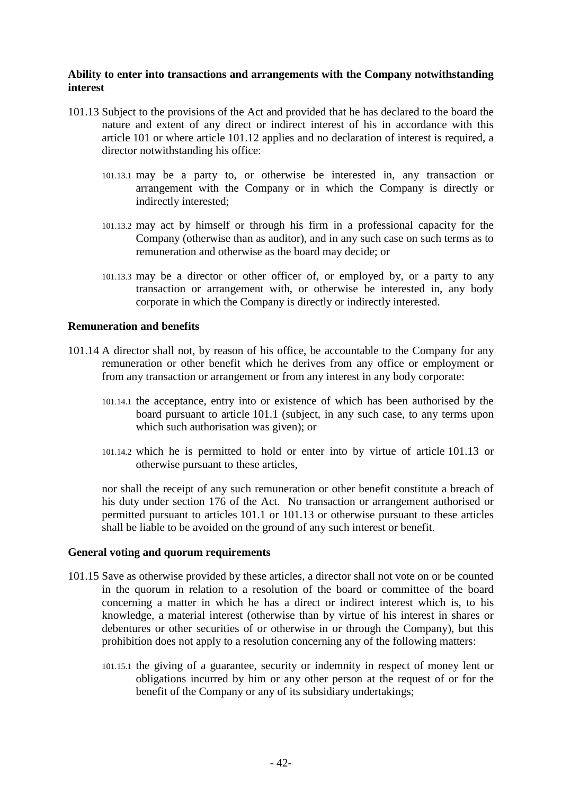### **Ability to enter into transactions and arrangements with the Company notwithstanding interest**

- <span id="page-47-0"></span>101.13 Subject to the provisions of the Act and provided that he has declared to the board the nature and extent of any direct or indirect interest of his in accordance with this article [101](#page-44-1) or where article [101.12](#page-46-2) applies and no declaration of interest is required, a director notwithstanding his office:
	- 101.13.1 may be a party to, or otherwise be interested in, any transaction or arrangement with the Company or in which the Company is directly or indirectly interested;
	- 101.13.2 may act by himself or through his firm in a professional capacity for the Company (otherwise than as auditor), and in any such case on such terms as to remuneration and otherwise as the board may decide; or
	- 101.13.3 may be a director or other officer of, or employed by, or a party to any transaction or arrangement with, or otherwise be interested in, any body corporate in which the Company is directly or indirectly interested.

#### **Remuneration and benefits**

- 101.14 A director shall not, by reason of his office, be accountable to the Company for any remuneration or other benefit which he derives from any office or employment or from any transaction or arrangement or from any interest in any body corporate:
	- 101.14.1 the acceptance, entry into or existence of which has been authorised by the board pursuant to article [101.1](#page-44-0) (subject, in any such case, to any terms upon which such authorisation was given); or
	- 101.14.2 which he is permitted to hold or enter into by virtue of article [101.13](#page-47-0) or otherwise pursuant to these articles,

nor shall the receipt of any such remuneration or other benefit constitute a breach of his duty under section 176 of the Act. No transaction or arrangement authorised or permitted pursuant to articles [101.1](#page-44-0) or [101.13](#page-47-0) or otherwise pursuant to these articles shall be liable to be avoided on the ground of any such interest or benefit.

#### **General voting and quorum requirements**

- 101.15 Save as otherwise provided by these articles, a director shall not vote on or be counted in the quorum in relation to a resolution of the board or committee of the board concerning a matter in which he has a direct or indirect interest which is, to his knowledge, a material interest (otherwise than by virtue of his interest in shares or debentures or other securities of or otherwise in or through the Company), but this prohibition does not apply to a resolution concerning any of the following matters:
	- 101.15.1 the giving of a guarantee, security or indemnity in respect of money lent or obligations incurred by him or any other person at the request of or for the benefit of the Company or any of its subsidiary undertakings;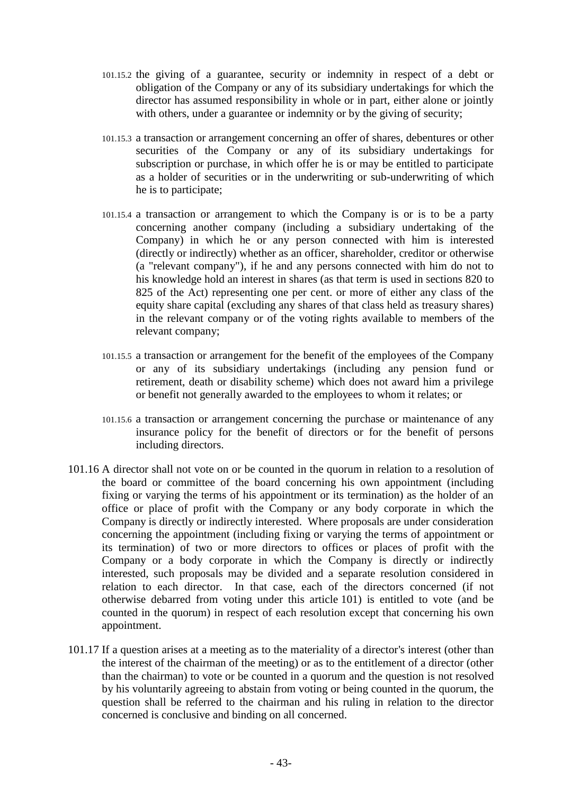- 101.15.2 the giving of a guarantee, security or indemnity in respect of a debt or obligation of the Company or any of its subsidiary undertakings for which the director has assumed responsibility in whole or in part, either alone or jointly with others, under a guarantee or indemnity or by the giving of security;
- 101.15.3 a transaction or arrangement concerning an offer of shares, debentures or other securities of the Company or any of its subsidiary undertakings for subscription or purchase, in which offer he is or may be entitled to participate as a holder of securities or in the underwriting or sub-underwriting of which he is to participate;
- 101.15.4 a transaction or arrangement to which the Company is or is to be a party concerning another company (including a subsidiary undertaking of the Company) in which he or any person connected with him is interested (directly or indirectly) whether as an officer, shareholder, creditor or otherwise (a "relevant company"), if he and any persons connected with him do not to his knowledge hold an interest in shares (as that term is used in sections 820 to 825 of the Act) representing one per cent. or more of either any class of the equity share capital (excluding any shares of that class held as treasury shares) in the relevant company or of the voting rights available to members of the relevant company;
- 101.15.5 a transaction or arrangement for the benefit of the employees of the Company or any of its subsidiary undertakings (including any pension fund or retirement, death or disability scheme) which does not award him a privilege or benefit not generally awarded to the employees to whom it relates; or
- 101.15.6 a transaction or arrangement concerning the purchase or maintenance of any insurance policy for the benefit of directors or for the benefit of persons including directors.
- 101.16 A director shall not vote on or be counted in the quorum in relation to a resolution of the board or committee of the board concerning his own appointment (including fixing or varying the terms of his appointment or its termination) as the holder of an office or place of profit with the Company or any body corporate in which the Company is directly or indirectly interested. Where proposals are under consideration concerning the appointment (including fixing or varying the terms of appointment or its termination) of two or more directors to offices or places of profit with the Company or a body corporate in which the Company is directly or indirectly interested, such proposals may be divided and a separate resolution considered in relation to each director. In that case, each of the directors concerned (if not otherwise debarred from voting under this article [101\)](#page-44-1) is entitled to vote (and be counted in the quorum) in respect of each resolution except that concerning his own appointment.
- 101.17 If a question arises at a meeting as to the materiality of a director's interest (other than the interest of the chairman of the meeting) or as to the entitlement of a director (other than the chairman) to vote or be counted in a quorum and the question is not resolved by his voluntarily agreeing to abstain from voting or being counted in the quorum, the question shall be referred to the chairman and his ruling in relation to the director concerned is conclusive and binding on all concerned.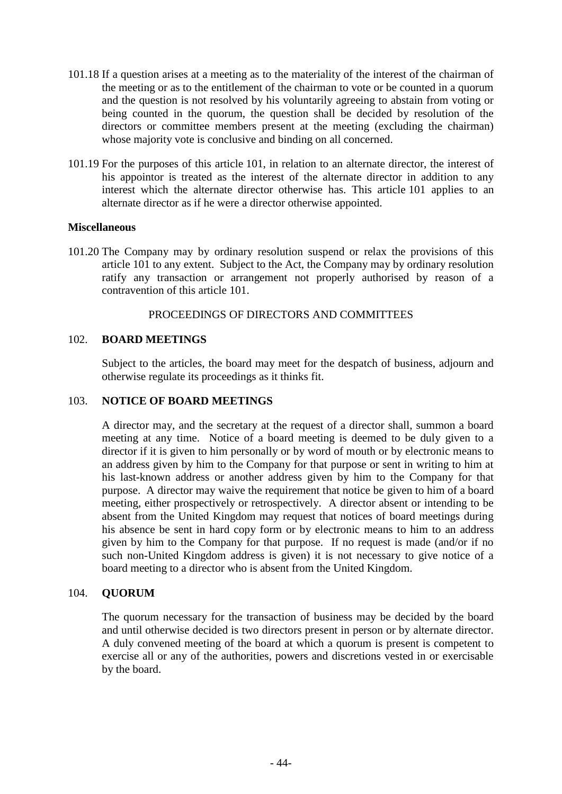- 101.18 If a question arises at a meeting as to the materiality of the interest of the chairman of the meeting or as to the entitlement of the chairman to vote or be counted in a quorum and the question is not resolved by his voluntarily agreeing to abstain from voting or being counted in the quorum, the question shall be decided by resolution of the directors or committee members present at the meeting (excluding the chairman) whose majority vote is conclusive and binding on all concerned.
- 101.19 For the purposes of this article [101,](#page-44-1) in relation to an alternate director, the interest of his appointor is treated as the interest of the alternate director in addition to any interest which the alternate director otherwise has. This article [101](#page-44-1) applies to an alternate director as if he were a director otherwise appointed.

### **Miscellaneous**

101.20 The Company may by ordinary resolution suspend or relax the provisions of this article [101](#page-44-1) to any extent. Subject to the Act, the Company may by ordinary resolution ratify any transaction or arrangement not properly authorised by reason of a contravention of this article [101.](#page-44-1)

## PROCEEDINGS OF DIRECTORS AND COMMITTEES

## 102. **BOARD MEETINGS**

Subject to the articles, the board may meet for the despatch of business, adjourn and otherwise regulate its proceedings as it thinks fit.

## 103. **NOTICE OF BOARD MEETINGS**

A director may, and the secretary at the request of a director shall, summon a board meeting at any time. Notice of a board meeting is deemed to be duly given to a director if it is given to him personally or by word of mouth or by electronic means to an address given by him to the Company for that purpose or sent in writing to him at his last-known address or another address given by him to the Company for that purpose. A director may waive the requirement that notice be given to him of a board meeting, either prospectively or retrospectively. A director absent or intending to be absent from the United Kingdom may request that notices of board meetings during his absence be sent in hard copy form or by electronic means to him to an address given by him to the Company for that purpose. If no request is made (and/or if no such non-United Kingdom address is given) it is not necessary to give notice of a board meeting to a director who is absent from the United Kingdom.

### 104. **QUORUM**

The quorum necessary for the transaction of business may be decided by the board and until otherwise decided is two directors present in person or by alternate director. A duly convened meeting of the board at which a quorum is present is competent to exercise all or any of the authorities, powers and discretions vested in or exercisable by the board.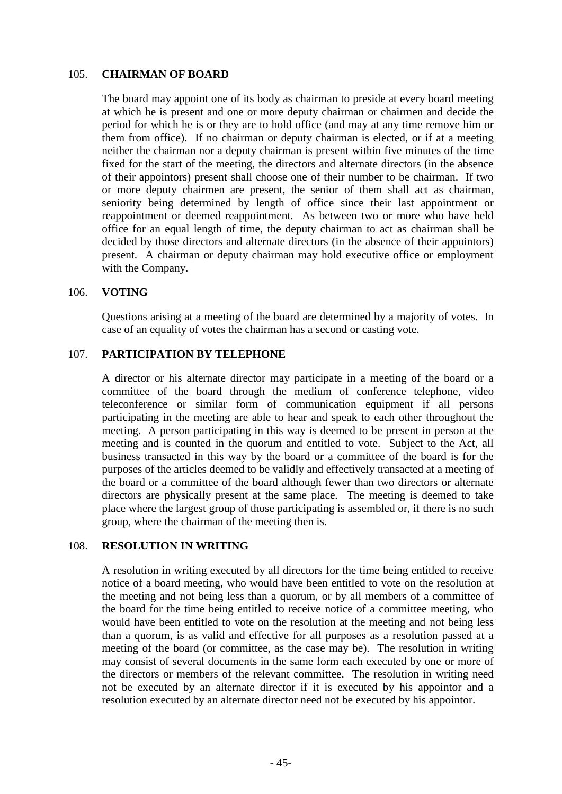### 105. **CHAIRMAN OF BOARD**

The board may appoint one of its body as chairman to preside at every board meeting at which he is present and one or more deputy chairman or chairmen and decide the period for which he is or they are to hold office (and may at any time remove him or them from office). If no chairman or deputy chairman is elected, or if at a meeting neither the chairman nor a deputy chairman is present within five minutes of the time fixed for the start of the meeting, the directors and alternate directors (in the absence of their appointors) present shall choose one of their number to be chairman. If two or more deputy chairmen are present, the senior of them shall act as chairman, seniority being determined by length of office since their last appointment or reappointment or deemed reappointment. As between two or more who have held office for an equal length of time, the deputy chairman to act as chairman shall be decided by those directors and alternate directors (in the absence of their appointors) present. A chairman or deputy chairman may hold executive office or employment with the Company.

#### 106. **VOTING**

Questions arising at a meeting of the board are determined by a majority of votes. In case of an equality of votes the chairman has a second or casting vote.

### 107. **PARTICIPATION BY TELEPHONE**

A director or his alternate director may participate in a meeting of the board or a committee of the board through the medium of conference telephone, video teleconference or similar form of communication equipment if all persons participating in the meeting are able to hear and speak to each other throughout the meeting. A person participating in this way is deemed to be present in person at the meeting and is counted in the quorum and entitled to vote. Subject to the Act, all business transacted in this way by the board or a committee of the board is for the purposes of the articles deemed to be validly and effectively transacted at a meeting of the board or a committee of the board although fewer than two directors or alternate directors are physically present at the same place. The meeting is deemed to take place where the largest group of those participating is assembled or, if there is no such group, where the chairman of the meeting then is.

#### 108. **RESOLUTION IN WRITING**

A resolution in writing executed by all directors for the time being entitled to receive notice of a board meeting, who would have been entitled to vote on the resolution at the meeting and not being less than a quorum, or by all members of a committee of the board for the time being entitled to receive notice of a committee meeting, who would have been entitled to vote on the resolution at the meeting and not being less than a quorum, is as valid and effective for all purposes as a resolution passed at a meeting of the board (or committee, as the case may be). The resolution in writing may consist of several documents in the same form each executed by one or more of the directors or members of the relevant committee. The resolution in writing need not be executed by an alternate director if it is executed by his appointor and a resolution executed by an alternate director need not be executed by his appointor.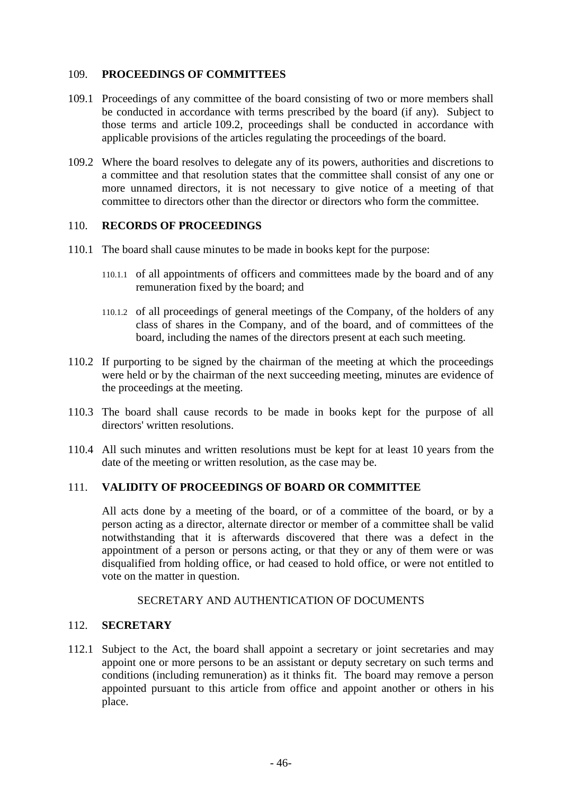## 109. **PROCEEDINGS OF COMMITTEES**

- 109.1 Proceedings of any committee of the board consisting of two or more members shall be conducted in accordance with terms prescribed by the board (if any). Subject to those terms and article [109.2,](#page-51-0) proceedings shall be conducted in accordance with applicable provisions of the articles regulating the proceedings of the board.
- <span id="page-51-0"></span>109.2 Where the board resolves to delegate any of its powers, authorities and discretions to a committee and that resolution states that the committee shall consist of any one or more unnamed directors, it is not necessary to give notice of a meeting of that committee to directors other than the director or directors who form the committee.

## 110. **RECORDS OF PROCEEDINGS**

- 110.1 The board shall cause minutes to be made in books kept for the purpose:
	- 110.1.1 of all appointments of officers and committees made by the board and of any remuneration fixed by the board; and
	- 110.1.2 of all proceedings of general meetings of the Company, of the holders of any class of shares in the Company, and of the board, and of committees of the board, including the names of the directors present at each such meeting.
- 110.2 If purporting to be signed by the chairman of the meeting at which the proceedings were held or by the chairman of the next succeeding meeting, minutes are evidence of the proceedings at the meeting.
- 110.3 The board shall cause records to be made in books kept for the purpose of all directors' written resolutions.
- 110.4 All such minutes and written resolutions must be kept for at least 10 years from the date of the meeting or written resolution, as the case may be.

## 111. **VALIDITY OF PROCEEDINGS OF BOARD OR COMMITTEE**

All acts done by a meeting of the board, or of a committee of the board, or by a person acting as a director, alternate director or member of a committee shall be valid notwithstanding that it is afterwards discovered that there was a defect in the appointment of a person or persons acting, or that they or any of them were or was disqualified from holding office, or had ceased to hold office, or were not entitled to vote on the matter in question.

### SECRETARY AND AUTHENTICATION OF DOCUMENTS

### 112. **SECRETARY**

112.1 Subject to the Act, the board shall appoint a secretary or joint secretaries and may appoint one or more persons to be an assistant or deputy secretary on such terms and conditions (including remuneration) as it thinks fit. The board may remove a person appointed pursuant to this article from office and appoint another or others in his place.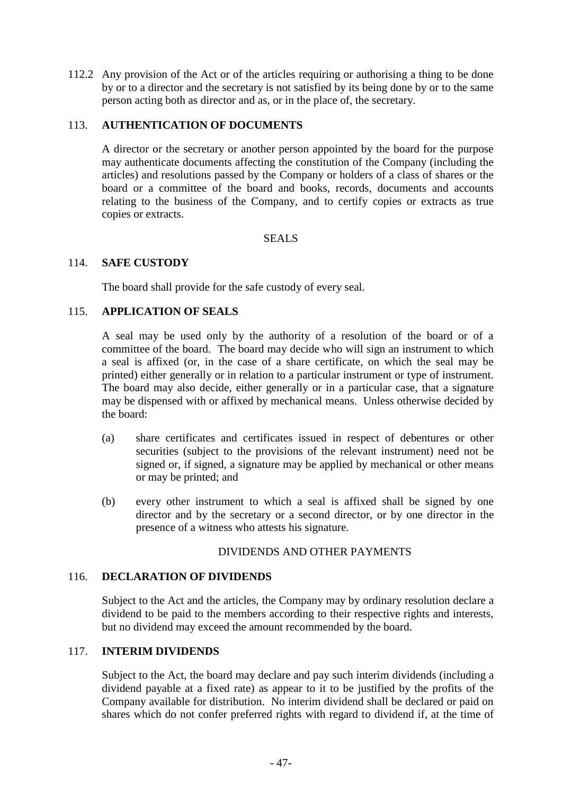112.2 Any provision of the Act or of the articles requiring or authorising a thing to be done by or to a director and the secretary is not satisfied by its being done by or to the same person acting both as director and as, or in the place of, the secretary.

## 113. **AUTHENTICATION OF DOCUMENTS**

A director or the secretary or another person appointed by the board for the purpose may authenticate documents affecting the constitution of the Company (including the articles) and resolutions passed by the Company or holders of a class of shares or the board or a committee of the board and books, records, documents and accounts relating to the business of the Company, and to certify copies or extracts as true copies or extracts.

## SEALS

## 114. **SAFE CUSTODY**

The board shall provide for the safe custody of every seal.

## 115. **APPLICATION OF SEALS**

A seal may be used only by the authority of a resolution of the board or of a committee of the board. The board may decide who will sign an instrument to which a seal is affixed (or, in the case of a share certificate, on which the seal may be printed) either generally or in relation to a particular instrument or type of instrument. The board may also decide, either generally or in a particular case, that a signature may be dispensed with or affixed by mechanical means. Unless otherwise decided by the board:

- (a) share certificates and certificates issued in respect of debentures or other securities (subject to the provisions of the relevant instrument) need not be signed or, if signed, a signature may be applied by mechanical or other means or may be printed; and
- (b) every other instrument to which a seal is affixed shall be signed by one director and by the secretary or a second director, or by one director in the presence of a witness who attests his signature.

### DIVIDENDS AND OTHER PAYMENTS

### 116. **DECLARATION OF DIVIDENDS**

Subject to the Act and the articles, the Company may by ordinary resolution declare a dividend to be paid to the members according to their respective rights and interests, but no dividend may exceed the amount recommended by the board.

# 117. **INTERIM DIVIDENDS**

Subject to the Act, the board may declare and pay such interim dividends (including a dividend payable at a fixed rate) as appear to it to be justified by the profits of the Company available for distribution. No interim dividend shall be declared or paid on shares which do not confer preferred rights with regard to dividend if, at the time of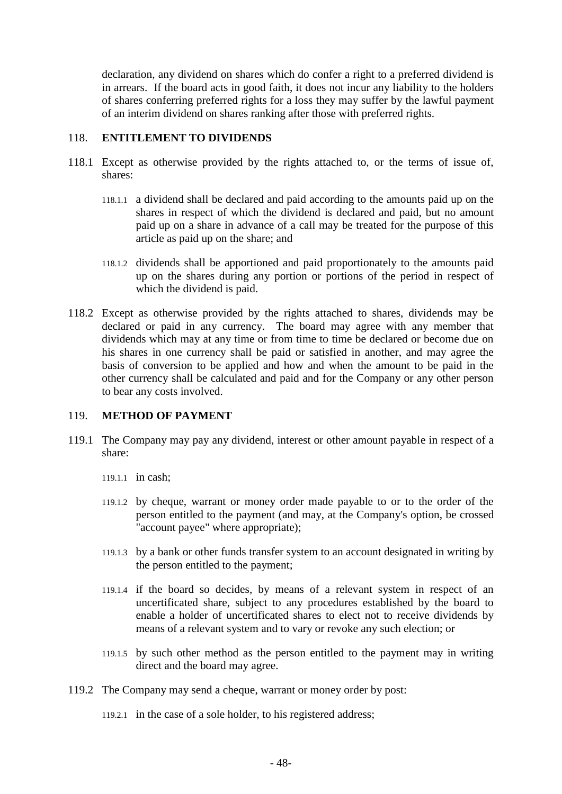declaration, any dividend on shares which do confer a right to a preferred dividend is in arrears. If the board acts in good faith, it does not incur any liability to the holders of shares conferring preferred rights for a loss they may suffer by the lawful payment of an interim dividend on shares ranking after those with preferred rights.

## 118. **ENTITLEMENT TO DIVIDENDS**

- 118.1 Except as otherwise provided by the rights attached to, or the terms of issue of, shares:
	- 118.1.1 a dividend shall be declared and paid according to the amounts paid up on the shares in respect of which the dividend is declared and paid, but no amount paid up on a share in advance of a call may be treated for the purpose of this article as paid up on the share; and
	- 118.1.2 dividends shall be apportioned and paid proportionately to the amounts paid up on the shares during any portion or portions of the period in respect of which the dividend is paid.
- 118.2 Except as otherwise provided by the rights attached to shares, dividends may be declared or paid in any currency. The board may agree with any member that dividends which may at any time or from time to time be declared or become due on his shares in one currency shall be paid or satisfied in another, and may agree the basis of conversion to be applied and how and when the amount to be paid in the other currency shall be calculated and paid and for the Company or any other person to bear any costs involved.

# <span id="page-53-1"></span>119. **METHOD OF PAYMENT**

- <span id="page-53-0"></span>119.1 The Company may pay any dividend, interest or other amount payable in respect of a share:
	- 119.1.1 in cash;
	- 119.1.2 by cheque, warrant or money order made payable to or to the order of the person entitled to the payment (and may, at the Company's option, be crossed "account payee" where appropriate);
	- 119.1.3 by a bank or other funds transfer system to an account designated in writing by the person entitled to the payment;
	- 119.1.4 if the board so decides, by means of a relevant system in respect of an uncertificated share, subject to any procedures established by the board to enable a holder of uncertificated shares to elect not to receive dividends by means of a relevant system and to vary or revoke any such election; or
	- 119.1.5 by such other method as the person entitled to the payment may in writing direct and the board may agree.
- 119.2 The Company may send a cheque, warrant or money order by post:
	- 119.2.1 in the case of a sole holder, to his registered address;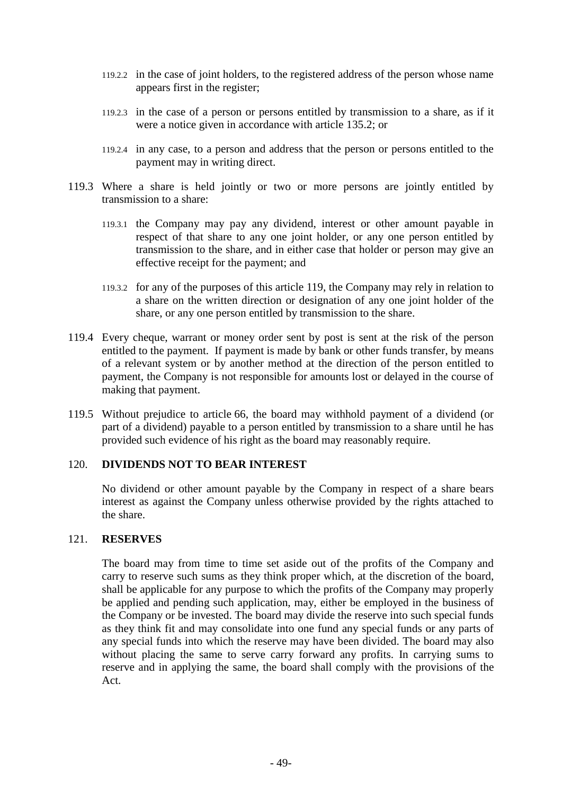- 119.2.2 in the case of joint holders, to the registered address of the person whose name appears first in the register;
- 119.2.3 in the case of a person or persons entitled by transmission to a share, as if it were a notice given in accordance with article [135.2;](#page-61-1) or
- 119.2.4 in any case, to a person and address that the person or persons entitled to the payment may in writing direct.
- 119.3 Where a share is held jointly or two or more persons are jointly entitled by transmission to a share:
	- 119.3.1 the Company may pay any dividend, interest or other amount payable in respect of that share to any one joint holder, or any one person entitled by transmission to the share, and in either case that holder or person may give an effective receipt for the payment; and
	- 119.3.2 for any of the purposes of this article [119,](#page-53-1) the Company may rely in relation to a share on the written direction or designation of any one joint holder of the share, or any one person entitled by transmission to the share.
- 119.4 Every cheque, warrant or money order sent by post is sent at the risk of the person entitled to the payment. If payment is made by bank or other funds transfer, by means of a relevant system or by another method at the direction of the person entitled to payment, the Company is not responsible for amounts lost or delayed in the course of making that payment.
- 119.5 Without prejudice to article [66,](#page-31-0) the board may withhold payment of a dividend (or part of a dividend) payable to a person entitled by transmission to a share until he has provided such evidence of his right as the board may reasonably require.

### 120. **DIVIDENDS NOT TO BEAR INTEREST**

No dividend or other amount payable by the Company in respect of a share bears interest as against the Company unless otherwise provided by the rights attached to the share.

#### 121. **RESERVES**

The board may from time to time set aside out of the profits of the Company and carry to reserve such sums as they think proper which, at the discretion of the board, shall be applicable for any purpose to which the profits of the Company may properly be applied and pending such application, may, either be employed in the business of the Company or be invested. The board may divide the reserve into such special funds as they think fit and may consolidate into one fund any special funds or any parts of any special funds into which the reserve may have been divided. The board may also without placing the same to serve carry forward any profits. In carrying sums to reserve and in applying the same, the board shall comply with the provisions of the Act.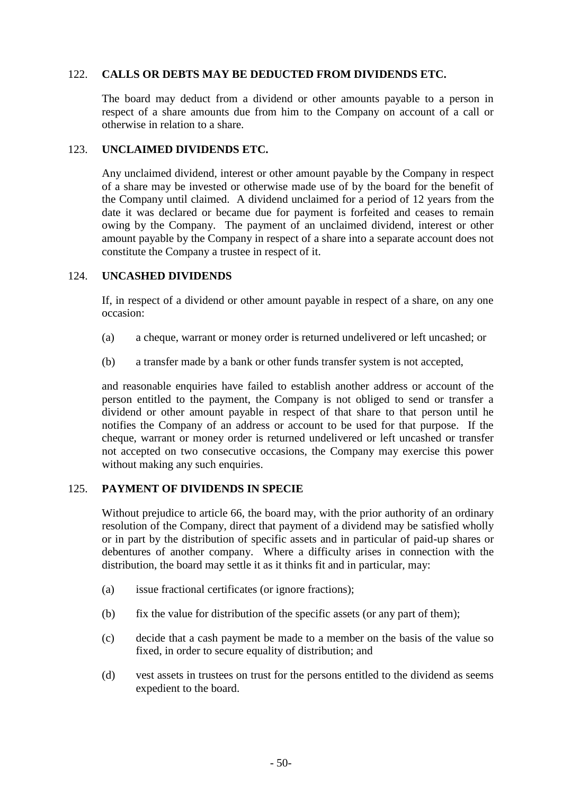## 122. **CALLS OR DEBTS MAY BE DEDUCTED FROM DIVIDENDS ETC.**

The board may deduct from a dividend or other amounts payable to a person in respect of a share amounts due from him to the Company on account of a call or otherwise in relation to a share.

### 123. **UNCLAIMED DIVIDENDS ETC.**

Any unclaimed dividend, interest or other amount payable by the Company in respect of a share may be invested or otherwise made use of by the board for the benefit of the Company until claimed. A dividend unclaimed for a period of 12 years from the date it was declared or became due for payment is forfeited and ceases to remain owing by the Company. The payment of an unclaimed dividend, interest or other amount payable by the Company in respect of a share into a separate account does not constitute the Company a trustee in respect of it.

### 124. **UNCASHED DIVIDENDS**

If, in respect of a dividend or other amount payable in respect of a share, on any one occasion:

- (a) a cheque, warrant or money order is returned undelivered or left uncashed; or
- (b) a transfer made by a bank or other funds transfer system is not accepted,

and reasonable enquiries have failed to establish another address or account of the person entitled to the payment, the Company is not obliged to send or transfer a dividend or other amount payable in respect of that share to that person until he notifies the Company of an address or account to be used for that purpose. If the cheque, warrant or money order is returned undelivered or left uncashed or transfer not accepted on two consecutive occasions, the Company may exercise this power without making any such enquiries.

# 125. **PAYMENT OF DIVIDENDS IN SPECIE**

Without prejudice to article [66,](#page-31-0) the board may, with the prior authority of an ordinary resolution of the Company, direct that payment of a dividend may be satisfied wholly or in part by the distribution of specific assets and in particular of paid-up shares or debentures of another company. Where a difficulty arises in connection with the distribution, the board may settle it as it thinks fit and in particular, may:

- (a) issue fractional certificates (or ignore fractions);
- (b) fix the value for distribution of the specific assets (or any part of them);
- (c) decide that a cash payment be made to a member on the basis of the value so fixed, in order to secure equality of distribution; and
- (d) vest assets in trustees on trust for the persons entitled to the dividend as seems expedient to the board.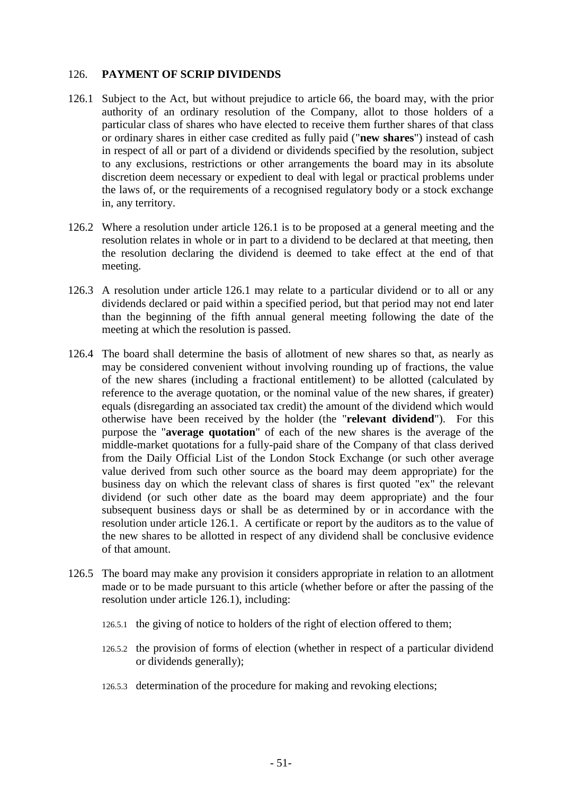## <span id="page-56-0"></span>126. **PAYMENT OF SCRIP DIVIDENDS**

- <span id="page-56-1"></span>126.1 Subject to the Act, but without prejudice to article [66,](#page-31-0) the board may, with the prior authority of an ordinary resolution of the Company, allot to those holders of a particular class of shares who have elected to receive them further shares of that class or ordinary shares in either case credited as fully paid ("**new shares**") instead of cash in respect of all or part of a dividend or dividends specified by the resolution, subject to any exclusions, restrictions or other arrangements the board may in its absolute discretion deem necessary or expedient to deal with legal or practical problems under the laws of, or the requirements of a recognised regulatory body or a stock exchange in, any territory.
- 126.2 Where a resolution under article [126.1](#page-56-1) is to be proposed at a general meeting and the resolution relates in whole or in part to a dividend to be declared at that meeting, then the resolution declaring the dividend is deemed to take effect at the end of that meeting.
- 126.3 A resolution under article [126.1](#page-56-1) may relate to a particular dividend or to all or any dividends declared or paid within a specified period, but that period may not end later than the beginning of the fifth annual general meeting following the date of the meeting at which the resolution is passed.
- <span id="page-56-2"></span>126.4 The board shall determine the basis of allotment of new shares so that, as nearly as may be considered convenient without involving rounding up of fractions, the value of the new shares (including a fractional entitlement) to be allotted (calculated by reference to the average quotation, or the nominal value of the new shares, if greater) equals (disregarding an associated tax credit) the amount of the dividend which would otherwise have been received by the holder (the "**relevant dividend**"). For this purpose the "**average quotation**" of each of the new shares is the average of the middle-market quotations for a fully-paid share of the Company of that class derived from the Daily Official List of the London Stock Exchange (or such other average value derived from such other source as the board may deem appropriate) for the business day on which the relevant class of shares is first quoted "ex" the relevant dividend (or such other date as the board may deem appropriate) and the four subsequent business days or shall be as determined by or in accordance with the resolution under article [126.1.](#page-56-1) A certificate or report by the auditors as to the value of the new shares to be allotted in respect of any dividend shall be conclusive evidence of that amount.
- 126.5 The board may make any provision it considers appropriate in relation to an allotment made or to be made pursuant to this article (whether before or after the passing of the resolution under article [126.1\)](#page-56-1), including:
	- 126.5.1 the giving of notice to holders of the right of election offered to them;
	- 126.5.2 the provision of forms of election (whether in respect of a particular dividend or dividends generally);
	- 126.5.3 determination of the procedure for making and revoking elections;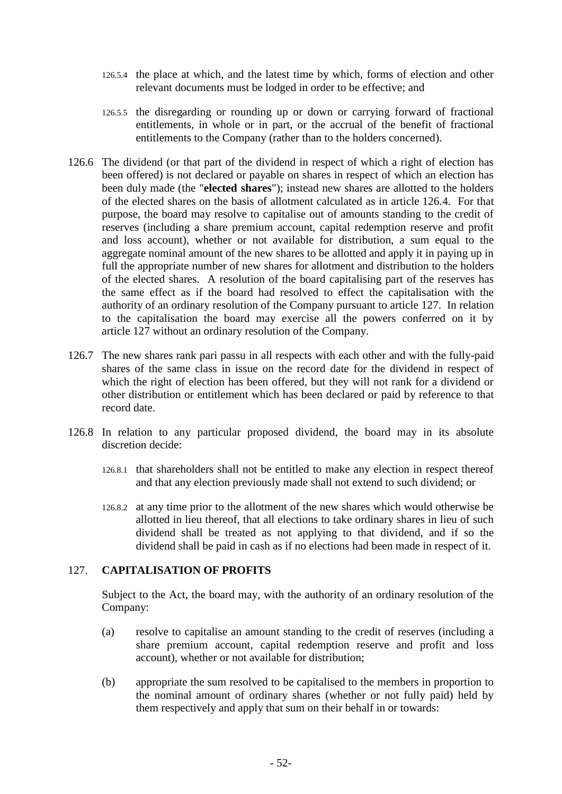- 126.5.4 the place at which, and the latest time by which, forms of election and other relevant documents must be lodged in order to be effective; and
- 126.5.5 the disregarding or rounding up or down or carrying forward of fractional entitlements, in whole or in part, or the accrual of the benefit of fractional entitlements to the Company (rather than to the holders concerned).
- 126.6 The dividend (or that part of the dividend in respect of which a right of election has been offered) is not declared or payable on shares in respect of which an election has been duly made (the "**elected shares**"); instead new shares are allotted to the holders of the elected shares on the basis of allotment calculated as in article [126.4.](#page-56-2) For that purpose, the board may resolve to capitalise out of amounts standing to the credit of reserves (including a share premium account, capital redemption reserve and profit and loss account), whether or not available for distribution, a sum equal to the aggregate nominal amount of the new shares to be allotted and apply it in paying up in full the appropriate number of new shares for allotment and distribution to the holders of the elected shares. A resolution of the board capitalising part of the reserves has the same effect as if the board had resolved to effect the capitalisation with the authority of an ordinary resolution of the Company pursuant to article [127.](#page-57-0) In relation to the capitalisation the board may exercise all the powers conferred on it by article [127](#page-57-0) without an ordinary resolution of the Company.
- 126.7 The new shares rank pari passu in all respects with each other and with the fully-paid shares of the same class in issue on the record date for the dividend in respect of which the right of election has been offered, but they will not rank for a dividend or other distribution or entitlement which has been declared or paid by reference to that record date.
- 126.8 In relation to any particular proposed dividend, the board may in its absolute discretion decide:
	- 126.8.1 that shareholders shall not be entitled to make any election in respect thereof and that any election previously made shall not extend to such dividend; or
	- 126.8.2 at any time prior to the allotment of the new shares which would otherwise be allotted in lieu thereof, that all elections to take ordinary shares in lieu of such dividend shall be treated as not applying to that dividend, and if so the dividend shall be paid in cash as if no elections had been made in respect of it.

## <span id="page-57-0"></span>127. **CAPITALISATION OF PROFITS**

Subject to the Act, the board may, with the authority of an ordinary resolution of the Company:

- (a) resolve to capitalise an amount standing to the credit of reserves (including a share premium account, capital redemption reserve and profit and loss account), whether or not available for distribution;
- (b) appropriate the sum resolved to be capitalised to the members in proportion to the nominal amount of ordinary shares (whether or not fully paid) held by them respectively and apply that sum on their behalf in or towards: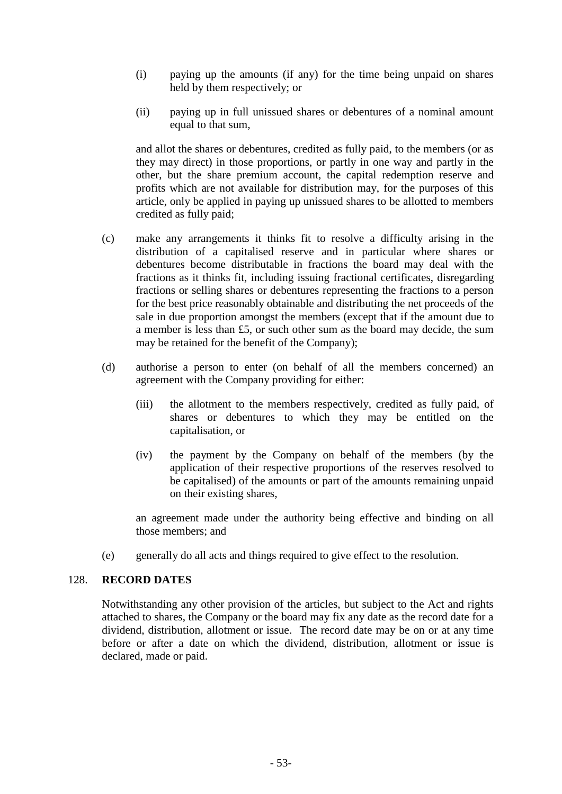- (i) paying up the amounts (if any) for the time being unpaid on shares held by them respectively; or
- (ii) paying up in full unissued shares or debentures of a nominal amount equal to that sum,

and allot the shares or debentures, credited as fully paid, to the members (or as they may direct) in those proportions, or partly in one way and partly in the other, but the share premium account, the capital redemption reserve and profits which are not available for distribution may, for the purposes of this article, only be applied in paying up unissued shares to be allotted to members credited as fully paid;

- (c) make any arrangements it thinks fit to resolve a difficulty arising in the distribution of a capitalised reserve and in particular where shares or debentures become distributable in fractions the board may deal with the fractions as it thinks fit, including issuing fractional certificates, disregarding fractions or selling shares or debentures representing the fractions to a person for the best price reasonably obtainable and distributing the net proceeds of the sale in due proportion amongst the members (except that if the amount due to a member is less than £5, or such other sum as the board may decide, the sum may be retained for the benefit of the Company);
- (d) authorise a person to enter (on behalf of all the members concerned) an agreement with the Company providing for either:
	- (iii) the allotment to the members respectively, credited as fully paid, of shares or debentures to which they may be entitled on the capitalisation, or
	- (iv) the payment by the Company on behalf of the members (by the application of their respective proportions of the reserves resolved to be capitalised) of the amounts or part of the amounts remaining unpaid on their existing shares,

an agreement made under the authority being effective and binding on all those members; and

(e) generally do all acts and things required to give effect to the resolution.

### 128. **RECORD DATES**

Notwithstanding any other provision of the articles, but subject to the Act and rights attached to shares, the Company or the board may fix any date as the record date for a dividend, distribution, allotment or issue. The record date may be on or at any time before or after a date on which the dividend, distribution, allotment or issue is declared, made or paid.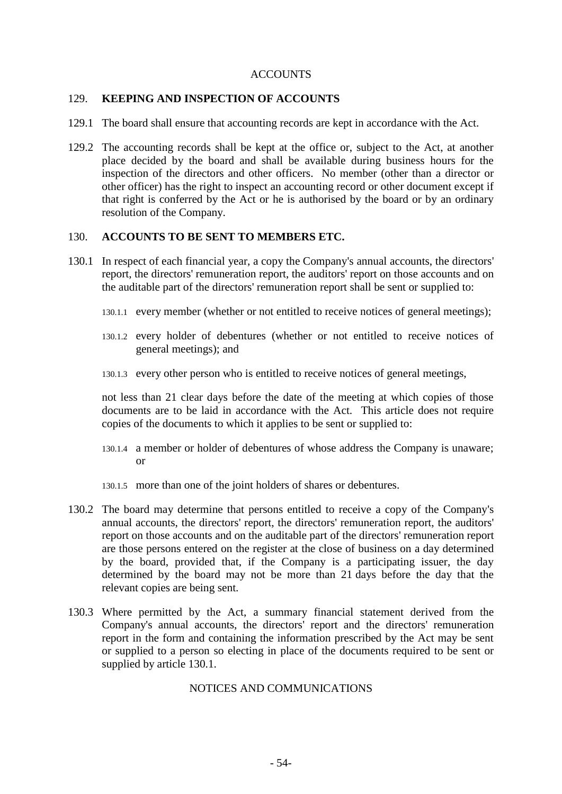### ACCOUNTS

#### 129. **KEEPING AND INSPECTION OF ACCOUNTS**

- 129.1 The board shall ensure that accounting records are kept in accordance with the Act.
- 129.2 The accounting records shall be kept at the office or, subject to the Act, at another place decided by the board and shall be available during business hours for the inspection of the directors and other officers. No member (other than a director or other officer) has the right to inspect an accounting record or other document except if that right is conferred by the Act or he is authorised by the board or by an ordinary resolution of the Company.

### 130. **ACCOUNTS TO BE SENT TO MEMBERS ETC.**

- <span id="page-59-0"></span>130.1 In respect of each financial year, a copy the Company's annual accounts, the directors' report, the directors' remuneration report, the auditors' report on those accounts and on the auditable part of the directors' remuneration report shall be sent or supplied to:
	- 130.1.1 every member (whether or not entitled to receive notices of general meetings);
	- 130.1.2 every holder of debentures (whether or not entitled to receive notices of general meetings); and
	- 130.1.3 every other person who is entitled to receive notices of general meetings,

not less than 21 clear days before the date of the meeting at which copies of those documents are to be laid in accordance with the Act. This article does not require copies of the documents to which it applies to be sent or supplied to:

- 130.1.4 a member or holder of debentures of whose address the Company is unaware; or
- 130.1.5 more than one of the joint holders of shares or debentures.
- 130.2 The board may determine that persons entitled to receive a copy of the Company's annual accounts, the directors' report, the directors' remuneration report, the auditors' report on those accounts and on the auditable part of the directors' remuneration report are those persons entered on the register at the close of business on a day determined by the board, provided that, if the Company is a participating issuer, the day determined by the board may not be more than 21 days before the day that the relevant copies are being sent.
- 130.3 Where permitted by the Act, a summary financial statement derived from the Company's annual accounts, the directors' report and the directors' remuneration report in the form and containing the information prescribed by the Act may be sent or supplied to a person so electing in place of the documents required to be sent or supplied by article [130.1.](#page-59-0)

### NOTICES AND COMMUNICATIONS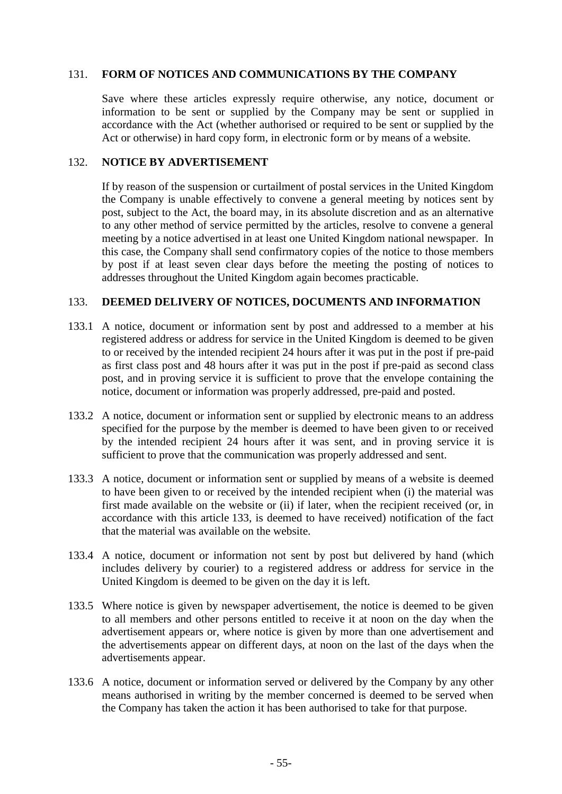## 131. **FORM OF NOTICES AND COMMUNICATIONS BY THE COMPANY**

Save where these articles expressly require otherwise, any notice, document or information to be sent or supplied by the Company may be sent or supplied in accordance with the Act (whether authorised or required to be sent or supplied by the Act or otherwise) in hard copy form, in electronic form or by means of a website.

### 132. **NOTICE BY ADVERTISEMENT**

If by reason of the suspension or curtailment of postal services in the United Kingdom the Company is unable effectively to convene a general meeting by notices sent by post, subject to the Act, the board may, in its absolute discretion and as an alternative to any other method of service permitted by the articles, resolve to convene a general meeting by a notice advertised in at least one United Kingdom national newspaper. In this case, the Company shall send confirmatory copies of the notice to those members by post if at least seven clear days before the meeting the posting of notices to addresses throughout the United Kingdom again becomes practicable.

### <span id="page-60-0"></span>133. **DEEMED DELIVERY OF NOTICES, DOCUMENTS AND INFORMATION**

- 133.1 A notice, document or information sent by post and addressed to a member at his registered address or address for service in the United Kingdom is deemed to be given to or received by the intended recipient 24 hours after it was put in the post if pre-paid as first class post and 48 hours after it was put in the post if pre-paid as second class post, and in proving service it is sufficient to prove that the envelope containing the notice, document or information was properly addressed, pre-paid and posted.
- 133.2 A notice, document or information sent or supplied by electronic means to an address specified for the purpose by the member is deemed to have been given to or received by the intended recipient 24 hours after it was sent, and in proving service it is sufficient to prove that the communication was properly addressed and sent.
- 133.3 A notice, document or information sent or supplied by means of a website is deemed to have been given to or received by the intended recipient when (i) the material was first made available on the website or (ii) if later, when the recipient received (or, in accordance with this article [133,](#page-60-0) is deemed to have received) notification of the fact that the material was available on the website.
- 133.4 A notice, document or information not sent by post but delivered by hand (which includes delivery by courier) to a registered address or address for service in the United Kingdom is deemed to be given on the day it is left.
- 133.5 Where notice is given by newspaper advertisement, the notice is deemed to be given to all members and other persons entitled to receive it at noon on the day when the advertisement appears or, where notice is given by more than one advertisement and the advertisements appear on different days, at noon on the last of the days when the advertisements appear.
- 133.6 A notice, document or information served or delivered by the Company by any other means authorised in writing by the member concerned is deemed to be served when the Company has taken the action it has been authorised to take for that purpose.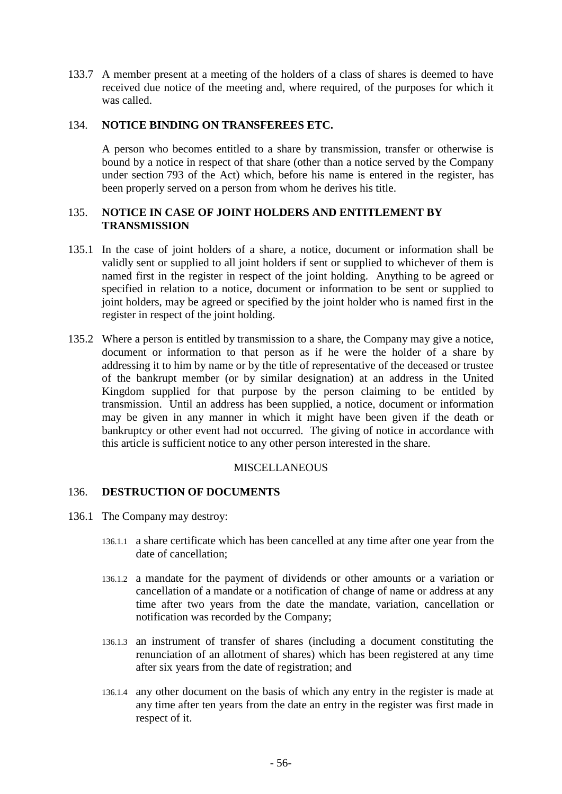133.7 A member present at a meeting of the holders of a class of shares is deemed to have received due notice of the meeting and, where required, of the purposes for which it was called.

### 134. **NOTICE BINDING ON TRANSFEREES ETC.**

A person who becomes entitled to a share by transmission, transfer or otherwise is bound by a notice in respect of that share (other than a notice served by the Company under section 793 of the Act) which, before his name is entered in the register, has been properly served on a person from whom he derives his title.

## 135. **NOTICE IN CASE OF JOINT HOLDERS AND ENTITLEMENT BY TRANSMISSION**

- 135.1 In the case of joint holders of a share, a notice, document or information shall be validly sent or supplied to all joint holders if sent or supplied to whichever of them is named first in the register in respect of the joint holding. Anything to be agreed or specified in relation to a notice, document or information to be sent or supplied to joint holders, may be agreed or specified by the joint holder who is named first in the register in respect of the joint holding.
- <span id="page-61-1"></span>135.2 Where a person is entitled by transmission to a share, the Company may give a notice, document or information to that person as if he were the holder of a share by addressing it to him by name or by the title of representative of the deceased or trustee of the bankrupt member (or by similar designation) at an address in the United Kingdom supplied for that purpose by the person claiming to be entitled by transmission. Until an address has been supplied, a notice, document or information may be given in any manner in which it might have been given if the death or bankruptcy or other event had not occurred. The giving of notice in accordance with this article is sufficient notice to any other person interested in the share.

### MISCELLANEOUS

### <span id="page-61-0"></span>136. **DESTRUCTION OF DOCUMENTS**

- 136.1 The Company may destroy:
	- 136.1.1 a share certificate which has been cancelled at any time after one year from the date of cancellation;
	- 136.1.2 a mandate for the payment of dividends or other amounts or a variation or cancellation of a mandate or a notification of change of name or address at any time after two years from the date the mandate, variation, cancellation or notification was recorded by the Company;
	- 136.1.3 an instrument of transfer of shares (including a document constituting the renunciation of an allotment of shares) which has been registered at any time after six years from the date of registration; and
	- 136.1.4 any other document on the basis of which any entry in the register is made at any time after ten years from the date an entry in the register was first made in respect of it.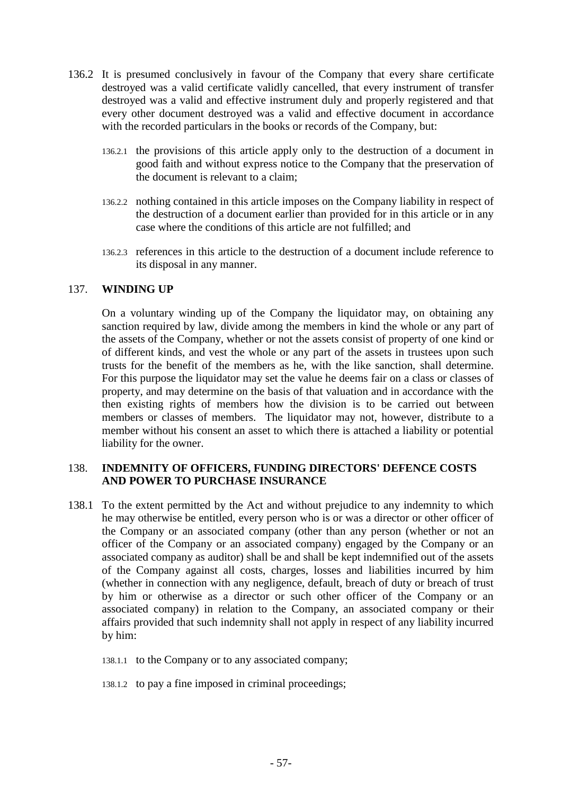- 136.2 It is presumed conclusively in favour of the Company that every share certificate destroyed was a valid certificate validly cancelled, that every instrument of transfer destroyed was a valid and effective instrument duly and properly registered and that every other document destroyed was a valid and effective document in accordance with the recorded particulars in the books or records of the Company, but:
	- 136.2.1 the provisions of this article apply only to the destruction of a document in good faith and without express notice to the Company that the preservation of the document is relevant to a claim;
	- 136.2.2 nothing contained in this article imposes on the Company liability in respect of the destruction of a document earlier than provided for in this article or in any case where the conditions of this article are not fulfilled; and
	- 136.2.3 references in this article to the destruction of a document include reference to its disposal in any manner.

## 137. **WINDING UP**

On a voluntary winding up of the Company the liquidator may, on obtaining any sanction required by law, divide among the members in kind the whole or any part of the assets of the Company, whether or not the assets consist of property of one kind or of different kinds, and vest the whole or any part of the assets in trustees upon such trusts for the benefit of the members as he, with the like sanction, shall determine. For this purpose the liquidator may set the value he deems fair on a class or classes of property, and may determine on the basis of that valuation and in accordance with the then existing rights of members how the division is to be carried out between members or classes of members. The liquidator may not, however, distribute to a member without his consent an asset to which there is attached a liability or potential liability for the owner.

## 138. **INDEMNITY OF OFFICERS, FUNDING DIRECTORS' DEFENCE COSTS AND POWER TO PURCHASE INSURANCE**

- <span id="page-62-0"></span>138.1 To the extent permitted by the Act and without prejudice to any indemnity to which he may otherwise be entitled, every person who is or was a director or other officer of the Company or an associated company (other than any person (whether or not an officer of the Company or an associated company) engaged by the Company or an associated company as auditor) shall be and shall be kept indemnified out of the assets of the Company against all costs, charges, losses and liabilities incurred by him (whether in connection with any negligence, default, breach of duty or breach of trust by him or otherwise as a director or such other officer of the Company or an associated company) in relation to the Company, an associated company or their affairs provided that such indemnity shall not apply in respect of any liability incurred by him:
	- 138.1.1 to the Company or to any associated company;
	- 138.1.2 to pay a fine imposed in criminal proceedings;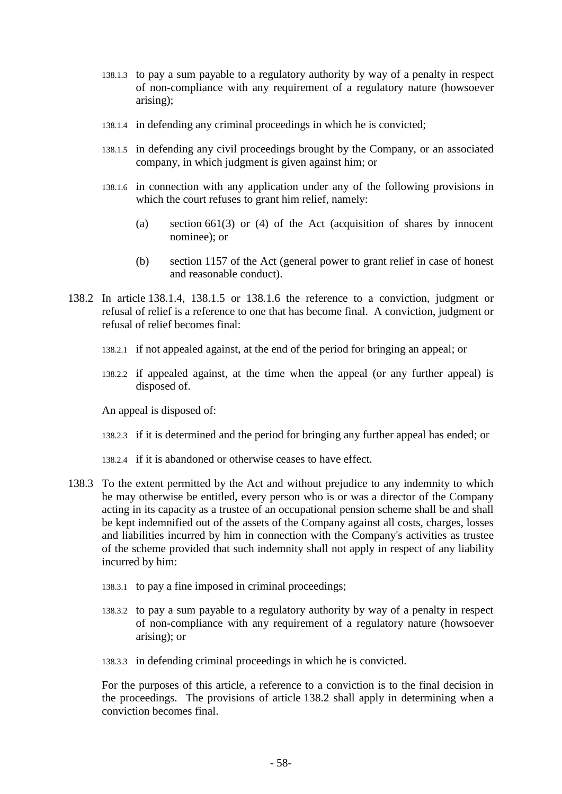- 138.1.3 to pay a sum payable to a regulatory authority by way of a penalty in respect of non-compliance with any requirement of a regulatory nature (howsoever arising);
- <span id="page-63-0"></span>138.1.4 in defending any criminal proceedings in which he is convicted;
- <span id="page-63-1"></span>138.1.5 in defending any civil proceedings brought by the Company, or an associated company, in which judgment is given against him; or
- <span id="page-63-2"></span>138.1.6 in connection with any application under any of the following provisions in which the court refuses to grant him relief, namely:
	- (a) section 661(3) or (4) of the Act (acquisition of shares by innocent nominee); or
	- (b) section 1157 of the Act (general power to grant relief in case of honest and reasonable conduct).
- <span id="page-63-3"></span>138.2 In article [138.1.4,](#page-63-0) [138.1.5](#page-63-1) or [138.1.6](#page-63-2) the reference to a conviction, judgment or refusal of relief is a reference to one that has become final. A conviction, judgment or refusal of relief becomes final:
	- 138.2.1 if not appealed against, at the end of the period for bringing an appeal; or
	- 138.2.2 if appealed against, at the time when the appeal (or any further appeal) is disposed of.

An appeal is disposed of:

- 138.2.3 if it is determined and the period for bringing any further appeal has ended; or
- 138.2.4 if it is abandoned or otherwise ceases to have effect.
- 138.3 To the extent permitted by the Act and without prejudice to any indemnity to which he may otherwise be entitled, every person who is or was a director of the Company acting in its capacity as a trustee of an occupational pension scheme shall be and shall be kept indemnified out of the assets of the Company against all costs, charges, losses and liabilities incurred by him in connection with the Company's activities as trustee of the scheme provided that such indemnity shall not apply in respect of any liability incurred by him:
	- 138.3.1 to pay a fine imposed in criminal proceedings;
	- 138.3.2 to pay a sum payable to a regulatory authority by way of a penalty in respect of non-compliance with any requirement of a regulatory nature (howsoever arising); or
	- 138.3.3 in defending criminal proceedings in which he is convicted.

For the purposes of this article, a reference to a conviction is to the final decision in the proceedings. The provisions of article [138.2](#page-63-3) shall apply in determining when a conviction becomes final.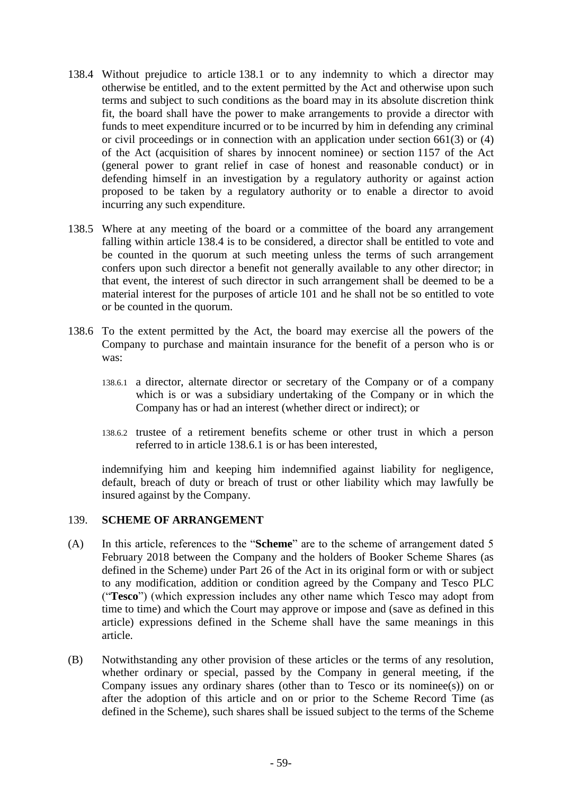- <span id="page-64-0"></span>138.4 Without prejudice to article [138.1](#page-62-0) or to any indemnity to which a director may otherwise be entitled, and to the extent permitted by the Act and otherwise upon such terms and subject to such conditions as the board may in its absolute discretion think fit, the board shall have the power to make arrangements to provide a director with funds to meet expenditure incurred or to be incurred by him in defending any criminal or civil proceedings or in connection with an application under section 661(3) or (4) of the Act (acquisition of shares by innocent nominee) or section 1157 of the Act (general power to grant relief in case of honest and reasonable conduct) or in defending himself in an investigation by a regulatory authority or against action proposed to be taken by a regulatory authority or to enable a director to avoid incurring any such expenditure.
- 138.5 Where at any meeting of the board or a committee of the board any arrangement falling within article [138.4](#page-64-0) is to be considered, a director shall be entitled to vote and be counted in the quorum at such meeting unless the terms of such arrangement confers upon such director a benefit not generally available to any other director; in that event, the interest of such director in such arrangement shall be deemed to be a material interest for the purposes of article [101](#page-44-1) and he shall not be so entitled to vote or be counted in the quorum.
- <span id="page-64-1"></span>138.6 To the extent permitted by the Act, the board may exercise all the powers of the Company to purchase and maintain insurance for the benefit of a person who is or was:
	- 138.6.1 a director, alternate director or secretary of the Company or of a company which is or was a subsidiary undertaking of the Company or in which the Company has or had an interest (whether direct or indirect); or
	- 138.6.2 trustee of a retirement benefits scheme or other trust in which a person referred to in article [138.6.1](#page-64-1) is or has been interested,

indemnifying him and keeping him indemnified against liability for negligence, default, breach of duty or breach of trust or other liability which may lawfully be insured against by the Company.

### 139. **SCHEME OF ARRANGEMENT**

- (A) In this article, references to the "**Scheme**" are to the scheme of arrangement dated 5 February 2018 between the Company and the holders of Booker Scheme Shares (as defined in the Scheme) under Part 26 of the Act in its original form or with or subject to any modification, addition or condition agreed by the Company and Tesco PLC ("**Tesco**") (which expression includes any other name which Tesco may adopt from time to time) and which the Court may approve or impose and (save as defined in this article) expressions defined in the Scheme shall have the same meanings in this article.
- (B) Notwithstanding any other provision of these articles or the terms of any resolution, whether ordinary or special, passed by the Company in general meeting, if the Company issues any ordinary shares (other than to Tesco or its nominee(s)) on or after the adoption of this article and on or prior to the Scheme Record Time (as defined in the Scheme), such shares shall be issued subject to the terms of the Scheme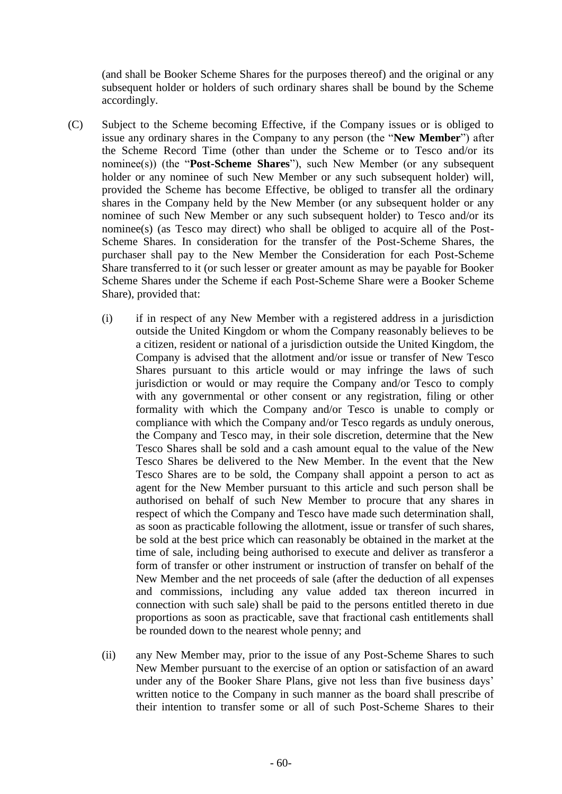(and shall be Booker Scheme Shares for the purposes thereof) and the original or any subsequent holder or holders of such ordinary shares shall be bound by the Scheme accordingly.

- (C) Subject to the Scheme becoming Effective, if the Company issues or is obliged to issue any ordinary shares in the Company to any person (the "**New Member**") after the Scheme Record Time (other than under the Scheme or to Tesco and/or its nominee(s)) (the "**Post-Scheme Shares**"), such New Member (or any subsequent holder or any nominee of such New Member or any such subsequent holder) will, provided the Scheme has become Effective, be obliged to transfer all the ordinary shares in the Company held by the New Member (or any subsequent holder or any nominee of such New Member or any such subsequent holder) to Tesco and/or its nominee(s) (as Tesco may direct) who shall be obliged to acquire all of the Post-Scheme Shares. In consideration for the transfer of the Post-Scheme Shares, the purchaser shall pay to the New Member the Consideration for each Post-Scheme Share transferred to it (or such lesser or greater amount as may be payable for Booker Scheme Shares under the Scheme if each Post-Scheme Share were a Booker Scheme Share), provided that:
	- (i) if in respect of any New Member with a registered address in a jurisdiction outside the United Kingdom or whom the Company reasonably believes to be a citizen, resident or national of a jurisdiction outside the United Kingdom, the Company is advised that the allotment and/or issue or transfer of New Tesco Shares pursuant to this article would or may infringe the laws of such jurisdiction or would or may require the Company and/or Tesco to comply with any governmental or other consent or any registration, filing or other formality with which the Company and/or Tesco is unable to comply or compliance with which the Company and/or Tesco regards as unduly onerous, the Company and Tesco may, in their sole discretion, determine that the New Tesco Shares shall be sold and a cash amount equal to the value of the New Tesco Shares be delivered to the New Member. In the event that the New Tesco Shares are to be sold, the Company shall appoint a person to act as agent for the New Member pursuant to this article and such person shall be authorised on behalf of such New Member to procure that any shares in respect of which the Company and Tesco have made such determination shall, as soon as practicable following the allotment, issue or transfer of such shares, be sold at the best price which can reasonably be obtained in the market at the time of sale, including being authorised to execute and deliver as transferor a form of transfer or other instrument or instruction of transfer on behalf of the New Member and the net proceeds of sale (after the deduction of all expenses and commissions, including any value added tax thereon incurred in connection with such sale) shall be paid to the persons entitled thereto in due proportions as soon as practicable, save that fractional cash entitlements shall be rounded down to the nearest whole penny; and
	- (ii) any New Member may, prior to the issue of any Post-Scheme Shares to such New Member pursuant to the exercise of an option or satisfaction of an award under any of the Booker Share Plans, give not less than five business days' written notice to the Company in such manner as the board shall prescribe of their intention to transfer some or all of such Post-Scheme Shares to their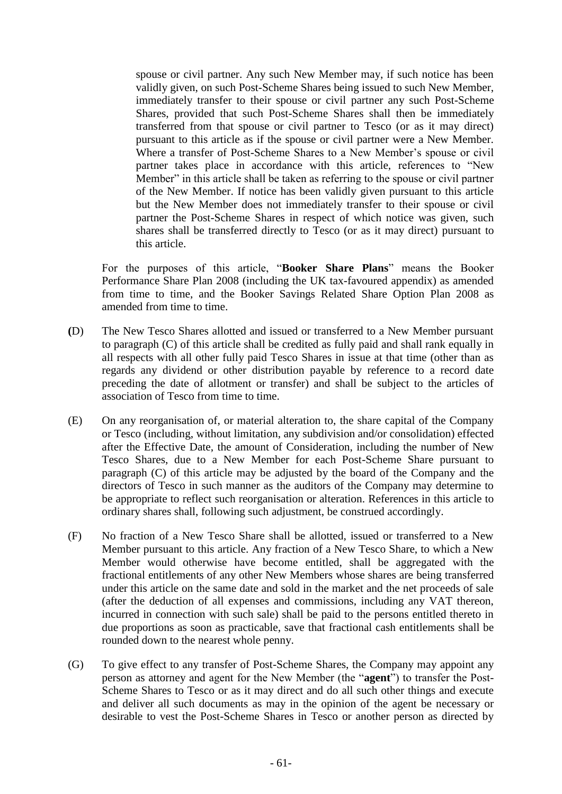spouse or civil partner. Any such New Member may, if such notice has been validly given, on such Post-Scheme Shares being issued to such New Member, immediately transfer to their spouse or civil partner any such Post-Scheme Shares, provided that such Post-Scheme Shares shall then be immediately transferred from that spouse or civil partner to Tesco (or as it may direct) pursuant to this article as if the spouse or civil partner were a New Member. Where a transfer of Post-Scheme Shares to a New Member's spouse or civil partner takes place in accordance with this article, references to "New Member" in this article shall be taken as referring to the spouse or civil partner of the New Member. If notice has been validly given pursuant to this article but the New Member does not immediately transfer to their spouse or civil partner the Post-Scheme Shares in respect of which notice was given, such shares shall be transferred directly to Tesco (or as it may direct) pursuant to this article.

For the purposes of this article, "**Booker Share Plans**" means the Booker Performance Share Plan 2008 (including the UK tax-favoured appendix) as amended from time to time, and the Booker Savings Related Share Option Plan 2008 as amended from time to time.

- **(**D) The New Tesco Shares allotted and issued or transferred to a New Member pursuant to paragraph (C) of this article shall be credited as fully paid and shall rank equally in all respects with all other fully paid Tesco Shares in issue at that time (other than as regards any dividend or other distribution payable by reference to a record date preceding the date of allotment or transfer) and shall be subject to the articles of association of Tesco from time to time.
- (E) On any reorganisation of, or material alteration to, the share capital of the Company or Tesco (including, without limitation, any subdivision and/or consolidation) effected after the Effective Date, the amount of Consideration, including the number of New Tesco Shares, due to a New Member for each Post-Scheme Share pursuant to paragraph (C) of this article may be adjusted by the board of the Company and the directors of Tesco in such manner as the auditors of the Company may determine to be appropriate to reflect such reorganisation or alteration. References in this article to ordinary shares shall, following such adjustment, be construed accordingly.
- (F) No fraction of a New Tesco Share shall be allotted, issued or transferred to a New Member pursuant to this article. Any fraction of a New Tesco Share, to which a New Member would otherwise have become entitled, shall be aggregated with the fractional entitlements of any other New Members whose shares are being transferred under this article on the same date and sold in the market and the net proceeds of sale (after the deduction of all expenses and commissions, including any VAT thereon, incurred in connection with such sale) shall be paid to the persons entitled thereto in due proportions as soon as practicable, save that fractional cash entitlements shall be rounded down to the nearest whole penny.
- (G) To give effect to any transfer of Post-Scheme Shares, the Company may appoint any person as attorney and agent for the New Member (the "**agent**") to transfer the Post-Scheme Shares to Tesco or as it may direct and do all such other things and execute and deliver all such documents as may in the opinion of the agent be necessary or desirable to vest the Post-Scheme Shares in Tesco or another person as directed by